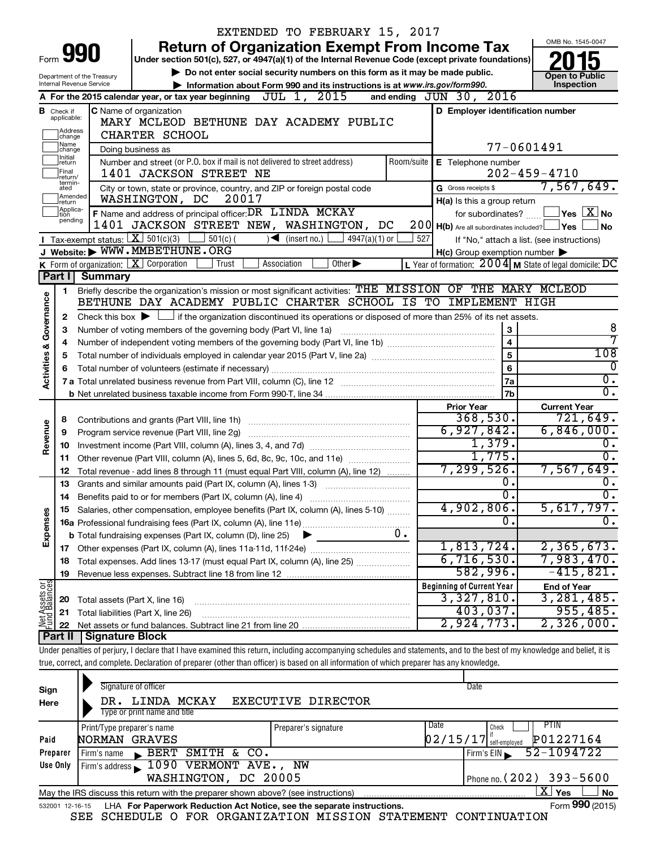|                                |                                  |                                             |                                                                              | EXTENDED TO FEBRUARY 15, 2017                                                                                                                                              |            |                                                     |                                                           |
|--------------------------------|----------------------------------|---------------------------------------------|------------------------------------------------------------------------------|----------------------------------------------------------------------------------------------------------------------------------------------------------------------------|------------|-----------------------------------------------------|-----------------------------------------------------------|
|                                |                                  |                                             |                                                                              | <b>Return of Organization Exempt From Income Tax</b>                                                                                                                       |            |                                                     | OMB No. 1545-0047                                         |
| Form                           |                                  | 990                                         |                                                                              | Under section 501(c), 527, or 4947(a)(1) of the Internal Revenue Code (except private foundations)                                                                         |            |                                                     |                                                           |
|                                |                                  | Department of the Treasury                  |                                                                              | Do not enter social security numbers on this form as it may be made public.                                                                                                |            |                                                     | <b>Open to Public</b>                                     |
|                                |                                  | Internal Revenue Service                    |                                                                              | Information about Form 990 and its instructions is at www.irs.gov/form990.                                                                                                 |            |                                                     | Inspection                                                |
|                                |                                  |                                             | A For the 2015 calendar year, or tax year beginning $\overline{JUL}$ 1, 2015 |                                                                                                                                                                            |            | and ending JUN 30, 2016                             |                                                           |
|                                | <b>B</b> Check if<br>applicable: |                                             | C Name of organization                                                       | MARY MCLEOD BETHUNE DAY ACADEMY PUBLIC                                                                                                                                     |            | D Employer identification number                    |                                                           |
|                                | Address                          |                                             | CHARTER SCHOOL                                                               |                                                                                                                                                                            |            |                                                     |                                                           |
|                                | change<br>1Name                  |                                             | Doing business as                                                            |                                                                                                                                                                            |            |                                                     | 77-0601491                                                |
|                                | change<br>Initial<br>return      |                                             | Number and street (or P.O. box if mail is not delivered to street address)   |                                                                                                                                                                            | Room/suite | E Telephone number                                  |                                                           |
|                                | Final<br>return/                 |                                             | 1401 JACKSON STREET NE                                                       |                                                                                                                                                                            |            |                                                     | $202 - 459 - 4710$                                        |
|                                | termin-<br>ated                  |                                             | City or town, state or province, country, and ZIP or foreign postal code     |                                                                                                                                                                            |            | G Gross receipts \$                                 | 7,567,649.                                                |
|                                | Amended<br>return                |                                             | WASHINGTON, DC<br>20017                                                      |                                                                                                                                                                            |            | H(a) Is this a group return                         |                                                           |
|                                | Applica-<br>tion                 |                                             | F Name and address of principal officer: DR LINDA MCKAY                      |                                                                                                                                                                            |            | for subordinates?                                   | $\overline{\ }$ Yes $\overline{\rm X}$ No                 |
|                                | pending                          |                                             |                                                                              | 1401 JACKSON STREET NEW, WASHINGTON, DC                                                                                                                                    |            | 200 H(b) Are all subordinates included? Ves         | No                                                        |
|                                |                                  | Tax-exempt status: $X \mid 501(c)(3)$       | $501(c)$ (                                                                   | (inset no.)<br>$4947(a)(1)$ or<br>$\blacktriangleright$                                                                                                                    | 527        |                                                     | If "No," attach a list. (see instructions)                |
|                                |                                  |                                             | J Website: WWW.MMBETHUNE.ORG                                                 |                                                                                                                                                                            |            | $H(c)$ Group exemption number $\blacktriangleright$ |                                                           |
|                                |                                  |                                             | <b>K</b> Form of organization: $\boxed{\textbf{X}}$ Corporation<br>Trust     | Other $\blacktriangleright$<br>Association                                                                                                                                 |            |                                                     | L Year of formation: $2004$ M State of legal domicile: DC |
|                                | Part I                           | <b>Summary</b>                              |                                                                              | Briefly describe the organization's mission or most significant activities: THE MISSION OF THE MARY MCLEOD                                                                 |            |                                                     |                                                           |
|                                | 1.                               |                                             |                                                                              | BETHUNE DAY ACADEMY PUBLIC CHARTER SCHOOL IS TO IMPLEMENT HIGH                                                                                                             |            |                                                     |                                                           |
| Governance                     | 2                                |                                             |                                                                              | Check this box $\blacktriangleright$ $\Box$ if the organization discontinued its operations or disposed of more than 25% of its net assets.                                |            |                                                     |                                                           |
|                                | 3                                |                                             | Number of voting members of the governing body (Part VI, line 1a)            |                                                                                                                                                                            |            | $\mathbf 3$                                         | 8                                                         |
|                                | 4                                |                                             |                                                                              |                                                                                                                                                                            |            | $\overline{\mathbf{4}}$                             | 7                                                         |
|                                | 5                                |                                             |                                                                              |                                                                                                                                                                            |            | 5                                                   | 108                                                       |
|                                | 6                                |                                             |                                                                              |                                                                                                                                                                            |            | 6                                                   | 0                                                         |
| <b>Activities &amp;</b>        |                                  |                                             |                                                                              |                                                                                                                                                                            |            | <b>7a</b>                                           | о.                                                        |
|                                |                                  |                                             |                                                                              |                                                                                                                                                                            |            | 7b                                                  | σ.                                                        |
|                                |                                  |                                             |                                                                              |                                                                                                                                                                            |            | <b>Prior Year</b>                                   | <b>Current Year</b>                                       |
|                                | 8                                |                                             |                                                                              |                                                                                                                                                                            |            | 368,530.<br>6,927,842.                              | 721,649.<br>6,846,000.                                    |
| Revenue                        | 9                                |                                             |                                                                              |                                                                                                                                                                            |            | 1,379.                                              | о.                                                        |
|                                | 10<br>11                         |                                             |                                                                              | Other revenue (Part VIII, column (A), lines 5, 6d, 8c, 9c, 10c, and 11e)                                                                                                   |            | 1,775.                                              | $\overline{0}$ .                                          |
|                                | 12                               |                                             |                                                                              | Total revenue - add lines 8 through 11 (must equal Part VIII, column (A), line 12)                                                                                         |            | 7, 299, 526.                                        | 7,567,649.                                                |
|                                | 13                               |                                             | Grants and similar amounts paid (Part IX, column (A), lines 1-3)             |                                                                                                                                                                            |            | О.                                                  | 0.                                                        |
|                                | 14                               |                                             | Benefits paid to or for members (Part IX, column (A), line 4)                |                                                                                                                                                                            |            | $\overline{0}$ .                                    | σ.                                                        |
|                                |                                  |                                             |                                                                              | 15 Salaries, other compensation, employee benefits (Part IX, column (A), lines 5-10)                                                                                       |            | 4,902,806.                                          | $5,617,797$ .                                             |
| Expenses                       |                                  |                                             |                                                                              |                                                                                                                                                                            |            | Ω.                                                  | $\overline{0}$ .                                          |
|                                |                                  |                                             | <b>b</b> Total fundraising expenses (Part IX, column (D), line 25)           | $0$ .<br>▸                                                                                                                                                                 |            |                                                     |                                                           |
|                                |                                  |                                             |                                                                              |                                                                                                                                                                            |            | 1,813,724.                                          | 2, 365, 673.                                              |
|                                | 18                               |                                             |                                                                              | Total expenses. Add lines 13-17 (must equal Part IX, column (A), line 25) [                                                                                                |            | 6,716,530.                                          | 7,983,470.                                                |
|                                | 19                               |                                             |                                                                              |                                                                                                                                                                            |            | 582,996.                                            | $-415,821.$                                               |
| Net Assets or<br>Fund Balances |                                  | Total assets (Part X, line 16)              |                                                                              |                                                                                                                                                                            |            | <b>Beginning of Current Year</b><br>3,327,810.      | <b>End of Year</b><br>3,281,485.                          |
|                                | 20<br>21                         |                                             | Total liabilities (Part X, line 26)                                          |                                                                                                                                                                            |            | 403,037.                                            | 955,485.                                                  |
|                                | 22                               |                                             |                                                                              |                                                                                                                                                                            |            | 2,924,773.                                          | 2,326,000.                                                |
|                                |                                  | Part II   Signature Block                   |                                                                              |                                                                                                                                                                            |            |                                                     |                                                           |
|                                |                                  |                                             |                                                                              | Under penalties of perjury, I declare that I have examined this return, including accompanying schedules and statements, and to the best of my knowledge and belief, it is |            |                                                     |                                                           |
|                                |                                  |                                             |                                                                              | true, correct, and complete. Declaration of preparer (other than officer) is based on all information of which preparer has any knowledge.                                 |            |                                                     |                                                           |
|                                |                                  |                                             |                                                                              |                                                                                                                                                                            |            |                                                     |                                                           |
| Sign                           |                                  |                                             | Signature of officer                                                         |                                                                                                                                                                            |            | Date                                                |                                                           |
| Here                           |                                  | DR.                                         | LINDA MCKAY<br>Type or print name and title                                  | EXECUTIVE DIRECTOR                                                                                                                                                         |            |                                                     |                                                           |
|                                |                                  |                                             |                                                                              |                                                                                                                                                                            |            | Date<br>Check                                       | PTIN                                                      |
| Paid                           |                                  | Print/Type preparer's name<br>NORMAN GRAVES |                                                                              | Preparer's signature                                                                                                                                                       |            | $02/15/17$ self-employed                            | P01227164                                                 |

| raiu.    | NURMAN GRAVES                                                                          | $ U Z / L J / L I $ self-employed $ V U L Z Z / L O 4$ |
|----------|----------------------------------------------------------------------------------------|--------------------------------------------------------|
| Preparer | Firm's name BERT SMITH & CO.                                                           | $\sqrt{52-1094722}$                                    |
| Use Only | Firm's address 1090 VERMONT AVE., NW                                                   |                                                        |
|          | WASHINGTON, DC 20005                                                                   | Phone no. (202) 393-5600                               |
|          | May the IRS discuss this return with the preparer shown above? (see instructions)      | xι<br>Yes<br><b>No</b>                                 |
|          | 532001 12-16-15 LHA For Paperwork Reduction Act Notice, see the separate instructions. | Form 990 (2015)                                        |

SEE SCHEDULE O FOR ORGANIZATION MISSION STATEMENT CONTINUATION

Form **990** (2015)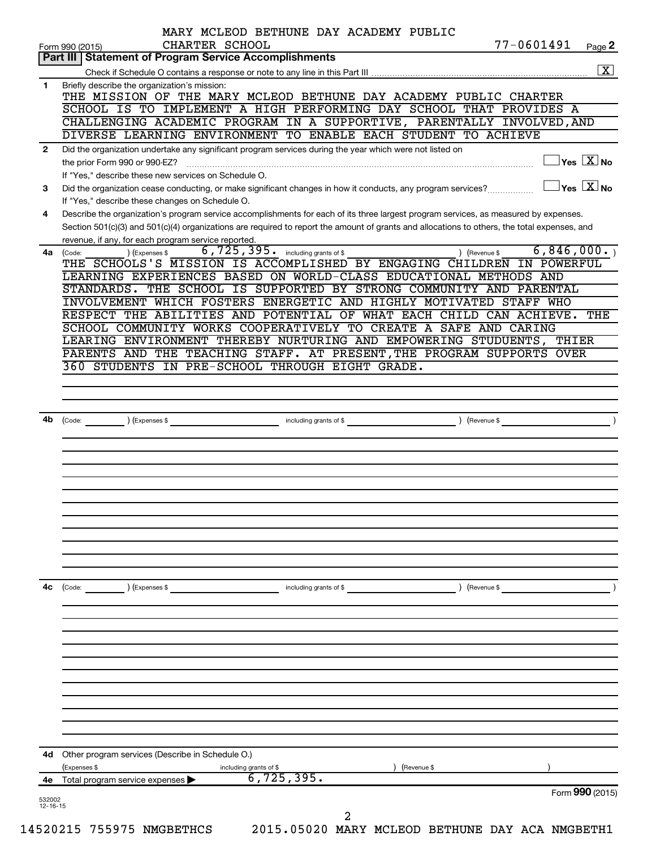|              | CHARTER SCHOOL<br>Form 990 (2015)                                                                            | MARY MCLEOD BETHUNE DAY ACADEMY PUBLIC | 77-0601491                                                                                                                                                                                                                                                                           | Page 2                                           |
|--------------|--------------------------------------------------------------------------------------------------------------|----------------------------------------|--------------------------------------------------------------------------------------------------------------------------------------------------------------------------------------------------------------------------------------------------------------------------------------|--------------------------------------------------|
|              | <b>Part III   Statement of Program Service Accomplishments</b>                                               |                                        |                                                                                                                                                                                                                                                                                      |                                                  |
|              |                                                                                                              |                                        |                                                                                                                                                                                                                                                                                      | $\boxed{\textbf{X}}$                             |
| 1.           | Briefly describe the organization's mission:                                                                 |                                        | THE MISSION OF THE MARY MCLEOD BETHUNE DAY ACADEMY PUBLIC CHARTER                                                                                                                                                                                                                    |                                                  |
|              |                                                                                                              |                                        | SCHOOL IS TO IMPLEMENT A HIGH PERFORMING DAY SCHOOL THAT PROVIDES A                                                                                                                                                                                                                  |                                                  |
|              |                                                                                                              |                                        | CHALLENGING ACADEMIC PROGRAM IN A SUPPORTIVE, PARENTALLY INVOLVED, AND                                                                                                                                                                                                               |                                                  |
|              | DIVERSE LEARNING ENVIRONMENT TO ENABLE EACH STUDENT TO ACHIEVE                                               |                                        |                                                                                                                                                                                                                                                                                      |                                                  |
| $\mathbf{2}$ | Did the organization undertake any significant program services during the year which were not listed on     |                                        |                                                                                                                                                                                                                                                                                      |                                                  |
|              | the prior Form 990 or 990-EZ?                                                                                |                                        |                                                                                                                                                                                                                                                                                      | $\exists$ Yes $\boxed{\text{X}}$ No              |
|              | If "Yes," describe these new services on Schedule O.                                                         |                                        |                                                                                                                                                                                                                                                                                      |                                                  |
| 3            | Did the organization cease conducting, or make significant changes in how it conducts, any program services? |                                        |                                                                                                                                                                                                                                                                                      | $\overline{\ }$ Yes $\overline{\phantom{a}X}$ No |
|              | If "Yes," describe these changes on Schedule O.                                                              |                                        |                                                                                                                                                                                                                                                                                      |                                                  |
| 4            |                                                                                                              |                                        | Describe the organization's program service accomplishments for each of its three largest program services, as measured by expenses.<br>Section 501(c)(3) and 501(c)(4) organizations are required to report the amount of grants and allocations to others, the total expenses, and |                                                  |
|              | revenue, if any, for each program service reported.                                                          |                                        |                                                                                                                                                                                                                                                                                      |                                                  |
| 4a l         | (Expenses \$<br>(Code:                                                                                       | 6,725,395. including grants of \$      | ) (Revenue \$                                                                                                                                                                                                                                                                        | 6,846,000.                                       |
|              |                                                                                                              |                                        | THE SCHOOLS'S MISSION IS ACCOMPLISHED BY ENGAGING CHILDREN IN POWERFUL                                                                                                                                                                                                               |                                                  |
|              |                                                                                                              |                                        | LEARNING EXPERIENCES BASED ON WORLD-CLASS EDUCATIONAL METHODS AND                                                                                                                                                                                                                    |                                                  |
|              |                                                                                                              |                                        | STANDARDS. THE SCHOOL IS SUPPORTED BY STRONG COMMUNITY AND PARENTAL                                                                                                                                                                                                                  |                                                  |
|              |                                                                                                              |                                        | INVOLVEMENT WHICH FOSTERS ENERGETIC AND HIGHLY MOTIVATED STAFF WHO                                                                                                                                                                                                                   |                                                  |
|              |                                                                                                              |                                        | RESPECT THE ABILITIES AND POTENTIAL OF WHAT EACH CHILD CAN ACHIEVE.                                                                                                                                                                                                                  | THE                                              |
|              | LEARING ENVIRONMENT THEREBY NURTURING AND EMPOWERING STUDUENTS,                                              |                                        | SCHOOL COMMUNITY WORKS COOPERATIVELY TO CREATE A SAFE AND CARING                                                                                                                                                                                                                     | THIER                                            |
|              |                                                                                                              |                                        | PARENTS AND THE TEACHING STAFF. AT PRESENT, THE PROGRAM SUPPORTS OVER                                                                                                                                                                                                                |                                                  |
|              | 360 STUDENTS IN PRE-SCHOOL THROUGH EIGHT GRADE.                                                              |                                        |                                                                                                                                                                                                                                                                                      |                                                  |
|              |                                                                                                              |                                        |                                                                                                                                                                                                                                                                                      |                                                  |
|              |                                                                                                              |                                        |                                                                                                                                                                                                                                                                                      |                                                  |
|              |                                                                                                              |                                        |                                                                                                                                                                                                                                                                                      |                                                  |
| 4b           | (Code: ) (Expenses \$                                                                                        | including grants of \$                 |                                                                                                                                                                                                                                                                                      |                                                  |
|              |                                                                                                              |                                        |                                                                                                                                                                                                                                                                                      |                                                  |
|              |                                                                                                              |                                        |                                                                                                                                                                                                                                                                                      |                                                  |
|              |                                                                                                              |                                        |                                                                                                                                                                                                                                                                                      |                                                  |
|              |                                                                                                              |                                        |                                                                                                                                                                                                                                                                                      |                                                  |
|              |                                                                                                              |                                        |                                                                                                                                                                                                                                                                                      |                                                  |
|              |                                                                                                              |                                        |                                                                                                                                                                                                                                                                                      |                                                  |
|              |                                                                                                              |                                        |                                                                                                                                                                                                                                                                                      |                                                  |
|              |                                                                                                              |                                        |                                                                                                                                                                                                                                                                                      |                                                  |
|              |                                                                                                              |                                        |                                                                                                                                                                                                                                                                                      |                                                  |
|              |                                                                                                              |                                        |                                                                                                                                                                                                                                                                                      |                                                  |
|              |                                                                                                              |                                        |                                                                                                                                                                                                                                                                                      |                                                  |
|              |                                                                                                              |                                        |                                                                                                                                                                                                                                                                                      |                                                  |
| 4c           | $\left(\text{Code:} \right)$ $\left(\text{Expenses $}\right)$                                                | including grants of \$                 | ) (Revenue \$                                                                                                                                                                                                                                                                        |                                                  |
|              |                                                                                                              |                                        |                                                                                                                                                                                                                                                                                      |                                                  |
|              |                                                                                                              |                                        |                                                                                                                                                                                                                                                                                      |                                                  |
|              |                                                                                                              |                                        |                                                                                                                                                                                                                                                                                      |                                                  |
|              |                                                                                                              |                                        |                                                                                                                                                                                                                                                                                      |                                                  |
|              |                                                                                                              |                                        |                                                                                                                                                                                                                                                                                      |                                                  |
|              |                                                                                                              |                                        |                                                                                                                                                                                                                                                                                      |                                                  |
|              |                                                                                                              |                                        |                                                                                                                                                                                                                                                                                      |                                                  |
|              |                                                                                                              |                                        |                                                                                                                                                                                                                                                                                      |                                                  |
|              |                                                                                                              |                                        |                                                                                                                                                                                                                                                                                      |                                                  |
|              |                                                                                                              |                                        |                                                                                                                                                                                                                                                                                      |                                                  |
|              |                                                                                                              |                                        |                                                                                                                                                                                                                                                                                      |                                                  |
|              | 4d Other program services (Describe in Schedule O.)                                                          |                                        |                                                                                                                                                                                                                                                                                      |                                                  |
|              | (Expenses \$                                                                                                 | including grants of \$                 | (Revenue \$                                                                                                                                                                                                                                                                          |                                                  |
| 4e           | Total program service expenses                                                                               | 6, 725, 395.                           |                                                                                                                                                                                                                                                                                      | Form 990 (2015)                                  |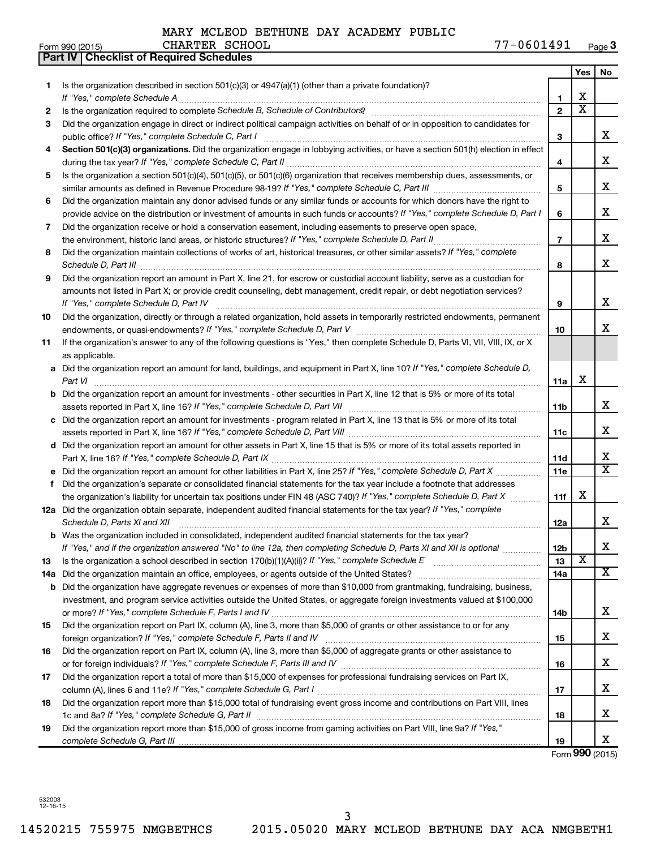|    | Part IV   Checklist of Required Schedules                                                                                                                                                                                           |                |                         |                         |
|----|-------------------------------------------------------------------------------------------------------------------------------------------------------------------------------------------------------------------------------------|----------------|-------------------------|-------------------------|
|    |                                                                                                                                                                                                                                     |                | Yes                     | No                      |
| 1. | Is the organization described in section $501(c)(3)$ or $4947(a)(1)$ (other than a private foundation)?                                                                                                                             |                |                         |                         |
|    |                                                                                                                                                                                                                                     | 1              | х                       |                         |
| 2  | Is the organization required to complete Schedule B, Schedule of Contributors? [111] [12] the organization required to complete Schedule B, Schedule of Contributors? [11] [12] 12] the organization required to complete Sche      | $\overline{2}$ | $\overline{\text{x}}$   |                         |
| З  | Did the organization engage in direct or indirect political campaign activities on behalf of or in opposition to candidates for                                                                                                     |                |                         |                         |
|    |                                                                                                                                                                                                                                     | 3              |                         | x                       |
| 4  | Section 501(c)(3) organizations. Did the organization engage in lobbying activities, or have a section 501(h) election in effect                                                                                                    |                |                         |                         |
|    |                                                                                                                                                                                                                                     | 4              |                         | X                       |
| 5  | Is the organization a section 501(c)(4), 501(c)(5), or 501(c)(6) organization that receives membership dues, assessments, or                                                                                                        |                |                         |                         |
|    |                                                                                                                                                                                                                                     | 5              |                         | X                       |
| 6  | Did the organization maintain any donor advised funds or any similar funds or accounts for which donors have the right to                                                                                                           |                |                         |                         |
|    | provide advice on the distribution or investment of amounts in such funds or accounts? If "Yes," complete Schedule D, Part I                                                                                                        | 6              |                         | X                       |
| 7  | Did the organization receive or hold a conservation easement, including easements to preserve open space,                                                                                                                           |                |                         |                         |
|    |                                                                                                                                                                                                                                     | $\overline{7}$ |                         | X                       |
| 8  | Did the organization maintain collections of works of art, historical treasures, or other similar assets? If "Yes," complete                                                                                                        |                |                         |                         |
|    | Schedule D, Part III <b>Marting Communities</b> and the contract of the contract of the contract of the contract of the contract of the contract of the contract of the contract of the contract of the contract of the contract of | 8              |                         | X                       |
| 9  | Did the organization report an amount in Part X, line 21, for escrow or custodial account liability, serve as a custodian for                                                                                                       |                |                         |                         |
|    | amounts not listed in Part X; or provide credit counseling, debt management, credit repair, or debt negotiation services?                                                                                                           |                |                         |                         |
|    | If "Yes," complete Schedule D, Part IV                                                                                                                                                                                              | 9              |                         | X                       |
| 10 | Did the organization, directly or through a related organization, hold assets in temporarily restricted endowments, permanent                                                                                                       |                |                         |                         |
|    |                                                                                                                                                                                                                                     | 10             |                         | x                       |
| 11 | If the organization's answer to any of the following questions is "Yes," then complete Schedule D, Parts VI, VII, VIII, IX, or X                                                                                                    |                |                         |                         |
|    | as applicable.                                                                                                                                                                                                                      |                |                         |                         |
|    | a Did the organization report an amount for land, buildings, and equipment in Part X, line 10? If "Yes," complete Schedule D,                                                                                                       |                |                         |                         |
|    | Part VI                                                                                                                                                                                                                             | 11a            | х                       |                         |
|    |                                                                                                                                                                                                                                     |                |                         |                         |
|    | <b>b</b> Did the organization report an amount for investments - other securities in Part X, line 12 that is 5% or more of its total                                                                                                |                |                         | x                       |
|    |                                                                                                                                                                                                                                     | 11b            |                         |                         |
|    | c Did the organization report an amount for investments - program related in Part X, line 13 that is 5% or more of its total                                                                                                        |                |                         | х                       |
|    |                                                                                                                                                                                                                                     | 11c            |                         |                         |
|    | d Did the organization report an amount for other assets in Part X, line 15 that is 5% or more of its total assets reported in                                                                                                      |                |                         | х                       |
|    |                                                                                                                                                                                                                                     | 11d            |                         | $\overline{\mathbf{x}}$ |
|    | e Did the organization report an amount for other liabilities in Part X, line 25? If "Yes," complete Schedule D, Part X                                                                                                             | 11e            |                         |                         |
| f  | Did the organization's separate or consolidated financial statements for the tax year include a footnote that addresses                                                                                                             |                |                         |                         |
|    | the organization's liability for uncertain tax positions under FIN 48 (ASC 740)? If "Yes," complete Schedule D, Part X                                                                                                              | 11f            | х                       |                         |
|    | 12a Did the organization obtain separate, independent audited financial statements for the tax year? If "Yes," complete                                                                                                             |                |                         |                         |
|    | Schedule D, Parts XI and XII <b>continuum continuum continuum continuum continuum continuum continuum continuum</b> continuum continuum continuum continuum continuum continuum continuum continuum continuum continuum continuum c | 12a            |                         | x                       |
|    | b Was the organization included in consolidated, independent audited financial statements for the tax year?                                                                                                                         |                |                         |                         |
|    | If "Yes," and if the organization answered "No" to line 12a, then completing Schedule D, Parts XI and XII is optional                                                                                                               | 12b            | $\overline{\textbf{x}}$ | х                       |
| 13 |                                                                                                                                                                                                                                     | 13             |                         |                         |
|    |                                                                                                                                                                                                                                     | 14a            |                         | х                       |
|    | <b>b</b> Did the organization have aggregate revenues or expenses of more than \$10,000 from grantmaking, fundraising, business,                                                                                                    |                |                         |                         |
|    | investment, and program service activities outside the United States, or aggregate foreign investments valued at \$100,000                                                                                                          |                |                         |                         |
|    |                                                                                                                                                                                                                                     | 14b            |                         | x                       |
| 15 | Did the organization report on Part IX, column (A), line 3, more than \$5,000 of grants or other assistance to or for any                                                                                                           |                |                         |                         |
|    |                                                                                                                                                                                                                                     | 15             |                         | х                       |
| 16 | Did the organization report on Part IX, column (A), line 3, more than \$5,000 of aggregate grants or other assistance to                                                                                                            |                |                         |                         |
|    |                                                                                                                                                                                                                                     | 16             |                         | х                       |
| 17 | Did the organization report a total of more than \$15,000 of expenses for professional fundraising services on Part IX,                                                                                                             |                |                         |                         |
|    |                                                                                                                                                                                                                                     | 17             |                         | х                       |
| 18 | Did the organization report more than \$15,000 total of fundraising event gross income and contributions on Part VIII, lines                                                                                                        |                |                         |                         |
|    |                                                                                                                                                                                                                                     | 18             |                         | х                       |
| 19 | Did the organization report more than \$15,000 of gross income from gaming activities on Part VIII, line 9a? If "Yes,"                                                                                                              |                |                         |                         |
|    |                                                                                                                                                                                                                                     | 19             |                         | X                       |

Form **990** (2015)

532003 12-16-15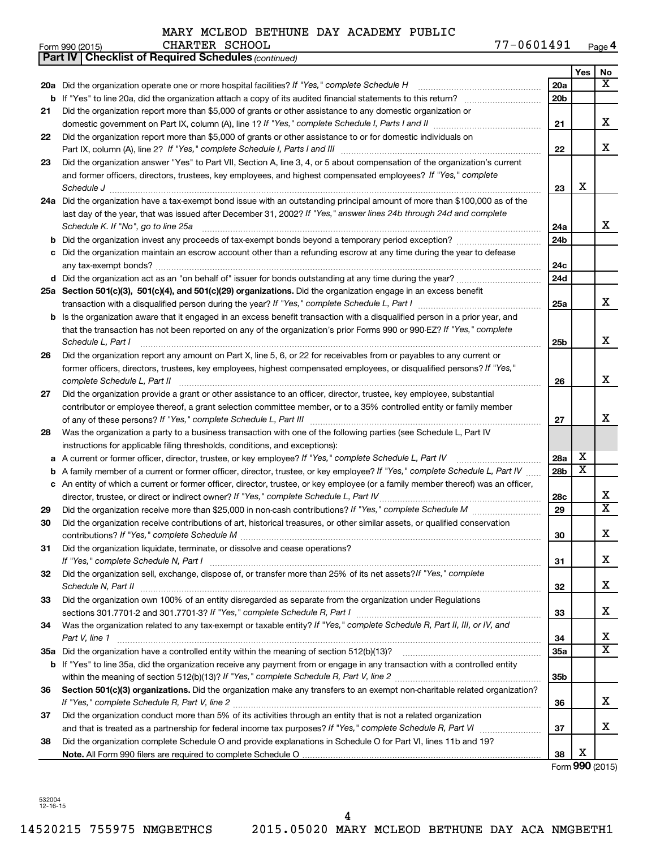|    | 77-0601491<br>CHARTER SCHOOL<br>Form 990 (2015)                                                                                   |                 |                         | Page 4                              |
|----|-----------------------------------------------------------------------------------------------------------------------------------|-----------------|-------------------------|-------------------------------------|
|    | <b>Part IV   Checklist of Required Schedules (continued)</b>                                                                      |                 |                         |                                     |
|    |                                                                                                                                   |                 | Yes                     | No                                  |
|    | 20a Did the organization operate one or more hospital facilities? If "Yes," complete Schedule H                                   | 20a             |                         | $\overline{\mathbf{x}}$             |
|    |                                                                                                                                   | 20 <sub>b</sub> |                         |                                     |
| 21 | Did the organization report more than \$5,000 of grants or other assistance to any domestic organization or                       |                 |                         |                                     |
|    |                                                                                                                                   | 21              |                         | X                                   |
| 22 | Did the organization report more than \$5,000 of grants or other assistance to or for domestic individuals on                     |                 |                         |                                     |
|    |                                                                                                                                   | 22              |                         | X                                   |
| 23 | Did the organization answer "Yes" to Part VII, Section A, line 3, 4, or 5 about compensation of the organization's current        |                 |                         |                                     |
|    | and former officers, directors, trustees, key employees, and highest compensated employees? If "Yes," complete                    |                 |                         |                                     |
|    |                                                                                                                                   | 23              | X                       |                                     |
|    | 24a Did the organization have a tax-exempt bond issue with an outstanding principal amount of more than \$100,000 as of the       |                 |                         |                                     |
|    | last day of the year, that was issued after December 31, 2002? If "Yes," answer lines 24b through 24d and complete                |                 |                         |                                     |
|    | Schedule K. If "No", go to line 25a                                                                                               | 24a             |                         | x                                   |
| b  |                                                                                                                                   | 24 <sub>b</sub> |                         |                                     |
|    | c Did the organization maintain an escrow account other than a refunding escrow at any time during the year to defease            |                 |                         |                                     |
|    |                                                                                                                                   | 24c             |                         |                                     |
|    |                                                                                                                                   | 24d             |                         |                                     |
|    | 25a Section 501(c)(3), 501(c)(4), and 501(c)(29) organizations. Did the organization engage in an excess benefit                  |                 |                         |                                     |
|    |                                                                                                                                   | 25a             |                         | X                                   |
|    | b Is the organization aware that it engaged in an excess benefit transaction with a disqualified person in a prior year, and      |                 |                         |                                     |
|    | that the transaction has not been reported on any of the organization's prior Forms 990 or 990-EZ? If "Yes," complete             |                 |                         |                                     |
|    | Schedule L, Part I                                                                                                                | 25b             |                         | X                                   |
| 26 | Did the organization report any amount on Part X, line 5, 6, or 22 for receivables from or payables to any current or             |                 |                         |                                     |
|    | former officers, directors, trustees, key employees, highest compensated employees, or disqualified persons? If "Yes,"            |                 |                         |                                     |
|    | complete Schedule L, Part II                                                                                                      | 26              |                         | X                                   |
| 27 | Did the organization provide a grant or other assistance to an officer, director, trustee, key employee, substantial              |                 |                         |                                     |
|    | contributor or employee thereof, a grant selection committee member, or to a 35% controlled entity or family member               |                 |                         |                                     |
|    |                                                                                                                                   | 27              |                         | х                                   |
| 28 | Was the organization a party to a business transaction with one of the following parties (see Schedule L, Part IV                 |                 |                         |                                     |
|    | instructions for applicable filing thresholds, conditions, and exceptions):                                                       |                 |                         |                                     |
|    | a A current or former officer, director, trustee, or key employee? If "Yes," complete Schedule L, Part IV                         | 28a             | х                       |                                     |
|    | b A family member of a current or former officer, director, trustee, or key employee? If "Yes," complete Schedule L, Part IV      | 28 <sub>b</sub> | $\overline{\textbf{X}}$ |                                     |
|    | c An entity of which a current or former officer, director, trustee, or key employee (or a family member thereof) was an officer, |                 |                         |                                     |
|    | director, trustee, or direct or indirect owner? If "Yes," complete Schedule L, Part IV.                                           | 28c             |                         | x<br>$\overline{\mathbf{X}}$        |
| 29 |                                                                                                                                   | 29              |                         |                                     |
| 30 | Did the organization receive contributions of art, historical treasures, or other similar assets, or qualified conservation       |                 |                         | X                                   |
|    |                                                                                                                                   | 30              |                         |                                     |
| 31 | Did the organization liquidate, terminate, or dissolve and cease operations?                                                      |                 |                         | x                                   |
|    |                                                                                                                                   | 31              |                         |                                     |
| 32 | Did the organization sell, exchange, dispose of, or transfer more than 25% of its net assets? If "Yes," complete                  |                 |                         | x                                   |
|    | Schedule N, Part II                                                                                                               | 32              |                         |                                     |
| 33 | Did the organization own 100% of an entity disregarded as separate from the organization under Regulations                        |                 |                         | x                                   |
|    |                                                                                                                                   | 33              |                         |                                     |
| 34 | Was the organization related to any tax-exempt or taxable entity? If "Yes," complete Schedule R, Part II, III, or IV, and         |                 |                         | х                                   |
|    | Part V, line 1                                                                                                                    | 34              |                         | $\overline{\mathbf{x}}$             |
|    |                                                                                                                                   | 35a             |                         |                                     |
|    | b If "Yes" to line 35a, did the organization receive any payment from or engage in any transaction with a controlled entity       |                 |                         |                                     |
|    |                                                                                                                                   | 35 <sub>b</sub> |                         |                                     |
| 36 | Section 501(c)(3) organizations. Did the organization make any transfers to an exempt non-charitable related organization?        |                 |                         | x                                   |
|    | If "Yes," complete Schedule R, Part V, line 2                                                                                     | 36              |                         |                                     |
| 37 | Did the organization conduct more than 5% of its activities through an entity that is not a related organization                  | 37              |                         | x                                   |
|    |                                                                                                                                   |                 |                         |                                     |
| 38 | Did the organization complete Schedule O and provide explanations in Schedule O for Part VI, lines 11b and 19?                    | 38              | X                       |                                     |
|    |                                                                                                                                   |                 |                         | $F_{\text{sum}}$ QQ $\Omega$ (2015) |

Form **990** (2015)

532004 12-16-15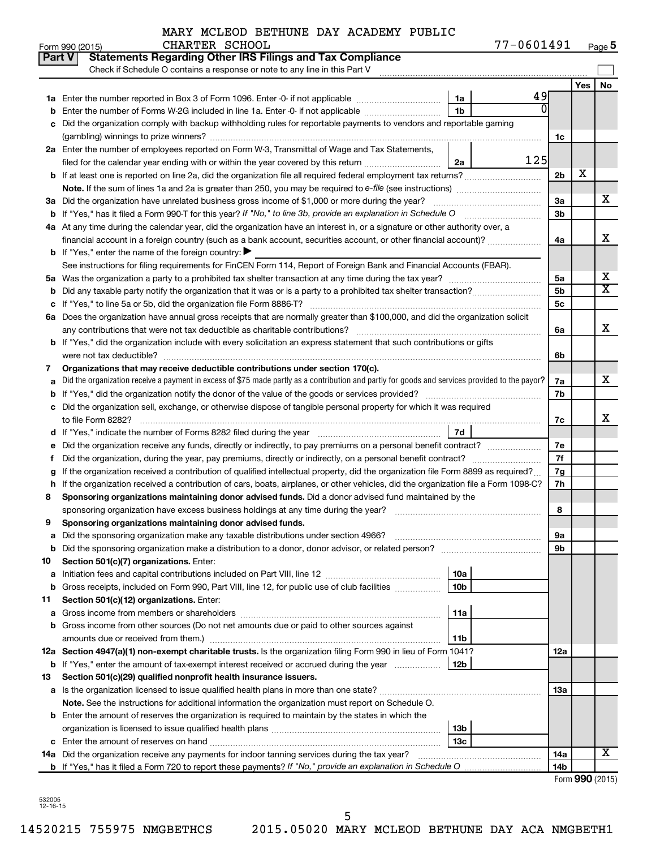| Form 990 (2015) | CHARTER SCHOOL | 77-0601491<br>Page 5 |
|-----------------|----------------|----------------------|
|-----------------|----------------|----------------------|

| Check if Schedule O contains a response or note to any line in this Part V<br>Yes<br>49<br>1a<br>0<br>1b<br>Enter the number of Forms W-2G included in line 1a. Enter -0- if not applicable<br>b<br>Did the organization comply with backup withholding rules for reportable payments to vendors and reportable gaming<br>c<br>1c<br>2a Enter the number of employees reported on Form W-3, Transmittal of Wage and Tax Statements,<br>125<br>filed for the calendar year ending with or within the year covered by this return<br>2a<br>х<br>2b<br>3a Did the organization have unrelated business gross income of \$1,000 or more during the year?<br>За<br>3b<br>4a At any time during the calendar year, did the organization have an interest in, or a signature or other authority over, a<br>financial account in a foreign country (such as a bank account, securities account, or other financial account)?<br>4a<br><b>b</b> If "Yes," enter the name of the foreign country: $\blacktriangleright$<br>See instructions for filing requirements for FinCEN Form 114, Report of Foreign Bank and Financial Accounts (FBAR).<br>5a<br>5b<br>5c<br>6a Does the organization have annual gross receipts that are normally greater than \$100,000, and did the organization solicit<br>6a |                         |
|------------------------------------------------------------------------------------------------------------------------------------------------------------------------------------------------------------------------------------------------------------------------------------------------------------------------------------------------------------------------------------------------------------------------------------------------------------------------------------------------------------------------------------------------------------------------------------------------------------------------------------------------------------------------------------------------------------------------------------------------------------------------------------------------------------------------------------------------------------------------------------------------------------------------------------------------------------------------------------------------------------------------------------------------------------------------------------------------------------------------------------------------------------------------------------------------------------------------------------------------------------------------------------------------|-------------------------|
|                                                                                                                                                                                                                                                                                                                                                                                                                                                                                                                                                                                                                                                                                                                                                                                                                                                                                                                                                                                                                                                                                                                                                                                                                                                                                                |                         |
|                                                                                                                                                                                                                                                                                                                                                                                                                                                                                                                                                                                                                                                                                                                                                                                                                                                                                                                                                                                                                                                                                                                                                                                                                                                                                                | No                      |
|                                                                                                                                                                                                                                                                                                                                                                                                                                                                                                                                                                                                                                                                                                                                                                                                                                                                                                                                                                                                                                                                                                                                                                                                                                                                                                |                         |
|                                                                                                                                                                                                                                                                                                                                                                                                                                                                                                                                                                                                                                                                                                                                                                                                                                                                                                                                                                                                                                                                                                                                                                                                                                                                                                |                         |
|                                                                                                                                                                                                                                                                                                                                                                                                                                                                                                                                                                                                                                                                                                                                                                                                                                                                                                                                                                                                                                                                                                                                                                                                                                                                                                |                         |
|                                                                                                                                                                                                                                                                                                                                                                                                                                                                                                                                                                                                                                                                                                                                                                                                                                                                                                                                                                                                                                                                                                                                                                                                                                                                                                |                         |
|                                                                                                                                                                                                                                                                                                                                                                                                                                                                                                                                                                                                                                                                                                                                                                                                                                                                                                                                                                                                                                                                                                                                                                                                                                                                                                |                         |
|                                                                                                                                                                                                                                                                                                                                                                                                                                                                                                                                                                                                                                                                                                                                                                                                                                                                                                                                                                                                                                                                                                                                                                                                                                                                                                |                         |
|                                                                                                                                                                                                                                                                                                                                                                                                                                                                                                                                                                                                                                                                                                                                                                                                                                                                                                                                                                                                                                                                                                                                                                                                                                                                                                |                         |
|                                                                                                                                                                                                                                                                                                                                                                                                                                                                                                                                                                                                                                                                                                                                                                                                                                                                                                                                                                                                                                                                                                                                                                                                                                                                                                |                         |
|                                                                                                                                                                                                                                                                                                                                                                                                                                                                                                                                                                                                                                                                                                                                                                                                                                                                                                                                                                                                                                                                                                                                                                                                                                                                                                | x                       |
|                                                                                                                                                                                                                                                                                                                                                                                                                                                                                                                                                                                                                                                                                                                                                                                                                                                                                                                                                                                                                                                                                                                                                                                                                                                                                                |                         |
|                                                                                                                                                                                                                                                                                                                                                                                                                                                                                                                                                                                                                                                                                                                                                                                                                                                                                                                                                                                                                                                                                                                                                                                                                                                                                                |                         |
|                                                                                                                                                                                                                                                                                                                                                                                                                                                                                                                                                                                                                                                                                                                                                                                                                                                                                                                                                                                                                                                                                                                                                                                                                                                                                                | x                       |
|                                                                                                                                                                                                                                                                                                                                                                                                                                                                                                                                                                                                                                                                                                                                                                                                                                                                                                                                                                                                                                                                                                                                                                                                                                                                                                |                         |
|                                                                                                                                                                                                                                                                                                                                                                                                                                                                                                                                                                                                                                                                                                                                                                                                                                                                                                                                                                                                                                                                                                                                                                                                                                                                                                |                         |
|                                                                                                                                                                                                                                                                                                                                                                                                                                                                                                                                                                                                                                                                                                                                                                                                                                                                                                                                                                                                                                                                                                                                                                                                                                                                                                | x                       |
|                                                                                                                                                                                                                                                                                                                                                                                                                                                                                                                                                                                                                                                                                                                                                                                                                                                                                                                                                                                                                                                                                                                                                                                                                                                                                                | $\overline{\mathbf{X}}$ |
|                                                                                                                                                                                                                                                                                                                                                                                                                                                                                                                                                                                                                                                                                                                                                                                                                                                                                                                                                                                                                                                                                                                                                                                                                                                                                                |                         |
|                                                                                                                                                                                                                                                                                                                                                                                                                                                                                                                                                                                                                                                                                                                                                                                                                                                                                                                                                                                                                                                                                                                                                                                                                                                                                                |                         |
|                                                                                                                                                                                                                                                                                                                                                                                                                                                                                                                                                                                                                                                                                                                                                                                                                                                                                                                                                                                                                                                                                                                                                                                                                                                                                                | x                       |
| <b>b</b> If "Yes," did the organization include with every solicitation an express statement that such contributions or gifts                                                                                                                                                                                                                                                                                                                                                                                                                                                                                                                                                                                                                                                                                                                                                                                                                                                                                                                                                                                                                                                                                                                                                                  |                         |
| were not tax deductible?<br>6b                                                                                                                                                                                                                                                                                                                                                                                                                                                                                                                                                                                                                                                                                                                                                                                                                                                                                                                                                                                                                                                                                                                                                                                                                                                                 |                         |
| Organizations that may receive deductible contributions under section 170(c).<br>7                                                                                                                                                                                                                                                                                                                                                                                                                                                                                                                                                                                                                                                                                                                                                                                                                                                                                                                                                                                                                                                                                                                                                                                                             |                         |
| Did the organization receive a payment in excess of \$75 made partly as a contribution and partly for goods and services provided to the payor?<br>7a<br>а                                                                                                                                                                                                                                                                                                                                                                                                                                                                                                                                                                                                                                                                                                                                                                                                                                                                                                                                                                                                                                                                                                                                     | x                       |
| 7b                                                                                                                                                                                                                                                                                                                                                                                                                                                                                                                                                                                                                                                                                                                                                                                                                                                                                                                                                                                                                                                                                                                                                                                                                                                                                             |                         |
| c Did the organization sell, exchange, or otherwise dispose of tangible personal property for which it was required                                                                                                                                                                                                                                                                                                                                                                                                                                                                                                                                                                                                                                                                                                                                                                                                                                                                                                                                                                                                                                                                                                                                                                            |                         |
| 7c                                                                                                                                                                                                                                                                                                                                                                                                                                                                                                                                                                                                                                                                                                                                                                                                                                                                                                                                                                                                                                                                                                                                                                                                                                                                                             | x                       |
| 7d                                                                                                                                                                                                                                                                                                                                                                                                                                                                                                                                                                                                                                                                                                                                                                                                                                                                                                                                                                                                                                                                                                                                                                                                                                                                                             |                         |
| 7e                                                                                                                                                                                                                                                                                                                                                                                                                                                                                                                                                                                                                                                                                                                                                                                                                                                                                                                                                                                                                                                                                                                                                                                                                                                                                             |                         |
| 7f<br>Ť.                                                                                                                                                                                                                                                                                                                                                                                                                                                                                                                                                                                                                                                                                                                                                                                                                                                                                                                                                                                                                                                                                                                                                                                                                                                                                       |                         |
| If the organization received a contribution of qualified intellectual property, did the organization file Form 8899 as required?<br>7g<br>g                                                                                                                                                                                                                                                                                                                                                                                                                                                                                                                                                                                                                                                                                                                                                                                                                                                                                                                                                                                                                                                                                                                                                    |                         |
| 7h<br>h If the organization received a contribution of cars, boats, airplanes, or other vehicles, did the organization file a Form 1098-C?                                                                                                                                                                                                                                                                                                                                                                                                                                                                                                                                                                                                                                                                                                                                                                                                                                                                                                                                                                                                                                                                                                                                                     |                         |
| Sponsoring organizations maintaining donor advised funds. Did a donor advised fund maintained by the<br>8                                                                                                                                                                                                                                                                                                                                                                                                                                                                                                                                                                                                                                                                                                                                                                                                                                                                                                                                                                                                                                                                                                                                                                                      |                         |
| sponsoring organization have excess business holdings at any time during the year?<br>8                                                                                                                                                                                                                                                                                                                                                                                                                                                                                                                                                                                                                                                                                                                                                                                                                                                                                                                                                                                                                                                                                                                                                                                                        |                         |
| Sponsoring organizations maintaining donor advised funds.<br>9                                                                                                                                                                                                                                                                                                                                                                                                                                                                                                                                                                                                                                                                                                                                                                                                                                                                                                                                                                                                                                                                                                                                                                                                                                 |                         |
| 9а                                                                                                                                                                                                                                                                                                                                                                                                                                                                                                                                                                                                                                                                                                                                                                                                                                                                                                                                                                                                                                                                                                                                                                                                                                                                                             |                         |
| Did the sponsoring organization make a distribution to a donor, donor advisor, or related person?<br>9b<br>b                                                                                                                                                                                                                                                                                                                                                                                                                                                                                                                                                                                                                                                                                                                                                                                                                                                                                                                                                                                                                                                                                                                                                                                   |                         |
| Section 501(c)(7) organizations. Enter:<br>10                                                                                                                                                                                                                                                                                                                                                                                                                                                                                                                                                                                                                                                                                                                                                                                                                                                                                                                                                                                                                                                                                                                                                                                                                                                  |                         |
| 10a<br>а                                                                                                                                                                                                                                                                                                                                                                                                                                                                                                                                                                                                                                                                                                                                                                                                                                                                                                                                                                                                                                                                                                                                                                                                                                                                                       |                         |
| Gross receipts, included on Form 990, Part VIII, line 12, for public use of club facilities<br>10b<br>b                                                                                                                                                                                                                                                                                                                                                                                                                                                                                                                                                                                                                                                                                                                                                                                                                                                                                                                                                                                                                                                                                                                                                                                        |                         |
| Section 501(c)(12) organizations. Enter:<br>11                                                                                                                                                                                                                                                                                                                                                                                                                                                                                                                                                                                                                                                                                                                                                                                                                                                                                                                                                                                                                                                                                                                                                                                                                                                 |                         |
| 11a<br>а                                                                                                                                                                                                                                                                                                                                                                                                                                                                                                                                                                                                                                                                                                                                                                                                                                                                                                                                                                                                                                                                                                                                                                                                                                                                                       |                         |
| Gross income from other sources (Do not net amounts due or paid to other sources against<br>b                                                                                                                                                                                                                                                                                                                                                                                                                                                                                                                                                                                                                                                                                                                                                                                                                                                                                                                                                                                                                                                                                                                                                                                                  |                         |
| amounts due or received from them.)<br>11b                                                                                                                                                                                                                                                                                                                                                                                                                                                                                                                                                                                                                                                                                                                                                                                                                                                                                                                                                                                                                                                                                                                                                                                                                                                     |                         |
| 12a Section 4947(a)(1) non-exempt charitable trusts. Is the organization filing Form 990 in lieu of Form 1041?<br>12a                                                                                                                                                                                                                                                                                                                                                                                                                                                                                                                                                                                                                                                                                                                                                                                                                                                                                                                                                                                                                                                                                                                                                                          |                         |
| If "Yes," enter the amount of tax-exempt interest received or accrued during the year<br>12b<br>b                                                                                                                                                                                                                                                                                                                                                                                                                                                                                                                                                                                                                                                                                                                                                                                                                                                                                                                                                                                                                                                                                                                                                                                              |                         |
| Section 501(c)(29) qualified nonprofit health insurance issuers.<br>13                                                                                                                                                                                                                                                                                                                                                                                                                                                                                                                                                                                                                                                                                                                                                                                                                                                                                                                                                                                                                                                                                                                                                                                                                         |                         |
| 13a                                                                                                                                                                                                                                                                                                                                                                                                                                                                                                                                                                                                                                                                                                                                                                                                                                                                                                                                                                                                                                                                                                                                                                                                                                                                                            |                         |
| <b>Note.</b> See the instructions for additional information the organization must report on Schedule O.                                                                                                                                                                                                                                                                                                                                                                                                                                                                                                                                                                                                                                                                                                                                                                                                                                                                                                                                                                                                                                                                                                                                                                                       |                         |
| <b>b</b> Enter the amount of reserves the organization is required to maintain by the states in which the                                                                                                                                                                                                                                                                                                                                                                                                                                                                                                                                                                                                                                                                                                                                                                                                                                                                                                                                                                                                                                                                                                                                                                                      |                         |
| 13b                                                                                                                                                                                                                                                                                                                                                                                                                                                                                                                                                                                                                                                                                                                                                                                                                                                                                                                                                                                                                                                                                                                                                                                                                                                                                            |                         |
| 13с                                                                                                                                                                                                                                                                                                                                                                                                                                                                                                                                                                                                                                                                                                                                                                                                                                                                                                                                                                                                                                                                                                                                                                                                                                                                                            |                         |
| 14a Did the organization receive any payments for indoor tanning services during the tax year?<br>14a                                                                                                                                                                                                                                                                                                                                                                                                                                                                                                                                                                                                                                                                                                                                                                                                                                                                                                                                                                                                                                                                                                                                                                                          | х                       |
| 14b<br>$T_{\text{arm}}$ 000 (0015)                                                                                                                                                                                                                                                                                                                                                                                                                                                                                                                                                                                                                                                                                                                                                                                                                                                                                                                                                                                                                                                                                                                                                                                                                                                             |                         |

532005 12-16-15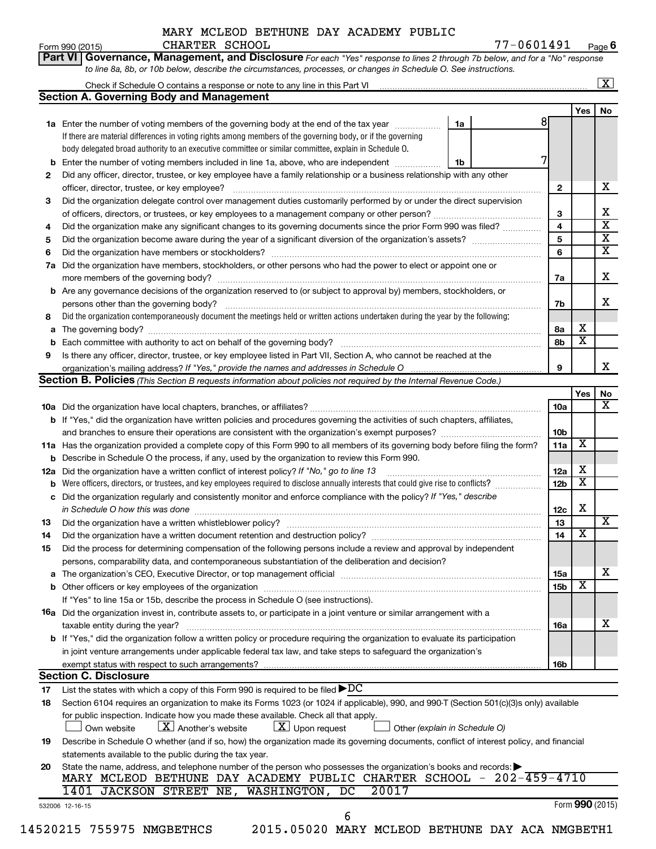**Part VI** Governance, Management, and Disclosure For each "Yes" response to lines 2 through 7b below, and for a "No" response

Form 990 (2015) CHARTER SCHOOL 77-0 6 0 1 4 9 1 <sub>Page</sub> **6**

|                      | <b>Section A. Governing Body and Management</b>                                                                                           |                               |                 |                         | No |
|----------------------|-------------------------------------------------------------------------------------------------------------------------------------------|-------------------------------|-----------------|-------------------------|----|
|                      |                                                                                                                                           |                               | 8               | Yes                     |    |
|                      | 1a Enter the number of voting members of the governing body at the end of the tax year                                                    | 1a                            |                 |                         |    |
|                      | If there are material differences in voting rights among members of the governing body, or if the governing                               |                               |                 |                         |    |
|                      | body delegated broad authority to an executive committee or similar committee, explain in Schedule O.                                     |                               |                 |                         |    |
| b                    | Enter the number of voting members included in line 1a, above, who are independent <i>manamerican</i>                                     | 1b                            | 7               |                         |    |
| 2                    | Did any officer, director, trustee, or key employee have a family relationship or a business relationship with any other                  |                               |                 |                         |    |
|                      |                                                                                                                                           |                               | $\mathbf{2}$    |                         |    |
| 3                    | Did the organization delegate control over management duties customarily performed by or under the direct supervision                     |                               |                 |                         |    |
|                      |                                                                                                                                           |                               | з               |                         |    |
| 4                    | Did the organization make any significant changes to its governing documents since the prior Form 990 was filed?                          |                               | 4               |                         |    |
| 5                    |                                                                                                                                           |                               | 5               |                         |    |
| 6                    |                                                                                                                                           |                               | 6               |                         |    |
| 7a                   | Did the organization have members, stockholders, or other persons who had the power to elect or appoint one or                            |                               |                 |                         |    |
|                      |                                                                                                                                           |                               | 7a              |                         |    |
|                      | <b>b</b> Are any governance decisions of the organization reserved to (or subject to approval by) members, stockholders, or               |                               |                 |                         |    |
|                      | persons other than the governing body?                                                                                                    |                               | 7b              |                         |    |
| 8                    | Did the organization contemporaneously document the meetings held or written actions undertaken during the year by the following:         |                               |                 |                         |    |
|                      |                                                                                                                                           |                               | 8a              | x                       |    |
|                      |                                                                                                                                           |                               | 8b              | $\overline{\textbf{x}}$ |    |
|                      |                                                                                                                                           |                               |                 |                         |    |
| 9                    | Is there any officer, director, trustee, or key employee listed in Part VII, Section A, who cannot be reached at the                      |                               |                 |                         |    |
|                      |                                                                                                                                           |                               | 9               |                         |    |
|                      | Section B. Policies (This Section B requests information about policies not required by the Internal Revenue Code.)                       |                               |                 |                         |    |
|                      |                                                                                                                                           |                               |                 | Yes                     |    |
|                      |                                                                                                                                           |                               | 10a             |                         |    |
|                      | <b>b</b> If "Yes," did the organization have written policies and procedures governing the activities of such chapters, affiliates,       |                               |                 |                         |    |
|                      | and branches to ensure their operations are consistent with the organization's exempt purposes? manused consumed                          |                               | 10b             |                         |    |
|                      | 11a Has the organization provided a complete copy of this Form 990 to all members of its governing body before filing the form?           |                               | 11a             | X                       |    |
|                      | <b>b</b> Describe in Schedule O the process, if any, used by the organization to review this Form 990.                                    |                               |                 |                         |    |
|                      | 12a Did the organization have a written conflict of interest policy? If "No," go to line 13                                               |                               | 12a             | х                       |    |
|                      |                                                                                                                                           |                               | 12 <sub>b</sub> | $\overline{\textbf{x}}$ |    |
|                      | c Did the organization regularly and consistently monitor and enforce compliance with the policy? If "Yes," describe                      |                               |                 |                         |    |
|                      | in Schedule O how this was done manufactured and continuum and contact the way to the set of the set of the schedule O how this was done  |                               | 12c             | X                       |    |
| 13                   |                                                                                                                                           |                               | 13              |                         |    |
| 14                   | Did the organization have a written document retention and destruction policy? [11] manufaction manufaction in                            |                               | 14              | х                       |    |
| 15                   | Did the process for determining compensation of the following persons include a review and approval by independent                        |                               |                 |                         |    |
|                      | persons, comparability data, and contemporaneous substantiation of the deliberation and decision?                                         |                               |                 |                         |    |
|                      |                                                                                                                                           |                               |                 |                         |    |
|                      |                                                                                                                                           |                               |                 |                         |    |
|                      |                                                                                                                                           |                               | 15a             | х                       |    |
|                      |                                                                                                                                           |                               | 15b             |                         |    |
|                      | If "Yes" to line 15a or 15b, describe the process in Schedule O (see instructions).                                                       |                               |                 |                         |    |
|                      | 16a Did the organization invest in, contribute assets to, or participate in a joint venture or similar arrangement with a                 |                               |                 |                         |    |
|                      | taxable entity during the year?                                                                                                           |                               | 16a             |                         |    |
|                      | b If "Yes," did the organization follow a written policy or procedure requiring the organization to evaluate its participation            |                               |                 |                         |    |
|                      | in joint venture arrangements under applicable federal tax law, and take steps to safeguard the organization's                            |                               |                 |                         |    |
|                      | exempt status with respect to such arrangements?                                                                                          |                               | 16b             |                         |    |
|                      | <b>Section C. Disclosure</b>                                                                                                              |                               |                 |                         |    |
|                      | List the states with which a copy of this Form 990 is required to be filed $\blacktriangleright DC$                                       |                               |                 |                         |    |
|                      | Section 6104 requires an organization to make its Forms 1023 (or 1024 if applicable), 990, and 990-T (Section 501(c)(3)s only) available  |                               |                 |                         |    |
|                      | for public inspection. Indicate how you made these available. Check all that apply.                                                       |                               |                 |                         |    |
|                      | $\lfloor x \rfloor$ Upon request<br>$\lfloor X \rfloor$ Another's website<br>Own website                                                  | Other (explain in Schedule O) |                 |                         |    |
|                      | Describe in Schedule O whether (and if so, how) the organization made its governing documents, conflict of interest policy, and financial |                               |                 |                         |    |
|                      | statements available to the public during the tax year.                                                                                   |                               |                 |                         |    |
| 17<br>18<br>19<br>20 | State the name, address, and telephone number of the person who possesses the organization's books and records:                           |                               |                 |                         |    |
|                      | MARY MCLEOD BETHUNE DAY ACADEMY PUBLIC CHARTER SCHOOL - 202-459-4710                                                                      |                               |                 |                         |    |
|                      | 1401 JACKSON STREET NE, WASHINGTON, DC<br>20017                                                                                           |                               |                 |                         |    |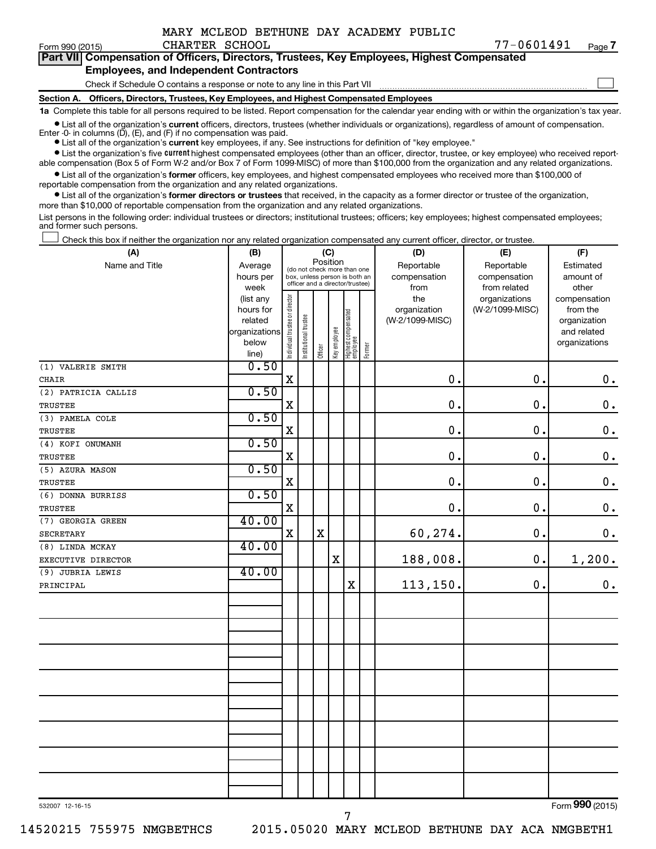|  |  | MARY MCLEOD BETHUNE DAY ACADEMY PUBLIC |  |
|--|--|----------------------------------------|--|
|  |  |                                        |  |

 $\Box$ 

|  | Part VII Compensation of Officers, Directors, Trustees, Key Employees, Highest Compensated |  |  |  |
|--|--------------------------------------------------------------------------------------------|--|--|--|
|  | <b>Employees, and Independent Contractors</b>                                              |  |  |  |

Check if Schedule O contains a response or note to any line in this Part VII

**Section A. Officers, Directors, Trustees, Key Employees, and Highest Compensated Employees**

**1a**  Complete this table for all persons required to be listed. Report compensation for the calendar year ending with or within the organization's tax year.

**•** List all of the organization's current officers, directors, trustees (whether individuals or organizations), regardless of amount of compensation.

**•** List all of the organization's **current** key employees, if any. See instructions for definition of "key employee." Enter -0- in columns  $(D)$ ,  $(E)$ , and  $(F)$  if no compensation was paid.

**•** List the organization's five current highest compensated employees (other than an officer, director, trustee, or key employee) who received reportable compensation (Box 5 of Form W-2 and/or Box 7 of Form 1099-MISC) of more than \$100,000 from the organization and any related organizations.

**•** List all of the organization's former officers, key employees, and highest compensated employees who received more than \$100,000 of reportable compensation from the organization and any related organizations.

**•** List all of the organization's former directors or trustees that received, in the capacity as a former director or trustee of the organization, more than \$10,000 of reportable compensation from the organization and any related organizations.

List persons in the following order: individual trustees or directors; institutional trustees; officers; key employees; highest compensated employees; and former such persons.

Check this box if neither the organization nor any related organization compensated any current officer, director, or trustee.  $\Box$ 

| (A)                 | (B)                    |                                         |                                                                  | (C)         |              |                                   |        | (D)             | (E)             | (F)                          |
|---------------------|------------------------|-----------------------------------------|------------------------------------------------------------------|-------------|--------------|-----------------------------------|--------|-----------------|-----------------|------------------------------|
| Name and Title      | Average                | Position<br>(do not check more than one |                                                                  |             |              |                                   |        | Reportable      | Reportable      | Estimated                    |
|                     | hours per              |                                         | box, unless person is both an<br>officer and a director/trustee) |             |              |                                   |        | compensation    | compensation    | amount of                    |
|                     | week                   |                                         |                                                                  |             |              |                                   |        | from            | from related    | other                        |
|                     | (list any              |                                         |                                                                  |             |              |                                   |        | the             | organizations   | compensation                 |
|                     | hours for              |                                         |                                                                  |             |              |                                   |        | organization    | (W-2/1099-MISC) | from the                     |
|                     | related                |                                         |                                                                  |             |              |                                   |        | (W-2/1099-MISC) |                 | organization                 |
|                     | organizations<br>below |                                         |                                                                  |             |              |                                   |        |                 |                 | and related<br>organizations |
|                     | line)                  | Individual trustee or director          | Institutional trustee                                            | Officer     | Key employee | Highest compensated<br>  employee | Former |                 |                 |                              |
| (1) VALERIE SMITH   | 0.50                   |                                         |                                                                  |             |              |                                   |        |                 |                 |                              |
| <b>CHAIR</b>        |                        | $\mathbf X$                             |                                                                  |             |              |                                   |        | $\mathbf 0$ .   | 0.              | $\boldsymbol{0}$ .           |
| (2) PATRICIA CALLIS | 0.50                   |                                         |                                                                  |             |              |                                   |        |                 |                 |                              |
| TRUSTEE             |                        | $\mathbf X$                             |                                                                  |             |              |                                   |        | $\mathbf 0$ .   | 0.              | $\mathbf 0$ .                |
| (3) PAMELA COLE     | 0.50                   |                                         |                                                                  |             |              |                                   |        |                 |                 |                              |
| <b>TRUSTEE</b>      |                        | X                                       |                                                                  |             |              |                                   |        | $\mathbf 0$ .   | 0.              | $\mathbf 0$ .                |
| (4) KOFI ONUMANH    | 0.50                   |                                         |                                                                  |             |              |                                   |        |                 |                 |                              |
| TRUSTEE             |                        | $\mathbf X$                             |                                                                  |             |              |                                   |        | $\mathbf 0$ .   | 0.              | $\mathbf 0$ .                |
| (5) AZURA MASON     | 0.50                   |                                         |                                                                  |             |              |                                   |        |                 |                 |                              |
| <b>TRUSTEE</b>      |                        | $\mathbf X$                             |                                                                  |             |              |                                   |        | $\mathbf 0$ .   | 0.              | $\boldsymbol{0}$ .           |
| (6) DONNA BURRISS   | 0.50                   |                                         |                                                                  |             |              |                                   |        |                 |                 |                              |
| <b>TRUSTEE</b>      |                        | $\mathbf X$                             |                                                                  |             |              |                                   |        | $\mathbf 0$ .   | 0.              | $\mathbf 0$ .                |
| (7) GEORGIA GREEN   | 40.00                  |                                         |                                                                  |             |              |                                   |        |                 |                 |                              |
| <b>SECRETARY</b>    |                        | X                                       |                                                                  | $\mathbf X$ |              |                                   |        | 60,274.         | $\mathbf 0$ .   | $\mathbf 0$ .                |
| (8) LINDA MCKAY     | 40.00                  |                                         |                                                                  |             |              |                                   |        |                 |                 |                              |
| EXECUTIVE DIRECTOR  |                        |                                         |                                                                  |             | $\mathbf x$  |                                   |        | 188,008.        | $\mathbf 0$ .   | 1,200.                       |
| (9) JUBRIA LEWIS    | 40.00                  |                                         |                                                                  |             |              |                                   |        |                 |                 |                              |
| PRINCIPAL           |                        |                                         |                                                                  |             |              | $\mathbf x$                       |        | 113,150.        | $\mathbf 0$ .   | 0.                           |
|                     |                        |                                         |                                                                  |             |              |                                   |        |                 |                 |                              |
|                     |                        |                                         |                                                                  |             |              |                                   |        |                 |                 |                              |
|                     |                        |                                         |                                                                  |             |              |                                   |        |                 |                 |                              |
|                     |                        |                                         |                                                                  |             |              |                                   |        |                 |                 |                              |
|                     |                        |                                         |                                                                  |             |              |                                   |        |                 |                 |                              |
|                     |                        |                                         |                                                                  |             |              |                                   |        |                 |                 |                              |
|                     |                        |                                         |                                                                  |             |              |                                   |        |                 |                 |                              |
|                     |                        |                                         |                                                                  |             |              |                                   |        |                 |                 |                              |
|                     |                        |                                         |                                                                  |             |              |                                   |        |                 |                 |                              |
|                     |                        |                                         |                                                                  |             |              |                                   |        |                 |                 |                              |
|                     |                        |                                         |                                                                  |             |              |                                   |        |                 |                 |                              |
|                     |                        |                                         |                                                                  |             |              |                                   |        |                 |                 |                              |
|                     |                        |                                         |                                                                  |             |              |                                   |        |                 |                 |                              |
|                     |                        |                                         |                                                                  |             |              |                                   |        |                 |                 |                              |
|                     |                        |                                         |                                                                  |             |              |                                   |        |                 |                 |                              |

7

532007 12-16-15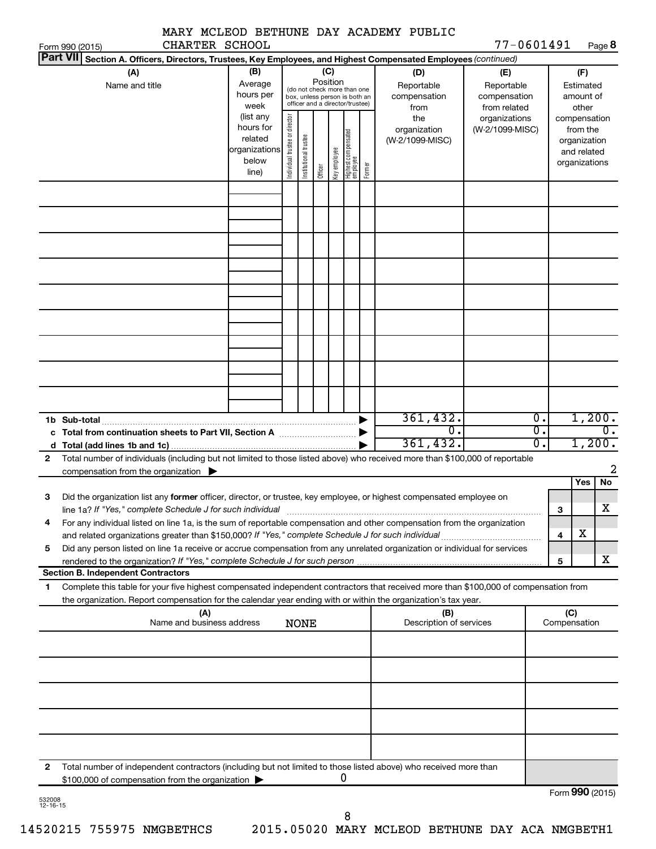|                                                                                                                                                                                                                                                  |                                                                              |                                |                       |          |              |                                                                                                 |        | MARY MCLEOD BETHUNE DAY ACADEMY PUBLIC         |                         |                                                  |              |                                                                                   |                          |
|--------------------------------------------------------------------------------------------------------------------------------------------------------------------------------------------------------------------------------------------------|------------------------------------------------------------------------------|--------------------------------|-----------------------|----------|--------------|-------------------------------------------------------------------------------------------------|--------|------------------------------------------------|-------------------------|--------------------------------------------------|--------------|-----------------------------------------------------------------------------------|--------------------------|
| CHARTER SCHOOL<br>Form 990 (2015)<br><b>Part VII</b><br>Section A. Officers, Directors, Trustees, Key Employees, and Highest Compensated Employees (continued)                                                                                   |                                                                              |                                |                       |          |              |                                                                                                 |        |                                                |                         | 77-0601491                                       |              |                                                                                   | Page 8                   |
| (A)<br>Name and title                                                                                                                                                                                                                            | (B)<br>Average<br>hours per                                                  |                                |                       | Position | (C)          | (do not check more than one<br>box, unless person is both an<br>officer and a director/trustee) |        | (D)<br>Reportable<br>compensation              |                         | (E)<br>Reportable<br>compensation                |              | (F)<br>Estimated<br>amount of                                                     |                          |
|                                                                                                                                                                                                                                                  | week<br>(list any<br>hours for<br>related<br>organizations<br>below<br>line) | Individual trustee or director | Institutional trustee | Officer  | Key employee | Highest compensated<br>employee                                                                 | Former | from<br>the<br>organization<br>(W-2/1099-MISC) |                         | from related<br>organizations<br>(W-2/1099-MISC) |              | other<br>compensation<br>from the<br>organization<br>and related<br>organizations |                          |
|                                                                                                                                                                                                                                                  |                                                                              |                                |                       |          |              |                                                                                                 |        |                                                |                         |                                                  |              |                                                                                   |                          |
|                                                                                                                                                                                                                                                  |                                                                              |                                |                       |          |              |                                                                                                 |        |                                                |                         |                                                  |              |                                                                                   |                          |
|                                                                                                                                                                                                                                                  |                                                                              |                                |                       |          |              |                                                                                                 |        |                                                |                         |                                                  |              |                                                                                   |                          |
|                                                                                                                                                                                                                                                  |                                                                              |                                |                       |          |              |                                                                                                 |        |                                                |                         |                                                  |              |                                                                                   |                          |
|                                                                                                                                                                                                                                                  |                                                                              |                                |                       |          |              |                                                                                                 |        |                                                |                         |                                                  |              |                                                                                   |                          |
|                                                                                                                                                                                                                                                  |                                                                              |                                |                       |          |              |                                                                                                 |        |                                                |                         |                                                  |              |                                                                                   |                          |
| 1b Sub-total                                                                                                                                                                                                                                     |                                                                              |                                |                       |          |              |                                                                                                 |        | 361,432.                                       |                         | $\overline{0}$ .                                 |              |                                                                                   | 1,200.                   |
|                                                                                                                                                                                                                                                  |                                                                              |                                |                       |          |              |                                                                                                 |        | 361, 432.                                      | $\overline{0}$ .        | $\overline{\mathfrak{o}}$ .<br>σ.                |              |                                                                                   | $\mathbf{0}$ .<br>1,200. |
| Total number of individuals (including but not limited to those listed above) who received more than \$100,000 of reportable<br>2<br>compensation from the organization $\blacktriangleright$                                                    |                                                                              |                                |                       |          |              |                                                                                                 |        |                                                |                         |                                                  |              |                                                                                   | 2                        |
| Did the organization list any former officer, director, or trustee, key employee, or highest compensated employee on<br>з                                                                                                                        |                                                                              |                                |                       |          |              |                                                                                                 |        |                                                |                         |                                                  |              | Yes                                                                               | No                       |
| line 1a? If "Yes," complete Schedule J for such individual manufactured content content from the content of the<br>For any individual listed on line 1a, is the sum of reportable compensation and other compensation from the organization<br>4 |                                                                              |                                |                       |          |              |                                                                                                 |        |                                                |                         |                                                  | 3            |                                                                                   | $\overline{\text{X}}$    |
| Did any person listed on line 1a receive or accrue compensation from any unrelated organization or individual for services<br>5                                                                                                                  |                                                                              |                                |                       |          |              |                                                                                                 |        |                                                |                         |                                                  | 4            | x                                                                                 |                          |
|                                                                                                                                                                                                                                                  |                                                                              |                                |                       |          |              |                                                                                                 |        |                                                |                         |                                                  | 5            |                                                                                   | x                        |
| <b>Section B. Independent Contractors</b><br>Complete this table for your five highest compensated independent contractors that received more than \$100,000 of compensation from<br>1                                                           |                                                                              |                                |                       |          |              |                                                                                                 |        |                                                |                         |                                                  |              |                                                                                   |                          |
| the organization. Report compensation for the calendar year ending with or within the organization's tax year.<br>(A)                                                                                                                            |                                                                              |                                |                       |          |              |                                                                                                 |        |                                                | (B)                     |                                                  |              | (C)                                                                               |                          |
| Name and business address                                                                                                                                                                                                                        |                                                                              |                                | <b>NONE</b>           |          |              |                                                                                                 |        |                                                | Description of services |                                                  | Compensation |                                                                                   |                          |
|                                                                                                                                                                                                                                                  |                                                                              |                                |                       |          |              |                                                                                                 |        |                                                |                         |                                                  |              |                                                                                   |                          |
|                                                                                                                                                                                                                                                  |                                                                              |                                |                       |          |              |                                                                                                 |        |                                                |                         |                                                  |              |                                                                                   |                          |
|                                                                                                                                                                                                                                                  |                                                                              |                                |                       |          |              |                                                                                                 |        |                                                |                         |                                                  |              |                                                                                   |                          |
| Total number of independent contractors (including but not limited to those listed above) who received more than<br>2                                                                                                                            |                                                                              |                                |                       |          |              |                                                                                                 |        |                                                |                         |                                                  |              |                                                                                   |                          |
| \$100,000 of compensation from the organization                                                                                                                                                                                                  |                                                                              |                                |                       |          |              | 0                                                                                               |        |                                                |                         |                                                  |              |                                                                                   | Form 990 (2015)          |

532008 12-16-15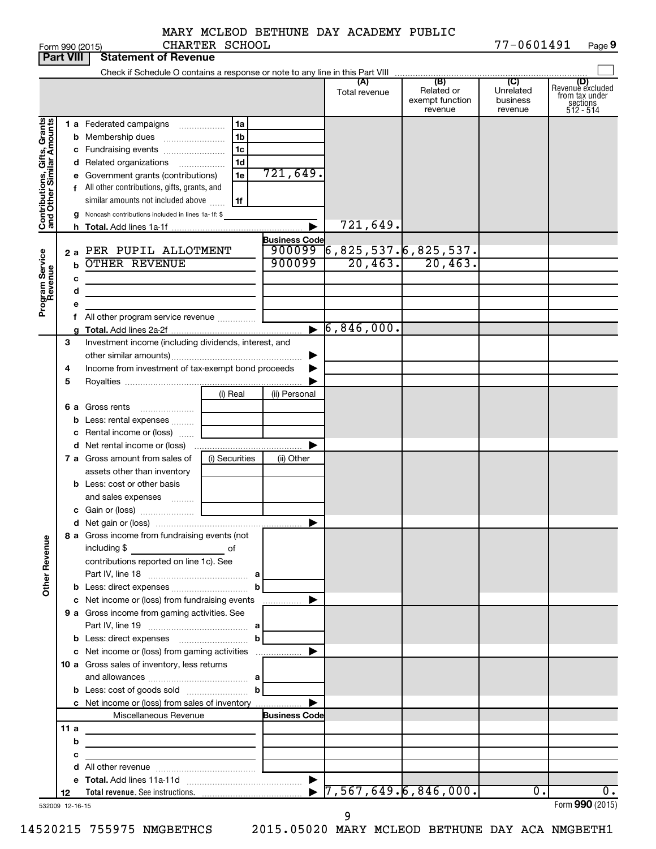MARY MCLEOD BETHUNE DAY ACADEMY PUBLIC CHARTER SCHOOL

|                                                           | <b>Part VIII</b> | <b>Statement of Revenue</b>                                                                                           |                |                      |                                                   |                                                 |                                         |                                                                    |
|-----------------------------------------------------------|------------------|-----------------------------------------------------------------------------------------------------------------------|----------------|----------------------|---------------------------------------------------|-------------------------------------------------|-----------------------------------------|--------------------------------------------------------------------|
|                                                           |                  |                                                                                                                       |                |                      |                                                   |                                                 |                                         |                                                                    |
|                                                           |                  |                                                                                                                       |                |                      | (A)<br>Total revenue                              | (B)<br>Related or<br>exempt function<br>revenue | (C)<br>Unrelated<br>business<br>revenue | (D)<br>Revenue excluded<br>from tax under<br>sections<br>512 - 514 |
|                                                           |                  | 1 a Federated campaigns                                                                                               | 1a             |                      |                                                   |                                                 |                                         |                                                                    |
|                                                           |                  | <b>b</b> Membership dues                                                                                              | 1b             |                      |                                                   |                                                 |                                         |                                                                    |
|                                                           |                  | c Fundraising events                                                                                                  | 1c             |                      |                                                   |                                                 |                                         |                                                                    |
| Contributions, Gifts, Grants<br>and Other Similar Amounts |                  | <b>d</b> Related organizations                                                                                        | 1d<br>.        | 721,649.             |                                                   |                                                 |                                         |                                                                    |
|                                                           |                  | e Government grants (contributions)                                                                                   | 1e             |                      |                                                   |                                                 |                                         |                                                                    |
|                                                           |                  | f All other contributions, gifts, grants, and<br>similar amounts not included above                                   | 1f             |                      |                                                   |                                                 |                                         |                                                                    |
|                                                           |                  | g Noncash contributions included in lines 1a-1f: \$                                                                   |                |                      |                                                   |                                                 |                                         |                                                                    |
|                                                           | h.               |                                                                                                                       |                |                      | 721,649.                                          |                                                 |                                         |                                                                    |
|                                                           |                  |                                                                                                                       |                | <b>Business Code</b> |                                                   |                                                 |                                         |                                                                    |
|                                                           |                  | 2 a PER PUPIL ALLOTMENT                                                                                               |                | 900099               | $\overline{6}$ ,825,537. $\overline{6}$ ,825,537. |                                                 |                                         |                                                                    |
| Program Service<br>Revenue                                | b                | <b>OTHER REVENUE</b>                                                                                                  |                | 900099               | 20, 463.                                          | 20,463.                                         |                                         |                                                                    |
|                                                           | c                |                                                                                                                       |                |                      |                                                   |                                                 |                                         |                                                                    |
|                                                           | d                | the control of the control of the control of the control of                                                           |                |                      |                                                   |                                                 |                                         |                                                                    |
|                                                           | е                |                                                                                                                       |                |                      |                                                   |                                                 |                                         |                                                                    |
|                                                           |                  | All other program service revenue                                                                                     |                |                      | $\triangleright$ 6,846,000.                       |                                                 |                                         |                                                                    |
|                                                           | 3                | Investment income (including dividends, interest, and                                                                 |                |                      |                                                   |                                                 |                                         |                                                                    |
|                                                           |                  |                                                                                                                       |                |                      |                                                   |                                                 |                                         |                                                                    |
|                                                           | 4                | Income from investment of tax-exempt bond proceeds                                                                    |                |                      |                                                   |                                                 |                                         |                                                                    |
|                                                           | 5                |                                                                                                                       |                |                      |                                                   |                                                 |                                         |                                                                    |
|                                                           |                  |                                                                                                                       | (i) Real       | (ii) Personal        |                                                   |                                                 |                                         |                                                                    |
|                                                           |                  | 6 a Gross rents                                                                                                       |                |                      |                                                   |                                                 |                                         |                                                                    |
|                                                           |                  | <b>b</b> Less: rental expenses                                                                                        |                |                      |                                                   |                                                 |                                         |                                                                    |
|                                                           |                  | c Rental income or (loss)                                                                                             |                |                      |                                                   |                                                 |                                         |                                                                    |
|                                                           |                  |                                                                                                                       |                |                      |                                                   |                                                 |                                         |                                                                    |
|                                                           |                  | 7 a Gross amount from sales of                                                                                        | (i) Securities | (ii) Other           |                                                   |                                                 |                                         |                                                                    |
|                                                           |                  | assets other than inventory                                                                                           |                |                      |                                                   |                                                 |                                         |                                                                    |
|                                                           |                  | <b>b</b> Less: cost or other basis                                                                                    |                |                      |                                                   |                                                 |                                         |                                                                    |
|                                                           |                  | and sales expenses                                                                                                    |                |                      |                                                   |                                                 |                                         |                                                                    |
|                                                           |                  |                                                                                                                       |                |                      |                                                   |                                                 |                                         |                                                                    |
| <b>Other Revenue</b>                                      |                  | 8 a Gross income from fundraising events (not<br>including \$                                                         | of             |                      |                                                   |                                                 |                                         |                                                                    |
|                                                           |                  | <u> 1990 - John Barn Barn, amerikansk politiker</u><br>contributions reported on line 1c). See                        |                |                      |                                                   |                                                 |                                         |                                                                    |
|                                                           |                  |                                                                                                                       |                |                      |                                                   |                                                 |                                         |                                                                    |
|                                                           |                  |                                                                                                                       | b              |                      |                                                   |                                                 |                                         |                                                                    |
|                                                           |                  | c Net income or (loss) from fundraising events                                                                        |                |                      |                                                   |                                                 |                                         |                                                                    |
|                                                           |                  | 9 a Gross income from gaming activities. See                                                                          |                |                      |                                                   |                                                 |                                         |                                                                    |
|                                                           |                  |                                                                                                                       |                |                      |                                                   |                                                 |                                         |                                                                    |
|                                                           |                  | <b>b</b> Less: direct expenses <b>manually b</b>                                                                      |                |                      |                                                   |                                                 |                                         |                                                                    |
|                                                           |                  |                                                                                                                       |                |                      |                                                   |                                                 |                                         |                                                                    |
|                                                           |                  | 10 a Gross sales of inventory, less returns                                                                           |                |                      |                                                   |                                                 |                                         |                                                                    |
|                                                           |                  | <b>b</b> Less: cost of goods sold $\ldots$ <b>b</b>                                                                   |                |                      |                                                   |                                                 |                                         |                                                                    |
|                                                           |                  | c Net income or (loss) from sales of inventory                                                                        |                |                      |                                                   |                                                 |                                         |                                                                    |
|                                                           |                  | Miscellaneous Revenue                                                                                                 |                | <b>Business Code</b> |                                                   |                                                 |                                         |                                                                    |
|                                                           | 11a              |                                                                                                                       |                |                      |                                                   |                                                 |                                         |                                                                    |
|                                                           | b                | <u> 1989 - Johann Barbara, martin amerikan basar dan basar dan basar dalam basar dalam basar dalam basar dalam ba</u> |                |                      |                                                   |                                                 |                                         |                                                                    |
|                                                           | с                | <u> 1989 - Johann Barbara, martxa alemaniar a</u>                                                                     |                |                      |                                                   |                                                 |                                         |                                                                    |
|                                                           |                  |                                                                                                                       |                |                      |                                                   |                                                 |                                         |                                                                    |
|                                                           |                  |                                                                                                                       |                |                      |                                                   |                                                 |                                         |                                                                    |
|                                                           | 12               |                                                                                                                       |                |                      |                                                   |                                                 | $\overline{0}$ .                        | 0.<br>Form 990 (2015)                                              |
|                                                           | 532009 12-16-15  |                                                                                                                       |                |                      |                                                   |                                                 |                                         |                                                                    |

14520215 755975 NMGBETHCS 2015.05020 MARY MCLEOD BETHUNE DAY ACA NMGBETH1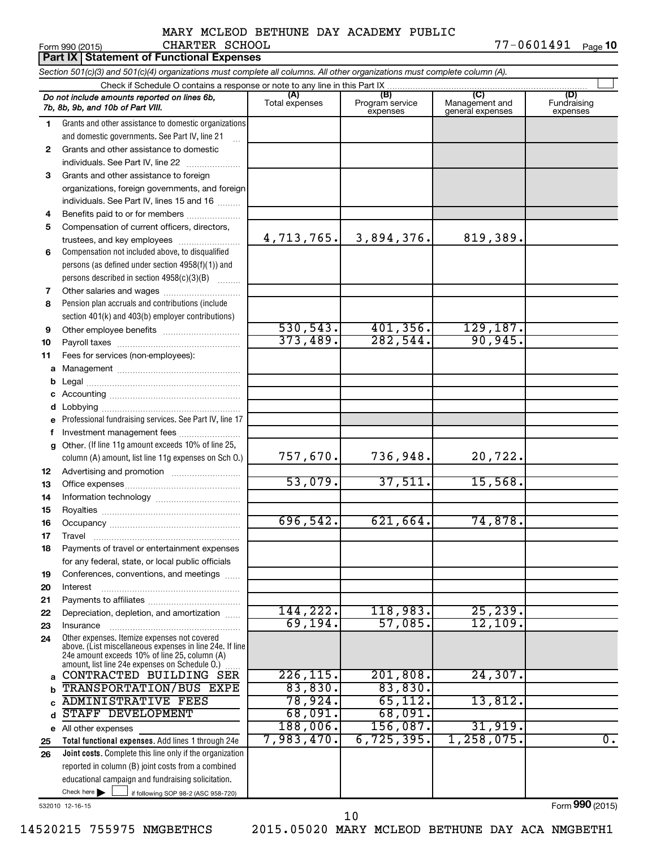#### Form 990 (2015) CHARTER SCHOOL 77-0601491 <sub>Page</sub> 1**0** MARY MCLEOD BETHUNE DAY ACADEMY PUBLIC CHARTER SCHOOL

|          | Part IX Statement of Functional Expenses                                                                                                                                                                    |                       |                                    |                                                      |                                |  |  |  |
|----------|-------------------------------------------------------------------------------------------------------------------------------------------------------------------------------------------------------------|-----------------------|------------------------------------|------------------------------------------------------|--------------------------------|--|--|--|
|          | Section 501(c)(3) and 501(c)(4) organizations must complete all columns. All other organizations must complete column (A).                                                                                  |                       |                                    |                                                      |                                |  |  |  |
|          | Check if Schedule O contains a response or note to any line in this Part IX                                                                                                                                 |                       |                                    |                                                      |                                |  |  |  |
|          | Do not include amounts reported on lines 6b,<br>7b, 8b, 9b, and 10b of Part VIII.                                                                                                                           | (A)<br>Total expenses | (B)<br>Program service<br>expenses | $\overline{C}$<br>Management and<br>general expenses | (D)<br>Fundraising<br>expenses |  |  |  |
| 1        | Grants and other assistance to domestic organizations                                                                                                                                                       |                       |                                    |                                                      |                                |  |  |  |
|          | and domestic governments. See Part IV, line 21                                                                                                                                                              |                       |                                    |                                                      |                                |  |  |  |
| 2        | Grants and other assistance to domestic                                                                                                                                                                     |                       |                                    |                                                      |                                |  |  |  |
|          | individuals. See Part IV, line 22                                                                                                                                                                           |                       |                                    |                                                      |                                |  |  |  |
| 3        | Grants and other assistance to foreign                                                                                                                                                                      |                       |                                    |                                                      |                                |  |  |  |
|          | organizations, foreign governments, and foreign                                                                                                                                                             |                       |                                    |                                                      |                                |  |  |  |
|          | individuals. See Part IV, lines 15 and 16                                                                                                                                                                   |                       |                                    |                                                      |                                |  |  |  |
| 4        | Benefits paid to or for members                                                                                                                                                                             |                       |                                    |                                                      |                                |  |  |  |
| 5        | Compensation of current officers, directors,                                                                                                                                                                |                       |                                    |                                                      |                                |  |  |  |
|          | trustees, and key employees                                                                                                                                                                                 | 4,713,765.            | 3,894,376.                         | 819,389.                                             |                                |  |  |  |
| 6        | Compensation not included above, to disqualified                                                                                                                                                            |                       |                                    |                                                      |                                |  |  |  |
|          | persons (as defined under section $4958(f)(1)$ ) and                                                                                                                                                        |                       |                                    |                                                      |                                |  |  |  |
|          | persons described in section 4958(c)(3)(B)                                                                                                                                                                  |                       |                                    |                                                      |                                |  |  |  |
| 7        | Other salaries and wages                                                                                                                                                                                    |                       |                                    |                                                      |                                |  |  |  |
| 8        | Pension plan accruals and contributions (include                                                                                                                                                            |                       |                                    |                                                      |                                |  |  |  |
|          | section 401(k) and 403(b) employer contributions)                                                                                                                                                           |                       |                                    |                                                      |                                |  |  |  |
| 9        |                                                                                                                                                                                                             | 530, 543.             | 401,356.                           | 129,187.                                             |                                |  |  |  |
| 10       |                                                                                                                                                                                                             | 373,489.              | 282,544.                           | 90, 945.                                             |                                |  |  |  |
| 11       | Fees for services (non-employees):                                                                                                                                                                          |                       |                                    |                                                      |                                |  |  |  |
|          |                                                                                                                                                                                                             |                       |                                    |                                                      |                                |  |  |  |
|          |                                                                                                                                                                                                             |                       |                                    |                                                      |                                |  |  |  |
|          |                                                                                                                                                                                                             |                       |                                    |                                                      |                                |  |  |  |
|          |                                                                                                                                                                                                             |                       |                                    |                                                      |                                |  |  |  |
|          | Professional fundraising services. See Part IV, line 17                                                                                                                                                     |                       |                                    |                                                      |                                |  |  |  |
|          | Investment management fees                                                                                                                                                                                  |                       |                                    |                                                      |                                |  |  |  |
| g        | Other. (If line 11g amount exceeds 10% of line 25,                                                                                                                                                          | 757,670.              | 736,948.                           | 20,722.                                              |                                |  |  |  |
|          | column (A) amount, list line 11g expenses on Sch O.)                                                                                                                                                        |                       |                                    |                                                      |                                |  |  |  |
| 12<br>13 |                                                                                                                                                                                                             | 53,079.               | 37,511.                            | 15,568.                                              |                                |  |  |  |
| 14       |                                                                                                                                                                                                             |                       |                                    |                                                      |                                |  |  |  |
| 15       |                                                                                                                                                                                                             |                       |                                    |                                                      |                                |  |  |  |
| 16       |                                                                                                                                                                                                             | 696, 542.             | 621,664.                           | 74,878.                                              |                                |  |  |  |
| 17       | Travel                                                                                                                                                                                                      |                       |                                    |                                                      |                                |  |  |  |
| 18       | Payments of travel or entertainment expenses                                                                                                                                                                |                       |                                    |                                                      |                                |  |  |  |
|          | for any federal, state, or local public officials                                                                                                                                                           |                       |                                    |                                                      |                                |  |  |  |
| 19       | Conferences, conventions, and meetings                                                                                                                                                                      |                       |                                    |                                                      |                                |  |  |  |
| 20       | Interest                                                                                                                                                                                                    |                       |                                    |                                                      |                                |  |  |  |
| 21       |                                                                                                                                                                                                             |                       |                                    |                                                      |                                |  |  |  |
| 22       | Depreciation, depletion, and amortization                                                                                                                                                                   | 144,222.              | 118,983.                           | 25, 239.                                             |                                |  |  |  |
| 23       | Insurance                                                                                                                                                                                                   | 69, 194.              | 57,085.                            | 12, 109.                                             |                                |  |  |  |
| 24       | Other expenses. Itemize expenses not covered<br>above. (List miscellaneous expenses in line 24e. If line<br>24e amount exceeds 10% of line 25, column (A)<br>amount, list line 24e expenses on Schedule O.) |                       |                                    |                                                      |                                |  |  |  |
| a        | CONTRACTED BUILDING SER                                                                                                                                                                                     | 226, 115.             | 201,808.                           | 24, 307.                                             |                                |  |  |  |
|          | TRANSPORTATION/BUS EXPE                                                                                                                                                                                     | 83,830.               | 83,830.                            |                                                      |                                |  |  |  |
|          | <b>ADMINISTRATIVE FEES</b>                                                                                                                                                                                  | 78,924.               | 65, 112.                           | 13,812.                                              |                                |  |  |  |
| d        | STAFF DEVELOPMENT                                                                                                                                                                                           | 68,091.               | 68,091.                            |                                                      |                                |  |  |  |
|          | e All other expenses                                                                                                                                                                                        | 188,006.              | 156,087.                           | 31,919.                                              |                                |  |  |  |
| 25       | Total functional expenses. Add lines 1 through 24e                                                                                                                                                          | 7,983,470.            | 6,725,395.                         | 1,258,075.                                           | $\overline{0}$ .               |  |  |  |
| 26       | Joint costs. Complete this line only if the organization                                                                                                                                                    |                       |                                    |                                                      |                                |  |  |  |
|          | reported in column (B) joint costs from a combined                                                                                                                                                          |                       |                                    |                                                      |                                |  |  |  |
|          | educational campaign and fundraising solicitation.                                                                                                                                                          |                       |                                    |                                                      |                                |  |  |  |
|          | Check here $\blacktriangleright$<br>if following SOP 98-2 (ASC 958-720)                                                                                                                                     |                       |                                    |                                                      |                                |  |  |  |

532010 12-16-15

Form (2015) **990**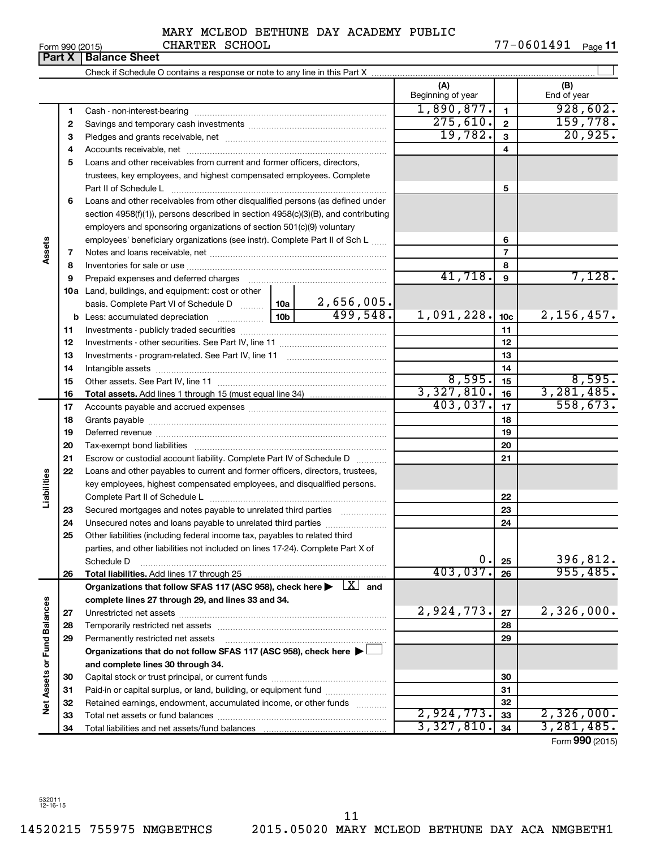|  | Form 990 (2015) |
|--|-----------------|
|  |                 |

#### MARY MCLEOD BETHUNE DAY ACADEMY PUBLIC CHARTER SCHOOL

Form 990 (2015) CHARTER SCHOOL 77-0601491 <sub>Page</sub> 11

|                             | Part X | Form 990 (2015)<br>CUARTER SCUOOD<br><b>Balance Sheet</b>                                                                                                                                                                     |                   |                 | 77-0001491 Page 11              |
|-----------------------------|--------|-------------------------------------------------------------------------------------------------------------------------------------------------------------------------------------------------------------------------------|-------------------|-----------------|---------------------------------|
|                             |        |                                                                                                                                                                                                                               |                   |                 |                                 |
|                             |        |                                                                                                                                                                                                                               | (A)               |                 |                                 |
|                             |        |                                                                                                                                                                                                                               | Beginning of year |                 | (B)<br>End of year              |
|                             | 1      |                                                                                                                                                                                                                               | 1,890,877.        | $\blacksquare$  | 928,602.                        |
|                             | 2      |                                                                                                                                                                                                                               | 275,610.          | $\mathbf{2}$    | 159,778.                        |
|                             | 3      |                                                                                                                                                                                                                               | 19,782.           | 3               | 20,925.                         |
|                             | 4      |                                                                                                                                                                                                                               |                   | 4               |                                 |
|                             | 5      | Loans and other receivables from current and former officers, directors,                                                                                                                                                      |                   |                 |                                 |
|                             |        | trustees, key employees, and highest compensated employees. Complete                                                                                                                                                          |                   |                 |                                 |
|                             |        | Part II of Schedule L                                                                                                                                                                                                         |                   | 5               |                                 |
|                             | 6      | Loans and other receivables from other disqualified persons (as defined under                                                                                                                                                 |                   |                 |                                 |
|                             |        | section 4958(f)(1)), persons described in section 4958(c)(3)(B), and contributing                                                                                                                                             |                   |                 |                                 |
|                             |        | employers and sponsoring organizations of section 501(c)(9) voluntary                                                                                                                                                         |                   |                 |                                 |
|                             |        | employees' beneficiary organizations (see instr). Complete Part II of Sch L                                                                                                                                                   |                   | 6               |                                 |
| Assets                      | 7      |                                                                                                                                                                                                                               |                   | $\overline{7}$  |                                 |
|                             | 8      |                                                                                                                                                                                                                               |                   | 8               |                                 |
|                             | 9      | Prepaid expenses and deferred charges [11] [11] Prepaid expenses and deferred charges [11] [11] Martin Martin (11] (11] Arthur Martin (11] Arthur Martin (11] Arthur Martin (11] Arthur Martin (11] Arthur Martin (11] Arthur | 41,718.           | 9               | 7,128.                          |
|                             |        | 10a Land, buildings, and equipment: cost or other                                                                                                                                                                             |                   |                 |                                 |
|                             |        | basis. Complete Part VI of Schedule D    10a   2,656,005.                                                                                                                                                                     |                   |                 |                                 |
|                             |        | 499,548.                                                                                                                                                                                                                      | 1,091,228.        | 10 <sub>c</sub> | 2,156,457.                      |
|                             | 11     |                                                                                                                                                                                                                               |                   | 11              |                                 |
|                             | 12     |                                                                                                                                                                                                                               |                   | 12              |                                 |
|                             | 13     |                                                                                                                                                                                                                               |                   | 13              |                                 |
|                             | 14     |                                                                                                                                                                                                                               |                   | 14              |                                 |
|                             | 15     |                                                                                                                                                                                                                               | 8,595.            | 15              | 8,595.                          |
|                             | 16     |                                                                                                                                                                                                                               | 3,327,810.        | 16              | 3,281,485.                      |
|                             | 17     |                                                                                                                                                                                                                               | 403,037.          | 17              | 558,673.                        |
|                             | 18     |                                                                                                                                                                                                                               |                   | 18              |                                 |
|                             | 19     |                                                                                                                                                                                                                               |                   | 19              |                                 |
|                             | 20     |                                                                                                                                                                                                                               |                   | 20              |                                 |
|                             | 21     | Escrow or custodial account liability. Complete Part IV of Schedule D                                                                                                                                                         |                   | 21              |                                 |
| Liabilities                 | 22     | Loans and other payables to current and former officers, directors, trustees,                                                                                                                                                 |                   |                 |                                 |
|                             |        | key employees, highest compensated employees, and disqualified persons.                                                                                                                                                       |                   | 22              |                                 |
|                             | 23     | Secured mortgages and notes payable to unrelated third parties                                                                                                                                                                |                   | 23              |                                 |
|                             | 24     | Unsecured notes and loans payable to unrelated third parties                                                                                                                                                                  |                   | 24              |                                 |
|                             | 25     | Other liabilities (including federal income tax, payables to related third                                                                                                                                                    |                   |                 |                                 |
|                             |        | parties, and other liabilities not included on lines 17-24). Complete Part X of                                                                                                                                               |                   |                 |                                 |
|                             |        | Schedule D                                                                                                                                                                                                                    | 0.                | 25              | 396,812.                        |
|                             | 26     | <b>Total liabilities.</b> Add lines 17 through 25                                                                                                                                                                             | 403,037.          | 26              | 955,485.                        |
|                             |        | Organizations that follow SFAS 117 (ASC 958), check here $\blacktriangleright \begin{array}{c} \boxed{X} \\ \end{array}$ and                                                                                                  |                   |                 |                                 |
|                             |        | complete lines 27 through 29, and lines 33 and 34.                                                                                                                                                                            |                   |                 |                                 |
|                             | 27     |                                                                                                                                                                                                                               | 2,924,773.        | 27              | 2,326,000.                      |
|                             | 28     |                                                                                                                                                                                                                               |                   | 28              |                                 |
|                             | 29     | Permanently restricted net assets                                                                                                                                                                                             |                   | 29              |                                 |
|                             |        | Organizations that do not follow SFAS 117 (ASC 958), check here ▶ □                                                                                                                                                           |                   |                 |                                 |
|                             |        | and complete lines 30 through 34.                                                                                                                                                                                             |                   |                 |                                 |
|                             | 30     |                                                                                                                                                                                                                               |                   | 30              |                                 |
|                             | 31     | Paid-in or capital surplus, or land, building, or equipment fund                                                                                                                                                              |                   | 31              |                                 |
| Net Assets or Fund Balances | 32     | Retained earnings, endowment, accumulated income, or other funds                                                                                                                                                              |                   | 32              |                                 |
|                             | 33     |                                                                                                                                                                                                                               | 2,924,773.        | 33              | 2,326,000.                      |
|                             | 34     |                                                                                                                                                                                                                               | 3,327,810.        | 34              | 3, 281, 485.<br>Eorm 990 (2015) |

532011 12-16-15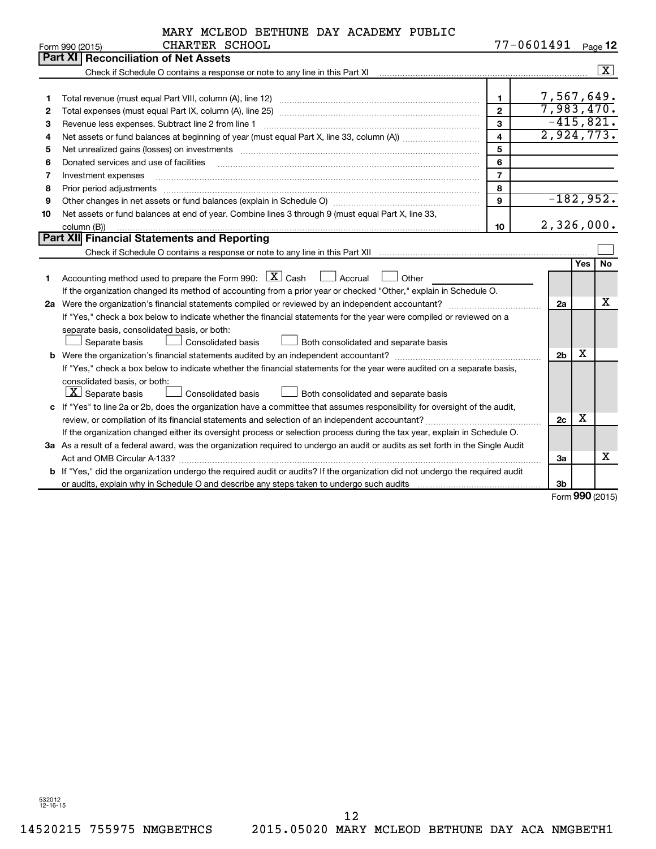|  |  | MARY MCLEOD BETHUNE DAY ACADEMY PUBLIC |  |
|--|--|----------------------------------------|--|
|  |  |                                        |  |

|    | CHARTER SCHOOL<br>Form 990 (2015)                                                                                                                                                                                              |                         | 77-0601491     |     | Page 12                 |
|----|--------------------------------------------------------------------------------------------------------------------------------------------------------------------------------------------------------------------------------|-------------------------|----------------|-----|-------------------------|
|    | <b>Reconciliation of Net Assets</b><br>Part XI                                                                                                                                                                                 |                         |                |     |                         |
|    |                                                                                                                                                                                                                                |                         |                |     | $\overline{\mathbf{x}}$ |
|    |                                                                                                                                                                                                                                |                         |                |     |                         |
| 1  |                                                                                                                                                                                                                                | $\mathbf{1}$            | 7,567,649.     |     |                         |
| 2  | Total expenses (must equal Part IX, column (A), line 25) www.communically.community.community.com                                                                                                                              | $\overline{2}$          | 7,983,470.     |     |                         |
| З  | Revenue less expenses. Subtract line 2 from line 1                                                                                                                                                                             | $\mathbf{3}$            |                |     | $-415,821.$             |
| 4  |                                                                                                                                                                                                                                | $\overline{\mathbf{4}}$ | 2,924,773.     |     |                         |
| 5  | Net unrealized gains (losses) on investments [11] matter contracts and the state of the state of the state of the state of the state of the state of the state of the state of the state of the state of the state of the stat | 5                       |                |     |                         |
| 6  | Donated services and use of facilities                                                                                                                                                                                         | 6                       |                |     |                         |
| 7  | Investment expenses                                                                                                                                                                                                            | $\overline{7}$          |                |     |                         |
| 8  | Prior period adjustments                                                                                                                                                                                                       | 8                       |                |     |                         |
| 9  |                                                                                                                                                                                                                                | 9                       |                |     | $-182,952.$             |
| 10 | Net assets or fund balances at end of year. Combine lines 3 through 9 (must equal Part X, line 33,                                                                                                                             |                         |                |     |                         |
|    | column (B))                                                                                                                                                                                                                    | 10                      | 2,326,000.     |     |                         |
|    | Part XII Financial Statements and Reporting                                                                                                                                                                                    |                         |                |     |                         |
|    |                                                                                                                                                                                                                                |                         |                |     |                         |
|    |                                                                                                                                                                                                                                |                         |                | Yes | <b>No</b>               |
| 1  | Accounting method used to prepare the Form 990: $\boxed{\textbf{X}}$ Cash $\boxed{\phantom{1}}$ Accrual $\boxed{\phantom{1}}$<br>Other                                                                                         |                         |                |     |                         |
|    | If the organization changed its method of accounting from a prior year or checked "Other," explain in Schedule O.                                                                                                              |                         |                |     |                         |
|    | 2a Were the organization's financial statements compiled or reviewed by an independent accountant?                                                                                                                             |                         | 2a             |     | х                       |
|    | If "Yes," check a box below to indicate whether the financial statements for the year were compiled or reviewed on a                                                                                                           |                         |                |     |                         |
|    | separate basis, consolidated basis, or both:                                                                                                                                                                                   |                         |                |     |                         |
|    | <b>Consolidated basis</b><br>Both consolidated and separate basis<br>Separate basis                                                                                                                                            |                         |                |     |                         |
|    |                                                                                                                                                                                                                                |                         | 2 <sub>b</sub> | х   |                         |
|    | If "Yes," check a box below to indicate whether the financial statements for the year were audited on a separate basis,                                                                                                        |                         |                |     |                         |
|    | consolidated basis, or both:                                                                                                                                                                                                   |                         |                |     |                         |
|    | $ \mathbf{X} $ Separate basis<br>Consolidated basis<br>Both consolidated and separate basis                                                                                                                                    |                         |                |     |                         |
|    | c If "Yes" to line 2a or 2b, does the organization have a committee that assumes responsibility for oversight of the audit,                                                                                                    |                         |                |     |                         |
|    |                                                                                                                                                                                                                                |                         | 2c             | х   |                         |
|    | If the organization changed either its oversight process or selection process during the tax year, explain in Schedule O.                                                                                                      |                         |                |     |                         |
|    | 3a As a result of a federal award, was the organization required to undergo an audit or audits as set forth in the Single Audit                                                                                                |                         |                |     |                         |
|    |                                                                                                                                                                                                                                |                         | За             |     | x                       |
|    | b If "Yes," did the organization undergo the required audit or audits? If the organization did not undergo the required audit                                                                                                  |                         |                |     |                         |
|    |                                                                                                                                                                                                                                |                         | 3 <sub>b</sub> |     |                         |

Form (2015) **990**

532012 12-16-15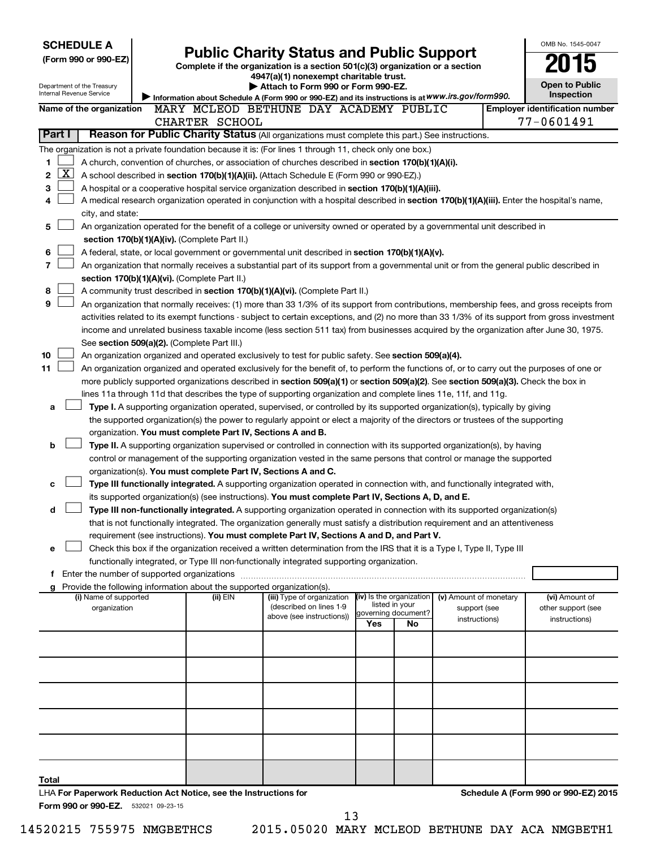|        | <b>SCHEDULE A</b>                     |  |                                                                          |                                                                                                                                                                                                                                                 |                          |                |                                        |  | OMB No. 1545-0047                     |
|--------|---------------------------------------|--|--------------------------------------------------------------------------|-------------------------------------------------------------------------------------------------------------------------------------------------------------------------------------------------------------------------------------------------|--------------------------|----------------|----------------------------------------|--|---------------------------------------|
|        | (Form 990 or 990-EZ)                  |  |                                                                          | <b>Public Charity Status and Public Support</b>                                                                                                                                                                                                 |                          |                |                                        |  |                                       |
|        |                                       |  |                                                                          | Complete if the organization is a section 501(c)(3) organization or a section                                                                                                                                                                   |                          |                |                                        |  |                                       |
|        | Department of the Treasury            |  |                                                                          | 4947(a)(1) nonexempt charitable trust.<br>Attach to Form 990 or Form 990-EZ.                                                                                                                                                                    |                          |                |                                        |  | <b>Open to Public</b>                 |
|        | <b>Internal Revenue Service</b>       |  |                                                                          | Information about Schedule A (Form 990 or 990-EZ) and its instructions is at WWW.irs.gov/form990.                                                                                                                                               |                          |                |                                        |  | <b>Inspection</b>                     |
|        | Name of the organization              |  |                                                                          | MARY MCLEOD BETHUNE DAY ACADEMY PUBLIC                                                                                                                                                                                                          |                          |                |                                        |  | <b>Employer identification number</b> |
|        |                                       |  | CHARTER SCHOOL                                                           |                                                                                                                                                                                                                                                 |                          |                |                                        |  | 77-0601491                            |
| Part I |                                       |  |                                                                          | Reason for Public Charity Status (All organizations must complete this part.) See instructions.                                                                                                                                                 |                          |                |                                        |  |                                       |
|        |                                       |  |                                                                          | The organization is not a private foundation because it is: (For lines 1 through 11, check only one box.)                                                                                                                                       |                          |                |                                        |  |                                       |
| 1      |                                       |  |                                                                          | A church, convention of churches, or association of churches described in section 170(b)(1)(A)(i).                                                                                                                                              |                          |                |                                        |  |                                       |
| 2      | X                                     |  |                                                                          | A school described in section 170(b)(1)(A)(ii). (Attach Schedule E (Form 990 or 990-EZ).)                                                                                                                                                       |                          |                |                                        |  |                                       |
| 3      |                                       |  |                                                                          |                                                                                                                                                                                                                                                 |                          |                |                                        |  |                                       |
| 4      |                                       |  |                                                                          | A hospital or a cooperative hospital service organization described in section 170(b)(1)(A)(iii).<br>A medical research organization operated in conjunction with a hospital described in section 170(b)(1)(A)(iii). Enter the hospital's name, |                          |                |                                        |  |                                       |
|        |                                       |  |                                                                          |                                                                                                                                                                                                                                                 |                          |                |                                        |  |                                       |
|        | city, and state:                      |  |                                                                          | An organization operated for the benefit of a college or university owned or operated by a governmental unit described in                                                                                                                       |                          |                |                                        |  |                                       |
| 5      |                                       |  |                                                                          |                                                                                                                                                                                                                                                 |                          |                |                                        |  |                                       |
|        |                                       |  | section 170(b)(1)(A)(iv). (Complete Part II.)                            |                                                                                                                                                                                                                                                 |                          |                |                                        |  |                                       |
| 6<br>7 |                                       |  |                                                                          | A federal, state, or local government or governmental unit described in section 170(b)(1)(A)(v).                                                                                                                                                |                          |                |                                        |  |                                       |
|        |                                       |  |                                                                          | An organization that normally receives a substantial part of its support from a governmental unit or from the general public described in                                                                                                       |                          |                |                                        |  |                                       |
|        |                                       |  | section 170(b)(1)(A)(vi). (Complete Part II.)                            |                                                                                                                                                                                                                                                 |                          |                |                                        |  |                                       |
| 8      |                                       |  |                                                                          | A community trust described in section 170(b)(1)(A)(vi). (Complete Part II.)                                                                                                                                                                    |                          |                |                                        |  |                                       |
| 9      |                                       |  |                                                                          | An organization that normally receives: (1) more than 33 1/3% of its support from contributions, membership fees, and gross receipts from                                                                                                       |                          |                |                                        |  |                                       |
|        |                                       |  |                                                                          | activities related to its exempt functions - subject to certain exceptions, and (2) no more than 33 1/3% of its support from gross investment                                                                                                   |                          |                |                                        |  |                                       |
|        |                                       |  |                                                                          | income and unrelated business taxable income (less section 511 tax) from businesses acquired by the organization after June 30, 1975.                                                                                                           |                          |                |                                        |  |                                       |
|        |                                       |  | See section 509(a)(2). (Complete Part III.)                              |                                                                                                                                                                                                                                                 |                          |                |                                        |  |                                       |
| 10     |                                       |  |                                                                          | An organization organized and operated exclusively to test for public safety. See section 509(a)(4).                                                                                                                                            |                          |                |                                        |  |                                       |
| 11     |                                       |  |                                                                          | An organization organized and operated exclusively for the benefit of, to perform the functions of, or to carry out the purposes of one or                                                                                                      |                          |                |                                        |  |                                       |
|        |                                       |  |                                                                          | more publicly supported organizations described in section 509(a)(1) or section 509(a)(2). See section 509(a)(3). Check the box in                                                                                                              |                          |                |                                        |  |                                       |
|        |                                       |  |                                                                          | lines 11a through 11d that describes the type of supporting organization and complete lines 11e, 11f, and 11g.                                                                                                                                  |                          |                |                                        |  |                                       |
| а      |                                       |  |                                                                          | Type I. A supporting organization operated, supervised, or controlled by its supported organization(s), typically by giving                                                                                                                     |                          |                |                                        |  |                                       |
|        |                                       |  |                                                                          | the supported organization(s) the power to regularly appoint or elect a majority of the directors or trustees of the supporting                                                                                                                 |                          |                |                                        |  |                                       |
|        |                                       |  | organization. You must complete Part IV, Sections A and B.               |                                                                                                                                                                                                                                                 |                          |                |                                        |  |                                       |
| b      |                                       |  |                                                                          | Type II. A supporting organization supervised or controlled in connection with its supported organization(s), by having                                                                                                                         |                          |                |                                        |  |                                       |
|        |                                       |  |                                                                          | control or management of the supporting organization vested in the same persons that control or manage the supported                                                                                                                            |                          |                |                                        |  |                                       |
|        |                                       |  | organization(s). You must complete Part IV, Sections A and C.            |                                                                                                                                                                                                                                                 |                          |                |                                        |  |                                       |
| с      |                                       |  |                                                                          | Type III functionally integrated. A supporting organization operated in connection with, and functionally integrated with,                                                                                                                      |                          |                |                                        |  |                                       |
|        |                                       |  |                                                                          | its supported organization(s) (see instructions). You must complete Part IV, Sections A, D, and E.                                                                                                                                              |                          |                |                                        |  |                                       |
| d      |                                       |  |                                                                          | Type III non-functionally integrated. A supporting organization operated in connection with its supported organization(s)                                                                                                                       |                          |                |                                        |  |                                       |
|        |                                       |  |                                                                          | that is not functionally integrated. The organization generally must satisfy a distribution requirement and an attentiveness                                                                                                                    |                          |                |                                        |  |                                       |
|        |                                       |  |                                                                          | requirement (see instructions). You must complete Part IV, Sections A and D, and Part V.                                                                                                                                                        |                          |                |                                        |  |                                       |
| е      |                                       |  |                                                                          | Check this box if the organization received a written determination from the IRS that it is a Type I, Type II, Type III                                                                                                                         |                          |                |                                        |  |                                       |
|        |                                       |  |                                                                          | functionally integrated, or Type III non-functionally integrated supporting organization.                                                                                                                                                       |                          |                |                                        |  |                                       |
|        |                                       |  |                                                                          |                                                                                                                                                                                                                                                 |                          |                |                                        |  |                                       |
|        |                                       |  | g Provide the following information about the supported organization(s). |                                                                                                                                                                                                                                                 |                          |                |                                        |  |                                       |
|        | (i) Name of supported<br>organization |  | (ii) EIN                                                                 | (iii) Type of organization<br>(described on lines 1-9                                                                                                                                                                                           | (iv) Is the organization | listed in your | (v) Amount of monetary<br>support (see |  | (vi) Amount of<br>other support (see  |
|        |                                       |  |                                                                          | above (see instructions))                                                                                                                                                                                                                       | governing document?      |                | instructions)                          |  | instructions)                         |
|        |                                       |  |                                                                          |                                                                                                                                                                                                                                                 | Yes                      | No             |                                        |  |                                       |
|        |                                       |  |                                                                          |                                                                                                                                                                                                                                                 |                          |                |                                        |  |                                       |
|        |                                       |  |                                                                          |                                                                                                                                                                                                                                                 |                          |                |                                        |  |                                       |
|        |                                       |  |                                                                          |                                                                                                                                                                                                                                                 |                          |                |                                        |  |                                       |
|        |                                       |  |                                                                          |                                                                                                                                                                                                                                                 |                          |                |                                        |  |                                       |
|        |                                       |  |                                                                          |                                                                                                                                                                                                                                                 |                          |                |                                        |  |                                       |
|        |                                       |  |                                                                          |                                                                                                                                                                                                                                                 |                          |                |                                        |  |                                       |
|        |                                       |  |                                                                          |                                                                                                                                                                                                                                                 |                          |                |                                        |  |                                       |
|        |                                       |  |                                                                          |                                                                                                                                                                                                                                                 |                          |                |                                        |  |                                       |
|        |                                       |  |                                                                          |                                                                                                                                                                                                                                                 |                          |                |                                        |  |                                       |
|        |                                       |  |                                                                          |                                                                                                                                                                                                                                                 |                          |                |                                        |  |                                       |
|        |                                       |  |                                                                          |                                                                                                                                                                                                                                                 |                          |                |                                        |  |                                       |
| Total  |                                       |  |                                                                          |                                                                                                                                                                                                                                                 |                          |                |                                        |  |                                       |
|        |                                       |  | LHA For Paperwork Reduction Act Notice, see the Instructions for         |                                                                                                                                                                                                                                                 |                          |                |                                        |  | Schedule A (Form 990 or 990-EZ) 2015  |
|        | Form 990 or 990-EZ. 532021 09-23-15   |  |                                                                          |                                                                                                                                                                                                                                                 |                          |                |                                        |  |                                       |
|        |                                       |  |                                                                          | 13                                                                                                                                                                                                                                              |                          |                |                                        |  |                                       |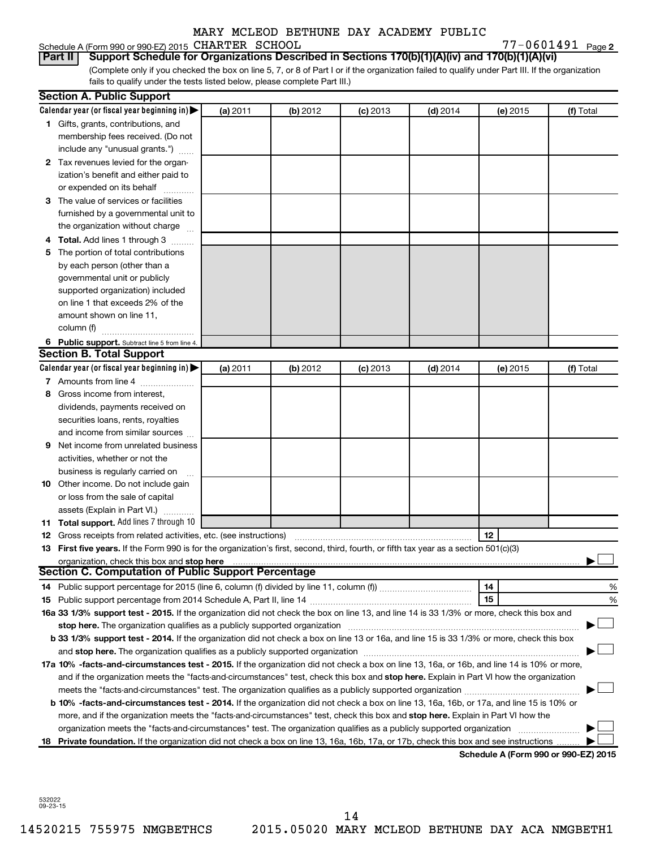#### Schedule A (Form 990 or 990-EZ) 2015 CHARTER SCHOOL  $77-0601491$  Page

77-0601491 Page 2

(Complete only if you checked the box on line 5, 7, or 8 of Part I or if the organization failed to qualify under Part III. If the organization fails to qualify under the tests listed below, please complete Part III.) **Part II Support Schedule for Organizations Described in Sections 170(b)(1)(A)(iv) and 170(b)(1)(A)(vi)**

|    | <b>Section A. Public Support</b>                                                                                                           |          |          |            |            |                                      |           |
|----|--------------------------------------------------------------------------------------------------------------------------------------------|----------|----------|------------|------------|--------------------------------------|-----------|
|    | Calendar year (or fiscal year beginning in)                                                                                                | (a) 2011 | (b) 2012 | $(c)$ 2013 | $(d)$ 2014 | (e) 2015                             | (f) Total |
|    | 1 Gifts, grants, contributions, and                                                                                                        |          |          |            |            |                                      |           |
|    | membership fees received. (Do not                                                                                                          |          |          |            |            |                                      |           |
|    | include any "unusual grants.")                                                                                                             |          |          |            |            |                                      |           |
|    | 2 Tax revenues levied for the organ-                                                                                                       |          |          |            |            |                                      |           |
|    | ization's benefit and either paid to                                                                                                       |          |          |            |            |                                      |           |
|    | or expended on its behalf                                                                                                                  |          |          |            |            |                                      |           |
|    | 3 The value of services or facilities                                                                                                      |          |          |            |            |                                      |           |
|    | furnished by a governmental unit to                                                                                                        |          |          |            |            |                                      |           |
|    | the organization without charge                                                                                                            |          |          |            |            |                                      |           |
|    | 4 Total. Add lines 1 through 3                                                                                                             |          |          |            |            |                                      |           |
|    | 5 The portion of total contributions                                                                                                       |          |          |            |            |                                      |           |
|    | by each person (other than a                                                                                                               |          |          |            |            |                                      |           |
|    | governmental unit or publicly                                                                                                              |          |          |            |            |                                      |           |
|    | supported organization) included                                                                                                           |          |          |            |            |                                      |           |
|    | on line 1 that exceeds 2% of the                                                                                                           |          |          |            |            |                                      |           |
|    | amount shown on line 11,                                                                                                                   |          |          |            |            |                                      |           |
|    | column (f)                                                                                                                                 |          |          |            |            |                                      |           |
|    | 6 Public support. Subtract line 5 from line 4.                                                                                             |          |          |            |            |                                      |           |
|    | <b>Section B. Total Support</b>                                                                                                            |          |          |            |            |                                      |           |
|    | Calendar year (or fiscal year beginning in)                                                                                                | (a) 2011 | (b) 2012 | $(c)$ 2013 | $(d)$ 2014 | (e) 2015                             | (f) Total |
|    | 7 Amounts from line 4                                                                                                                      |          |          |            |            |                                      |           |
| 8  | Gross income from interest,                                                                                                                |          |          |            |            |                                      |           |
|    | dividends, payments received on                                                                                                            |          |          |            |            |                                      |           |
|    | securities loans, rents, royalties                                                                                                         |          |          |            |            |                                      |           |
|    | and income from similar sources                                                                                                            |          |          |            |            |                                      |           |
| 9  | Net income from unrelated business                                                                                                         |          |          |            |            |                                      |           |
|    | activities, whether or not the                                                                                                             |          |          |            |            |                                      |           |
|    | business is regularly carried on                                                                                                           |          |          |            |            |                                      |           |
|    | 10 Other income. Do not include gain                                                                                                       |          |          |            |            |                                      |           |
|    | or loss from the sale of capital                                                                                                           |          |          |            |            |                                      |           |
|    | assets (Explain in Part VI.)                                                                                                               |          |          |            |            |                                      |           |
|    | 11 Total support. Add lines 7 through 10                                                                                                   |          |          |            |            |                                      |           |
|    | <b>12</b> Gross receipts from related activities, etc. (see instructions)                                                                  |          |          |            |            | 12                                   |           |
|    | 13 First five years. If the Form 990 is for the organization's first, second, third, fourth, or fifth tax year as a section 501(c)(3)      |          |          |            |            |                                      |           |
|    | organization, check this box and stop here                                                                                                 |          |          |            |            |                                      |           |
|    | <b>Section C. Computation of Public Support Percentage</b>                                                                                 |          |          |            |            |                                      |           |
|    |                                                                                                                                            |          |          |            |            | 14                                   | %         |
|    |                                                                                                                                            |          |          |            |            | 15                                   | %         |
|    | 16a 33 1/3% support test - 2015. If the organization did not check the box on line 13, and line 14 is 33 1/3% or more, check this box and  |          |          |            |            |                                      |           |
|    |                                                                                                                                            |          |          |            |            |                                      |           |
|    | b 33 1/3% support test - 2014. If the organization did not check a box on line 13 or 16a, and line 15 is 33 1/3% or more, check this box   |          |          |            |            |                                      |           |
|    |                                                                                                                                            |          |          |            |            |                                      |           |
|    | 17a 10% -facts-and-circumstances test - 2015. If the organization did not check a box on line 13, 16a, or 16b, and line 14 is 10% or more, |          |          |            |            |                                      |           |
|    | and if the organization meets the "facts-and-circumstances" test, check this box and stop here. Explain in Part VI how the organization    |          |          |            |            |                                      |           |
|    | meets the "facts-and-circumstances" test. The organization qualifies as a publicly supported organization <i>manumumumum</i>               |          |          |            |            |                                      |           |
|    | b 10% -facts-and-circumstances test - 2014. If the organization did not check a box on line 13, 16a, 16b, or 17a, and line 15 is 10% or    |          |          |            |            |                                      |           |
|    | more, and if the organization meets the "facts-and-circumstances" test, check this box and stop here. Explain in Part VI how the           |          |          |            |            |                                      |           |
|    | organization meets the "facts-and-circumstances" test. The organization qualifies as a publicly supported organization                     |          |          |            |            |                                      |           |
| 18 | Private foundation. If the organization did not check a box on line 13, 16a, 16b, 17a, or 17b, check this box and see instructions         |          |          |            |            |                                      |           |
|    |                                                                                                                                            |          |          |            |            | Schedule A (Form 990 or 990-EZ) 2015 |           |

532022 09-23-15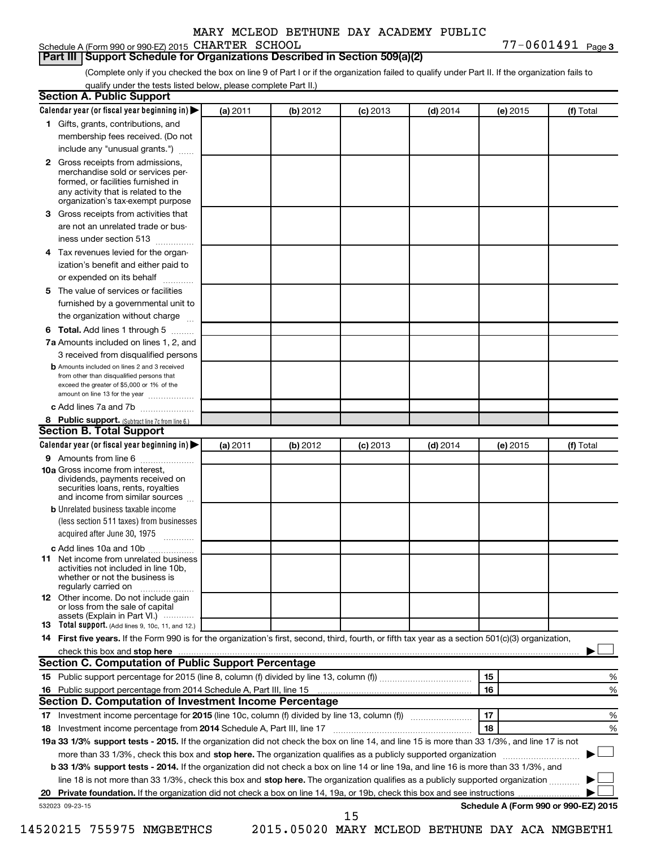#### Schedule A (Form 990 or 990-EZ) 2015 CHARTER SCHOOL  $77-0601491$  Page

77-0601491 Page 3

#### **Part III Support Schedule for Organizations Described in Section 509(a)(2)**

(Complete only if you checked the box on line 9 of Part I or if the organization failed to qualify under Part II. If the organization fails to qualify under the tests listed below, please complete Part II.)

| <b>Section A. Public Support</b>                                                                                                                                                                                                        |          |          |            |            |          |                                      |
|-----------------------------------------------------------------------------------------------------------------------------------------------------------------------------------------------------------------------------------------|----------|----------|------------|------------|----------|--------------------------------------|
| Calendar year (or fiscal year beginning in)                                                                                                                                                                                             | (a) 2011 | (b) 2012 | $(c)$ 2013 | $(d)$ 2014 | (e) 2015 | (f) Total                            |
| 1 Gifts, grants, contributions, and                                                                                                                                                                                                     |          |          |            |            |          |                                      |
| membership fees received. (Do not                                                                                                                                                                                                       |          |          |            |            |          |                                      |
| include any "unusual grants.")                                                                                                                                                                                                          |          |          |            |            |          |                                      |
| 2 Gross receipts from admissions,<br>merchandise sold or services per-<br>formed, or facilities furnished in<br>any activity that is related to the<br>organization's tax-exempt purpose                                                |          |          |            |            |          |                                      |
| 3 Gross receipts from activities that                                                                                                                                                                                                   |          |          |            |            |          |                                      |
| are not an unrelated trade or bus-                                                                                                                                                                                                      |          |          |            |            |          |                                      |
| iness under section 513                                                                                                                                                                                                                 |          |          |            |            |          |                                      |
| 4 Tax revenues levied for the organ-                                                                                                                                                                                                    |          |          |            |            |          |                                      |
| ization's benefit and either paid to                                                                                                                                                                                                    |          |          |            |            |          |                                      |
| or expended on its behalf                                                                                                                                                                                                               |          |          |            |            |          |                                      |
| 5 The value of services or facilities                                                                                                                                                                                                   |          |          |            |            |          |                                      |
| furnished by a governmental unit to                                                                                                                                                                                                     |          |          |            |            |          |                                      |
| the organization without charge                                                                                                                                                                                                         |          |          |            |            |          |                                      |
| 6 Total. Add lines 1 through 5                                                                                                                                                                                                          |          |          |            |            |          |                                      |
| 7a Amounts included on lines 1, 2, and                                                                                                                                                                                                  |          |          |            |            |          |                                      |
| 3 received from disqualified persons                                                                                                                                                                                                    |          |          |            |            |          |                                      |
| <b>b</b> Amounts included on lines 2 and 3 received<br>from other than disqualified persons that<br>exceed the greater of \$5,000 or 1% of the<br>amount on line 13 for the year                                                        |          |          |            |            |          |                                      |
| c Add lines 7a and 7b                                                                                                                                                                                                                   |          |          |            |            |          |                                      |
| 8 Public support. (Subtract line 7c from line 6.)                                                                                                                                                                                       |          |          |            |            |          |                                      |
| <b>Section B. Total Support</b>                                                                                                                                                                                                         |          |          |            |            |          |                                      |
| Calendar year (or fiscal year beginning in)                                                                                                                                                                                             | (a) 2011 | (b) 2012 | $(c)$ 2013 | $(d)$ 2014 | (e) 2015 | (f) Total                            |
| 9 Amounts from line 6                                                                                                                                                                                                                   |          |          |            |            |          |                                      |
| <b>10a</b> Gross income from interest,<br>dividends, payments received on<br>securities loans, rents, royalties<br>and income from similar sources                                                                                      |          |          |            |            |          |                                      |
| <b>b</b> Unrelated business taxable income                                                                                                                                                                                              |          |          |            |            |          |                                      |
| (less section 511 taxes) from businesses<br>acquired after June 30, 1975                                                                                                                                                                |          |          |            |            |          |                                      |
| c Add lines 10a and 10b                                                                                                                                                                                                                 |          |          |            |            |          |                                      |
| <b>11</b> Net income from unrelated business<br>activities not included in line 10b.<br>whether or not the business is<br>regularly carried on                                                                                          |          |          |            |            |          |                                      |
| 12 Other income. Do not include gain<br>or loss from the sale of capital<br>assets (Explain in Part VI.)                                                                                                                                |          |          |            |            |          |                                      |
| <b>13</b> Total support. (Add lines 9, 10c, 11, and 12.)                                                                                                                                                                                |          |          |            |            |          |                                      |
| 14 First five years. If the Form 990 is for the organization's first, second, third, fourth, or fifth tax year as a section 501(c)(3) organization,                                                                                     |          |          |            |            |          |                                      |
| check this box and stop here <b>contained and the contained and stop here</b> check this box and stop here <b>contained and the contained and stop here</b> contained and stop here contained and and stop here contained and stop here |          |          |            |            |          |                                      |
| Section C. Computation of Public Support Percentage                                                                                                                                                                                     |          |          |            |            |          |                                      |
|                                                                                                                                                                                                                                         |          |          |            |            | 15       | ℅                                    |
|                                                                                                                                                                                                                                         |          |          |            |            | 16       | %                                    |
| Section D. Computation of Investment Income Percentage                                                                                                                                                                                  |          |          |            |            |          |                                      |
|                                                                                                                                                                                                                                         |          |          |            |            | 17       | %                                    |
| 18 Investment income percentage from 2014 Schedule A, Part III, line 17                                                                                                                                                                 |          |          |            |            | 18       | %                                    |
| 19a 33 1/3% support tests - 2015. If the organization did not check the box on line 14, and line 15 is more than 33 1/3%, and line 17 is not                                                                                            |          |          |            |            |          |                                      |
| more than 33 1/3%, check this box and stop here. The organization qualifies as a publicly supported organization                                                                                                                        |          |          |            |            |          |                                      |
| b 33 1/3% support tests - 2014. If the organization did not check a box on line 14 or line 19a, and line 16 is more than 33 1/3%, and                                                                                                   |          |          |            |            |          |                                      |
| line 18 is not more than 33 1/3%, check this box and stop here. The organization qualifies as a publicly supported organization                                                                                                         |          |          |            |            |          |                                      |
|                                                                                                                                                                                                                                         |          |          |            |            |          |                                      |
| 532023 09-23-15                                                                                                                                                                                                                         |          |          |            |            |          | Schedule A (Form 990 or 990-EZ) 2015 |
|                                                                                                                                                                                                                                         |          |          | 15         |            |          |                                      |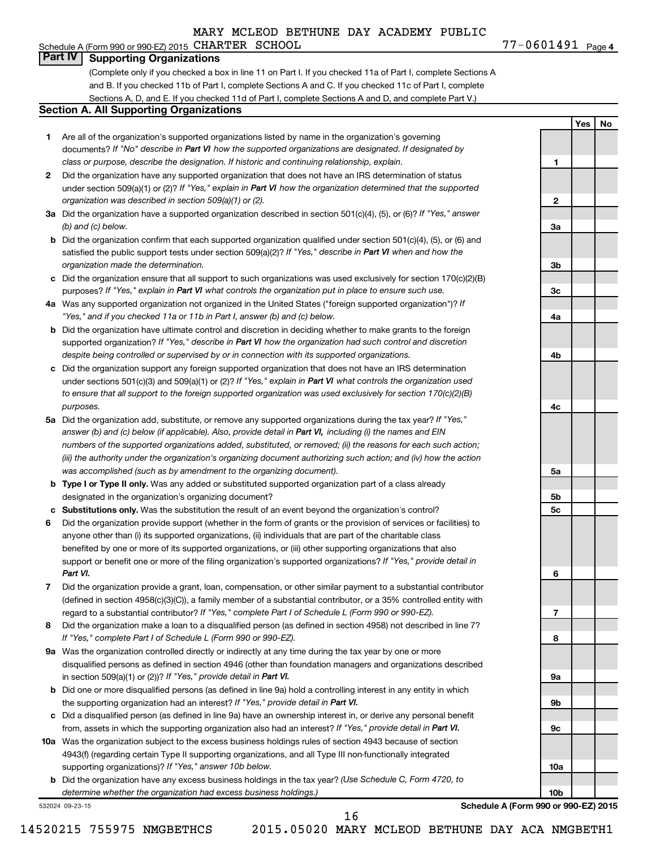**1**

**2**

**3a**

**3b**

**3c**

**4a**

**4b**

**4c**

**5a**

**5b 5c**

**6**

**7**

**8**

**9a**

**9b**

**9c**

**10a**

**10b**

**Yes No**

# **Part IV Supporting Organizations**

(Complete only if you checked a box in line 11 on Part I. If you checked 11a of Part I, complete Sections A and B. If you checked 11b of Part I, complete Sections A and C. If you checked 11c of Part I, complete Sections A, D, and E. If you checked 11d of Part I, complete Sections A and D, and complete Part V.)

#### **Section A. All Supporting Organizations**

- **1** Are all of the organization's supported organizations listed by name in the organization's governing documents? If "No" describe in Part VI how the supported organizations are designated. If designated by *class or purpose, describe the designation. If historic and continuing relationship, explain.*
- **2** Did the organization have any supported organization that does not have an IRS determination of status under section 509(a)(1) or (2)? If "Yes," explain in Part VI how the organization determined that the supported *organization was described in section 509(a)(1) or (2).*
- **3a** Did the organization have a supported organization described in section 501(c)(4), (5), or (6)? If "Yes," answer *(b) and (c) below.*
- **b** Did the organization confirm that each supported organization qualified under section 501(c)(4), (5), or (6) and satisfied the public support tests under section 509(a)(2)? If "Yes," describe in Part VI when and how the *organization made the determination.*
- **c** Did the organization ensure that all support to such organizations was used exclusively for section 170(c)(2)(B) purposes? If "Yes," explain in Part VI what controls the organization put in place to ensure such use.
- **4 a** *If* Was any supported organization not organized in the United States ("foreign supported organization")? *"Yes," and if you checked 11a or 11b in Part I, answer (b) and (c) below.*
- **b** Did the organization have ultimate control and discretion in deciding whether to make grants to the foreign supported organization? If "Yes," describe in Part VI how the organization had such control and discretion *despite being controlled or supervised by or in connection with its supported organizations.*
- **c** Did the organization support any foreign supported organization that does not have an IRS determination under sections 501(c)(3) and 509(a)(1) or (2)? If "Yes," explain in Part VI what controls the organization used *to ensure that all support to the foreign supported organization was used exclusively for section 170(c)(2)(B) purposes.*
- **5a** Did the organization add, substitute, or remove any supported organizations during the tax year? If "Yes," answer (b) and (c) below (if applicable). Also, provide detail in Part VI, including (i) the names and EIN *numbers of the supported organizations added, substituted, or removed; (ii) the reasons for each such action; (iii) the authority under the organization's organizing document authorizing such action; and (iv) how the action was accomplished (such as by amendment to the organizing document).*
- **b Type I or Type II only.** Was any added or substituted supported organization part of a class already designated in the organization's organizing document?
- **c Substitutions only.**  Was the substitution the result of an event beyond the organization's control?
- **6** Did the organization provide support (whether in the form of grants or the provision of services or facilities) to support or benefit one or more of the filing organization's supported organizations? If "Yes," provide detail in anyone other than (i) its supported organizations, (ii) individuals that are part of the charitable class benefited by one or more of its supported organizations, or (iii) other supporting organizations that also *Part VI.*
- **7** Did the organization provide a grant, loan, compensation, or other similar payment to a substantial contributor regard to a substantial contributor? If "Yes," complete Part I of Schedule L (Form 990 or 990-EZ). (defined in section 4958(c)(3)(C)), a family member of a substantial contributor, or a 35% controlled entity with
- **8** Did the organization make a loan to a disqualified person (as defined in section 4958) not described in line 7? *If "Yes," complete Part I of Schedule L (Form 990 or 990-EZ).*
- **9 a** Was the organization controlled directly or indirectly at any time during the tax year by one or more in section 509(a)(1) or (2))? If "Yes," provide detail in Part VI. disqualified persons as defined in section 4946 (other than foundation managers and organizations described
- **b** Did one or more disqualified persons (as defined in line 9a) hold a controlling interest in any entity in which the supporting organization had an interest? If "Yes," provide detail in Part VI.
- **c** Did a disqualified person (as defined in line 9a) have an ownership interest in, or derive any personal benefit from, assets in which the supporting organization also had an interest? If "Yes," provide detail in Part VI.
- **10 a** Was the organization subject to the excess business holdings rules of section 4943 because of section supporting organizations)? If "Yes," answer 10b below. 4943(f) (regarding certain Type II supporting organizations, and all Type III non-functionally integrated
	- **b** Did the organization have any excess business holdings in the tax year? (Use Schedule C, Form 4720, to *determine whether the organization had excess business holdings.)*

532024 09-23-15

**Schedule A (Form 990 or 990-EZ) 2015**

14520215 755975 NMGBETHCS 2015.05020 MARY MCLEOD BETHUNE DAY ACA NMGBETH1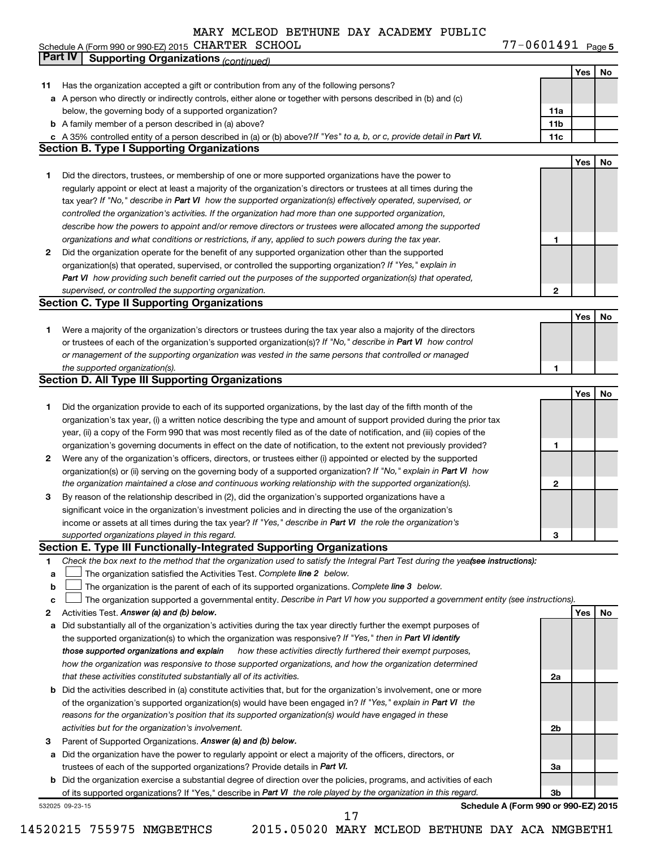**5** Schedule A (Form 990 or 990-EZ) 2015 CHARTER SCHOOL New YORD CHARGE AND THE MODEL ASSESSMENT OF DRUID Page CHARTER SCHOOL 77-0601491

|             | Part IV<br><b>Supporting Organizations (continued)</b>                                                                          |                 |     |    |
|-------------|---------------------------------------------------------------------------------------------------------------------------------|-----------------|-----|----|
|             |                                                                                                                                 |                 | Yes | No |
| 11          | Has the organization accepted a gift or contribution from any of the following persons?                                         |                 |     |    |
|             | a A person who directly or indirectly controls, either alone or together with persons described in (b) and (c)                  |                 |     |    |
|             | below, the governing body of a supported organization?                                                                          | 11a             |     |    |
|             | <b>b</b> A family member of a person described in (a) above?                                                                    | 11 <sub>b</sub> |     |    |
|             | c A 35% controlled entity of a person described in (a) or (b) above? If "Yes" to a, b, or c, provide detail in Part VI.         | 11c             |     |    |
|             | <b>Section B. Type I Supporting Organizations</b>                                                                               |                 |     |    |
|             |                                                                                                                                 |                 | Yes | No |
|             |                                                                                                                                 |                 |     |    |
| 1           | Did the directors, trustees, or membership of one or more supported organizations have the power to                             |                 |     |    |
|             | regularly appoint or elect at least a majority of the organization's directors or trustees at all times during the              |                 |     |    |
|             | tax year? If "No," describe in Part VI how the supported organization(s) effectively operated, supervised, or                   |                 |     |    |
|             | controlled the organization's activities. If the organization had more than one supported organization,                         |                 |     |    |
|             | describe how the powers to appoint and/or remove directors or trustees were allocated among the supported                       |                 |     |    |
|             | organizations and what conditions or restrictions, if any, applied to such powers during the tax year.                          | 1               |     |    |
| 2           | Did the organization operate for the benefit of any supported organization other than the supported                             |                 |     |    |
|             | organization(s) that operated, supervised, or controlled the supporting organization? If "Yes," explain in                      |                 |     |    |
|             | Part VI how providing such benefit carried out the purposes of the supported organization(s) that operated,                     |                 |     |    |
|             | supervised, or controlled the supporting organization.                                                                          | 2               |     |    |
|             | <b>Section C. Type II Supporting Organizations</b>                                                                              |                 |     |    |
|             |                                                                                                                                 |                 | Yes | No |
| 1           | Were a majority of the organization's directors or trustees during the tax year also a majority of the directors                |                 |     |    |
|             | or trustees of each of the organization's supported organization(s)? If "No," describe in Part VI how control                   |                 |     |    |
|             | or management of the supporting organization was vested in the same persons that controlled or managed                          |                 |     |    |
|             | the supported organization(s).                                                                                                  | 1               |     |    |
|             | <b>Section D. All Type III Supporting Organizations</b>                                                                         |                 |     |    |
|             |                                                                                                                                 |                 | Yes | No |
| 1           | Did the organization provide to each of its supported organizations, by the last day of the fifth month of the                  |                 |     |    |
|             | organization's tax year, (i) a written notice describing the type and amount of support provided during the prior tax           |                 |     |    |
|             |                                                                                                                                 |                 |     |    |
|             | year, (ii) a copy of the Form 990 that was most recently filed as of the date of notification, and (iii) copies of the          |                 |     |    |
|             | organization's governing documents in effect on the date of notification, to the extent not previously provided?                | 1               |     |    |
| 2           | Were any of the organization's officers, directors, or trustees either (i) appointed or elected by the supported                |                 |     |    |
|             | organization(s) or (ii) serving on the governing body of a supported organization? If "No," explain in Part VI how              |                 |     |    |
|             | the organization maintained a close and continuous working relationship with the supported organization(s).                     | 2               |     |    |
| 3           | By reason of the relationship described in (2), did the organization's supported organizations have a                           |                 |     |    |
|             | significant voice in the organization's investment policies and in directing the use of the organization's                      |                 |     |    |
|             | income or assets at all times during the tax year? If "Yes," describe in Part VI the role the organization's                    |                 |     |    |
|             | supported organizations played in this regard.                                                                                  | з               |     |    |
|             | Section E. Type III Functionally-Integrated Supporting Organizations                                                            |                 |     |    |
| 1           | Check the box next to the method that the organization used to satisfy the Integral Part Test during the yealsee instructions): |                 |     |    |
| a           | The organization satisfied the Activities Test. Complete line 2 below.                                                          |                 |     |    |
| $\mathbf b$ | The organization is the parent of each of its supported organizations. Complete line 3 below.                                   |                 |     |    |
| c           | The organization supported a governmental entity. Describe in Part VI how you supported a government entity (see instructions). |                 |     |    |
| 2           | Activities Test. Answer (a) and (b) below.                                                                                      |                 | Yes | No |
| а           | Did substantially all of the organization's activities during the tax year directly further the exempt purposes of              |                 |     |    |
|             | the supported organization(s) to which the organization was responsive? If "Yes," then in Part VI identify                      |                 |     |    |
|             | how these activities directly furthered their exempt purposes,<br>those supported organizations and explain                     |                 |     |    |
|             | how the organization was responsive to those supported organizations, and how the organization determined                       |                 |     |    |
|             | that these activities constituted substantially all of its activities.                                                          | 2a              |     |    |
|             | <b>b</b> Did the activities described in (a) constitute activities that, but for the organization's involvement, one or more    |                 |     |    |
|             | of the organization's supported organization(s) would have been engaged in? If "Yes," explain in Part VI the                    |                 |     |    |
|             | reasons for the organization's position that its supported organization(s) would have engaged in these                          |                 |     |    |
|             | activities but for the organization's involvement.                                                                              | 2b              |     |    |
| з           | Parent of Supported Organizations. Answer (a) and (b) below.                                                                    |                 |     |    |
|             |                                                                                                                                 |                 |     |    |
| а           | Did the organization have the power to regularly appoint or elect a majority of the officers, directors, or                     |                 |     |    |
|             | trustees of each of the supported organizations? Provide details in Part VI.                                                    | За              |     |    |
|             | <b>b</b> Did the organization exercise a substantial degree of direction over the policies, programs, and activities of each    |                 |     |    |
|             | of its supported organizations? If "Yes," describe in Part VI the role played by the organization in this regard.               | 3b              |     |    |
|             | Schedule A (Form 990 or 990-EZ) 2015<br>532025 09-23-15<br>17                                                                   |                 |     |    |
|             |                                                                                                                                 |                 |     |    |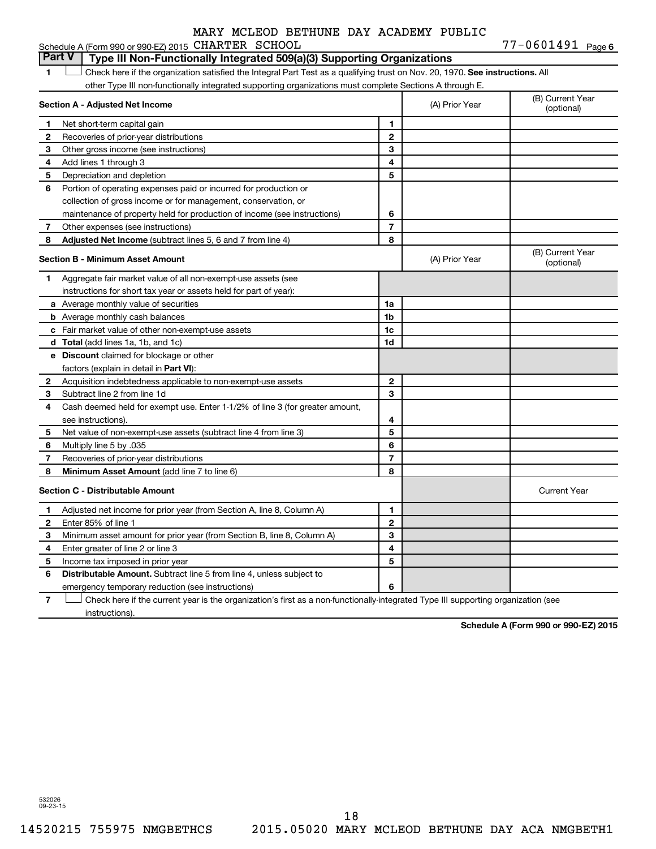|              | <b>Part V</b><br>Type III Non-Functionally Integrated 509(a)(3) Supporting Organizations                                      |                |                |                                |  |  |
|--------------|-------------------------------------------------------------------------------------------------------------------------------|----------------|----------------|--------------------------------|--|--|
| 1            | Check here if the organization satisfied the Integral Part Test as a qualifying trust on Nov. 20, 1970. See instructions. All |                |                |                                |  |  |
|              | other Type III non-functionally integrated supporting organizations must complete Sections A through E.                       |                |                |                                |  |  |
|              | Section A - Adjusted Net Income                                                                                               |                | (A) Prior Year | (B) Current Year<br>(optional) |  |  |
| 1            | Net short-term capital gain                                                                                                   | 1              |                |                                |  |  |
| 2            | Recoveries of prior-year distributions                                                                                        | $\mathbf{2}$   |                |                                |  |  |
| 3            | Other gross income (see instructions)                                                                                         | 3              |                |                                |  |  |
| 4            | Add lines 1 through 3                                                                                                         | 4              |                |                                |  |  |
| 5            | Depreciation and depletion                                                                                                    | 5              |                |                                |  |  |
| 6            | Portion of operating expenses paid or incurred for production or                                                              |                |                |                                |  |  |
|              | collection of gross income or for management, conservation, or                                                                |                |                |                                |  |  |
|              | maintenance of property held for production of income (see instructions)                                                      | 6              |                |                                |  |  |
| 7            | Other expenses (see instructions)                                                                                             | $\overline{7}$ |                |                                |  |  |
| 8            | Adjusted Net Income (subtract lines 5, 6 and 7 from line 4)                                                                   | 8              |                |                                |  |  |
|              | <b>Section B - Minimum Asset Amount</b>                                                                                       |                | (A) Prior Year | (B) Current Year<br>(optional) |  |  |
| 1            | Aggregate fair market value of all non-exempt-use assets (see                                                                 |                |                |                                |  |  |
|              | instructions for short tax year or assets held for part of year):                                                             |                |                |                                |  |  |
|              | a Average monthly value of securities                                                                                         | 1a             |                |                                |  |  |
|              | <b>b</b> Average monthly cash balances                                                                                        | 1b             |                |                                |  |  |
|              | c Fair market value of other non-exempt-use assets                                                                            | 1c             |                |                                |  |  |
|              | <b>d</b> Total (add lines 1a, 1b, and 1c)                                                                                     | 1d             |                |                                |  |  |
|              | e Discount claimed for blockage or other                                                                                      |                |                |                                |  |  |
|              | factors (explain in detail in <b>Part VI</b> ):                                                                               |                |                |                                |  |  |
| $\mathbf{2}$ | Acquisition indebtedness applicable to non-exempt-use assets                                                                  | $\mathbf{2}$   |                |                                |  |  |
| 3            | Subtract line 2 from line 1d                                                                                                  | 3              |                |                                |  |  |
| 4            | Cash deemed held for exempt use. Enter 1-1/2% of line 3 (for greater amount,                                                  |                |                |                                |  |  |
|              | see instructions)                                                                                                             | 4              |                |                                |  |  |
| 5            | Net value of non-exempt-use assets (subtract line 4 from line 3)                                                              | 5              |                |                                |  |  |
| 6            | Multiply line 5 by .035                                                                                                       | 6              |                |                                |  |  |
| 7            | Recoveries of prior-year distributions                                                                                        | $\overline{7}$ |                |                                |  |  |
| 8            | <b>Minimum Asset Amount (add line 7 to line 6)</b>                                                                            | 8              |                |                                |  |  |
|              | <b>Section C - Distributable Amount</b>                                                                                       |                |                | <b>Current Year</b>            |  |  |
| 1            | Adjusted net income for prior year (from Section A, line 8, Column A)                                                         | 1              |                |                                |  |  |
| 2            | Enter 85% of line 1                                                                                                           | $\overline{2}$ |                |                                |  |  |
| 3            | Minimum asset amount for prior year (from Section B, line 8, Column A)                                                        | 3              |                |                                |  |  |
| 4            | Enter greater of line 2 or line 3                                                                                             | 4              |                |                                |  |  |
| 5            | Income tax imposed in prior year                                                                                              | 5              |                |                                |  |  |
| 6            | <b>Distributable Amount.</b> Subtract line 5 from line 4, unless subject to                                                   |                |                |                                |  |  |
|              | emergency temporary reduction (see instructions)                                                                              | 6              |                |                                |  |  |

**7** Let Check here if the current year is the organization's first as a non-functionally-integrated Type III supporting organization (see instructions).

**Schedule A (Form 990 or 990-EZ) 2015**

532026 09-23-15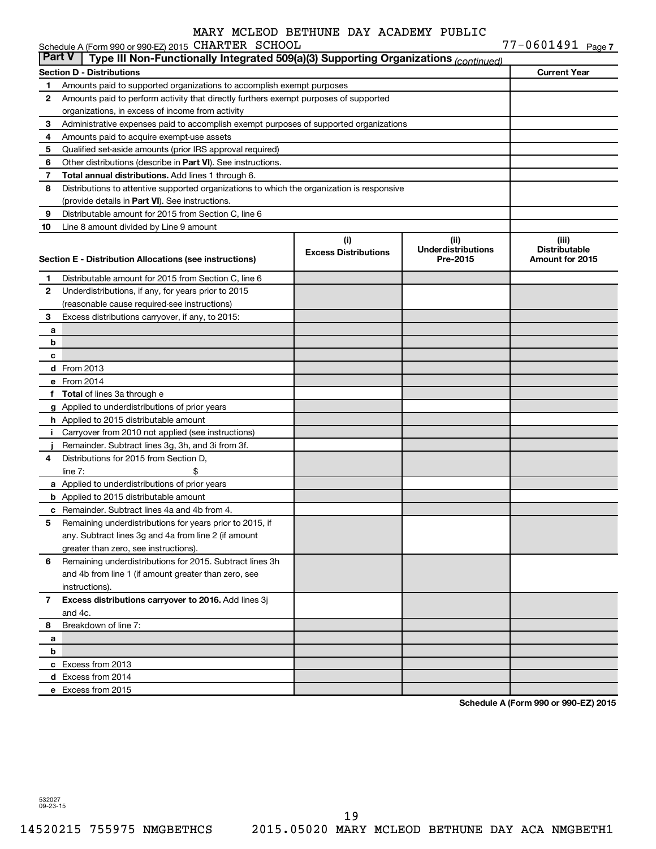|               | Schedule A (Form 990 or 990-EZ) 2015 CHARTER SCHOOL                                        |                             |                           | $77 - 0601491$ Page 7 |  |
|---------------|--------------------------------------------------------------------------------------------|-----------------------------|---------------------------|-----------------------|--|
| <b>Part V</b> | Type III Non-Functionally Integrated 509(a)(3) Supporting Organizations (continued)        |                             |                           |                       |  |
|               | Section D - Distributions                                                                  |                             |                           | <b>Current Year</b>   |  |
| 1             | Amounts paid to supported organizations to accomplish exempt purposes                      |                             |                           |                       |  |
| 2             | Amounts paid to perform activity that directly furthers exempt purposes of supported       |                             |                           |                       |  |
|               | organizations, in excess of income from activity                                           |                             |                           |                       |  |
| 3             | Administrative expenses paid to accomplish exempt purposes of supported organizations      |                             |                           |                       |  |
| 4             | Amounts paid to acquire exempt-use assets                                                  |                             |                           |                       |  |
| 5             | Qualified set-aside amounts (prior IRS approval required)                                  |                             |                           |                       |  |
| 6             | Other distributions (describe in Part VI). See instructions.                               |                             |                           |                       |  |
| 7             | Total annual distributions. Add lines 1 through 6.                                         |                             |                           |                       |  |
| 8             | Distributions to attentive supported organizations to which the organization is responsive |                             |                           |                       |  |
|               | (provide details in Part VI). See instructions.                                            |                             |                           |                       |  |
| 9             | Distributable amount for 2015 from Section C, line 6                                       |                             |                           |                       |  |
| 10            | Line 8 amount divided by Line 9 amount                                                     |                             |                           |                       |  |
|               |                                                                                            | (i)                         | (ii)                      | (iii)                 |  |
|               |                                                                                            | <b>Excess Distributions</b> | <b>Underdistributions</b> | <b>Distributable</b>  |  |
|               | Section E - Distribution Allocations (see instructions)                                    |                             | Pre-2015                  | Amount for 2015       |  |
| 1             | Distributable amount for 2015 from Section C, line 6                                       |                             |                           |                       |  |
| 2             | Underdistributions, if any, for years prior to 2015                                        |                             |                           |                       |  |
|               | (reasonable cause required-see instructions)                                               |                             |                           |                       |  |
| 3             | Excess distributions carryover, if any, to 2015:                                           |                             |                           |                       |  |
| а             |                                                                                            |                             |                           |                       |  |
| b             |                                                                                            |                             |                           |                       |  |
| c             |                                                                                            |                             |                           |                       |  |
|               | d From 2013                                                                                |                             |                           |                       |  |
|               | e From 2014                                                                                |                             |                           |                       |  |
| f             | <b>Total</b> of lines 3a through e                                                         |                             |                           |                       |  |
|               | g Applied to underdistributions of prior years                                             |                             |                           |                       |  |
|               | h Applied to 2015 distributable amount                                                     |                             |                           |                       |  |
| Ť.            | Carryover from 2010 not applied (see instructions)                                         |                             |                           |                       |  |
|               | Remainder. Subtract lines 3g, 3h, and 3i from 3f.                                          |                             |                           |                       |  |
| 4             | Distributions for 2015 from Section D,                                                     |                             |                           |                       |  |
|               | line $7:$                                                                                  |                             |                           |                       |  |
|               | a Applied to underdistributions of prior years                                             |                             |                           |                       |  |
|               | <b>b</b> Applied to 2015 distributable amount                                              |                             |                           |                       |  |
|               | c Remainder. Subtract lines 4a and 4b from 4.                                              |                             |                           |                       |  |
|               | 5 Remaining underdistributions for years prior to 2015, if                                 |                             |                           |                       |  |
|               | any. Subtract lines 3g and 4a from line 2 (if amount                                       |                             |                           |                       |  |
|               | greater than zero, see instructions).                                                      |                             |                           |                       |  |
| 6             | Remaining underdistributions for 2015. Subtract lines 3h                                   |                             |                           |                       |  |
|               | and 4b from line 1 (if amount greater than zero, see                                       |                             |                           |                       |  |
|               | instructions).                                                                             |                             |                           |                       |  |
| 7             | Excess distributions carryover to 2016. Add lines 3j                                       |                             |                           |                       |  |
|               | and 4c.                                                                                    |                             |                           |                       |  |
| 8             | Breakdown of line 7:                                                                       |                             |                           |                       |  |
| а             |                                                                                            |                             |                           |                       |  |
| b             |                                                                                            |                             |                           |                       |  |
|               | c Excess from 2013                                                                         |                             |                           |                       |  |
|               | d Excess from 2014                                                                         |                             |                           |                       |  |
|               | e Excess from 2015                                                                         |                             |                           |                       |  |

**Schedule A (Form 990 or 990-EZ) 2015**

532027 09-23-15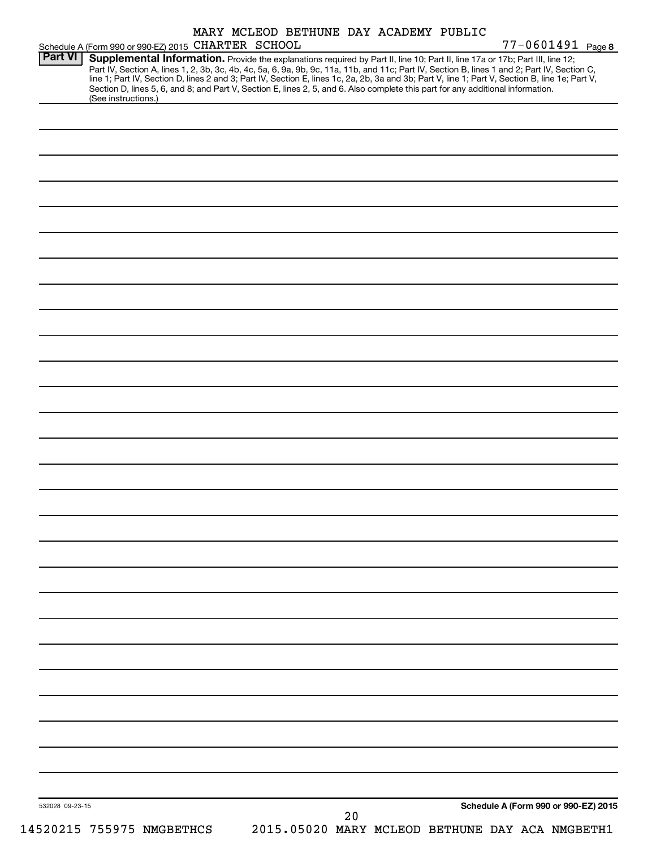|                 | Schedule A (Form 990 or 990-EZ) 2015 CHARTER SCHOOL                                                                                                                                                                                                                                                                                                                                                                                                                                                                                                                                        |  |  |  | 77-0601491 Page 8                    |  |
|-----------------|--------------------------------------------------------------------------------------------------------------------------------------------------------------------------------------------------------------------------------------------------------------------------------------------------------------------------------------------------------------------------------------------------------------------------------------------------------------------------------------------------------------------------------------------------------------------------------------------|--|--|--|--------------------------------------|--|
| <b>Part VI</b>  | Supplemental Information. Provide the explanations required by Part II, line 10; Part II, line 17a or 17b; Part III, line 12;<br>Part IV, Section A, lines 1, 2, 3b, 3c, 4b, 4c, 5a, 6, 9a, 9b, 9c, 11a, 11b, and 11c; Part IV, Section B, lines 1 and 2; Part IV, Section C,<br>line 1; Part IV, Section D, lines 2 and 3; Part IV, Section E, lines 1c, 2a, 2b, 3a and 3b; Part V, line 1; Part V, Section B, line 1e; Part V,<br>Section D, lines 5, 6, and 8; and Part V, Section E, lines 2, 5, and 6. Also complete this part for any additional information.<br>(See instructions.) |  |  |  |                                      |  |
|                 |                                                                                                                                                                                                                                                                                                                                                                                                                                                                                                                                                                                            |  |  |  |                                      |  |
|                 |                                                                                                                                                                                                                                                                                                                                                                                                                                                                                                                                                                                            |  |  |  |                                      |  |
|                 |                                                                                                                                                                                                                                                                                                                                                                                                                                                                                                                                                                                            |  |  |  |                                      |  |
|                 |                                                                                                                                                                                                                                                                                                                                                                                                                                                                                                                                                                                            |  |  |  |                                      |  |
|                 |                                                                                                                                                                                                                                                                                                                                                                                                                                                                                                                                                                                            |  |  |  |                                      |  |
|                 |                                                                                                                                                                                                                                                                                                                                                                                                                                                                                                                                                                                            |  |  |  |                                      |  |
|                 |                                                                                                                                                                                                                                                                                                                                                                                                                                                                                                                                                                                            |  |  |  |                                      |  |
|                 |                                                                                                                                                                                                                                                                                                                                                                                                                                                                                                                                                                                            |  |  |  |                                      |  |
|                 |                                                                                                                                                                                                                                                                                                                                                                                                                                                                                                                                                                                            |  |  |  |                                      |  |
|                 |                                                                                                                                                                                                                                                                                                                                                                                                                                                                                                                                                                                            |  |  |  |                                      |  |
|                 |                                                                                                                                                                                                                                                                                                                                                                                                                                                                                                                                                                                            |  |  |  |                                      |  |
|                 |                                                                                                                                                                                                                                                                                                                                                                                                                                                                                                                                                                                            |  |  |  |                                      |  |
|                 |                                                                                                                                                                                                                                                                                                                                                                                                                                                                                                                                                                                            |  |  |  |                                      |  |
|                 |                                                                                                                                                                                                                                                                                                                                                                                                                                                                                                                                                                                            |  |  |  |                                      |  |
|                 |                                                                                                                                                                                                                                                                                                                                                                                                                                                                                                                                                                                            |  |  |  |                                      |  |
|                 |                                                                                                                                                                                                                                                                                                                                                                                                                                                                                                                                                                                            |  |  |  |                                      |  |
|                 |                                                                                                                                                                                                                                                                                                                                                                                                                                                                                                                                                                                            |  |  |  |                                      |  |
|                 |                                                                                                                                                                                                                                                                                                                                                                                                                                                                                                                                                                                            |  |  |  |                                      |  |
|                 |                                                                                                                                                                                                                                                                                                                                                                                                                                                                                                                                                                                            |  |  |  |                                      |  |
|                 |                                                                                                                                                                                                                                                                                                                                                                                                                                                                                                                                                                                            |  |  |  |                                      |  |
|                 |                                                                                                                                                                                                                                                                                                                                                                                                                                                                                                                                                                                            |  |  |  |                                      |  |
|                 |                                                                                                                                                                                                                                                                                                                                                                                                                                                                                                                                                                                            |  |  |  |                                      |  |
|                 |                                                                                                                                                                                                                                                                                                                                                                                                                                                                                                                                                                                            |  |  |  |                                      |  |
|                 |                                                                                                                                                                                                                                                                                                                                                                                                                                                                                                                                                                                            |  |  |  |                                      |  |
|                 |                                                                                                                                                                                                                                                                                                                                                                                                                                                                                                                                                                                            |  |  |  |                                      |  |
|                 |                                                                                                                                                                                                                                                                                                                                                                                                                                                                                                                                                                                            |  |  |  |                                      |  |
|                 |                                                                                                                                                                                                                                                                                                                                                                                                                                                                                                                                                                                            |  |  |  |                                      |  |
|                 |                                                                                                                                                                                                                                                                                                                                                                                                                                                                                                                                                                                            |  |  |  |                                      |  |
|                 |                                                                                                                                                                                                                                                                                                                                                                                                                                                                                                                                                                                            |  |  |  |                                      |  |
|                 |                                                                                                                                                                                                                                                                                                                                                                                                                                                                                                                                                                                            |  |  |  |                                      |  |
| 532028 09-23-15 |                                                                                                                                                                                                                                                                                                                                                                                                                                                                                                                                                                                            |  |  |  | Schedule A (Form 990 or 990-EZ) 2015 |  |
|                 |                                                                                                                                                                                                                                                                                                                                                                                                                                                                                                                                                                                            |  |  |  |                                      |  |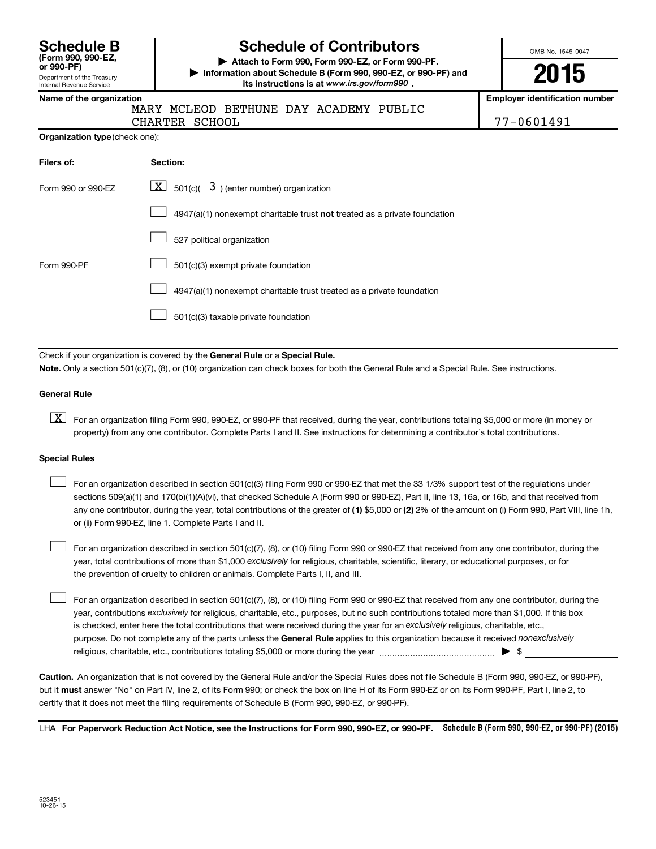Department of the Treasury Internal Revenue Service **(Form 990, 990-EZ,**

# **Schedule B Schedule of Contributors**

**or 990-PF) | Attach to Form 990, Form 990-EZ, or Form 990-PF. | Information about Schedule B (Form 990, 990-EZ, or 990-PF) and** its instructions is at www.irs.gov/form990.

OMB No. 1545-0047

**2015**

**Name of the organization Employer identification number**

|  |  | MARY MCLEOD BETHUNE DAY ACADEMY PUBLIC |  |
|--|--|----------------------------------------|--|
|  |  |                                        |  |

CHARTER SCHOOL

| 77-0601491 |  |  |  |  |
|------------|--|--|--|--|

|  | <b>Organization type</b> (check one): |
|--|---------------------------------------|
|--|---------------------------------------|

| Filers of:         | Section:                                                                           |
|--------------------|------------------------------------------------------------------------------------|
| Form 990 or 990-EZ | $\lfloor x \rfloor$ 501(c)( 3) (enter number) organization                         |
|                    | $4947(a)(1)$ nonexempt charitable trust <b>not</b> treated as a private foundation |
|                    | 527 political organization                                                         |
| Form 990-PF        | 501(c)(3) exempt private foundation                                                |
|                    | 4947(a)(1) nonexempt charitable trust treated as a private foundation              |
|                    | 501(c)(3) taxable private foundation                                               |

Check if your organization is covered by the General Rule or a Special Rule.

**Note.**  Only a section 501(c)(7), (8), or (10) organization can check boxes for both the General Rule and a Special Rule. See instructions.

#### **General Rule**

**K** For an organization filing Form 990, 990-EZ, or 990-PF that received, during the year, contributions totaling \$5,000 or more (in money or property) from any one contributor. Complete Parts I and II. See instructions for determining a contributor's total contributions.

#### **Special Rules**

 $\Box$ 

any one contributor, during the year, total contributions of the greater of **(1)** \$5,000 or **(2)** 2% of the amount on (i) Form 990, Part VIII, line 1h, For an organization described in section 501(c)(3) filing Form 990 or 990-EZ that met the 33 1/3% support test of the regulations under sections 509(a)(1) and 170(b)(1)(A)(vi), that checked Schedule A (Form 990 or 990-EZ), Part II, line 13, 16a, or 16b, and that received from or (ii) Form 990-EZ, line 1. Complete Parts I and II.  $\Box$ 

year, total contributions of more than \$1,000 *exclusively* for religious, charitable, scientific, literary, or educational purposes, or for For an organization described in section 501(c)(7), (8), or (10) filing Form 990 or 990-EZ that received from any one contributor, during the the prevention of cruelty to children or animals. Complete Parts I, II, and III.  $\Box$ 

purpose. Do not complete any of the parts unless the General Rule applies to this organization because it received nonexclusively year, contributions exclusively for religious, charitable, etc., purposes, but no such contributions totaled more than \$1,000. If this box is checked, enter here the total contributions that were received during the year for an exclusively religious, charitable, etc., For an organization described in section 501(c)(7), (8), or (10) filing Form 990 or 990-EZ that received from any one contributor, during the religious, charitable, etc., contributions totaling \$5,000 or more during the year  $\ldots$  $\ldots$  $\ldots$  $\ldots$  $\ldots$  $\ldots$ 

**Caution.** An organization that is not covered by the General Rule and/or the Special Rules does not file Schedule B (Form 990, 990-EZ, or 990-PF),  **must** but it answer "No" on Part IV, line 2, of its Form 990; or check the box on line H of its Form 990-EZ or on its Form 990-PF, Part I, line 2, to certify that it does not meet the filing requirements of Schedule B (Form 990, 990-EZ, or 990-PF).

LHA For Paperwork Reduction Act Notice, see the Instructions for Form 990, 990-EZ, or 990-PF. Schedule B (Form 990, 990-EZ, or 990-PF) (2015)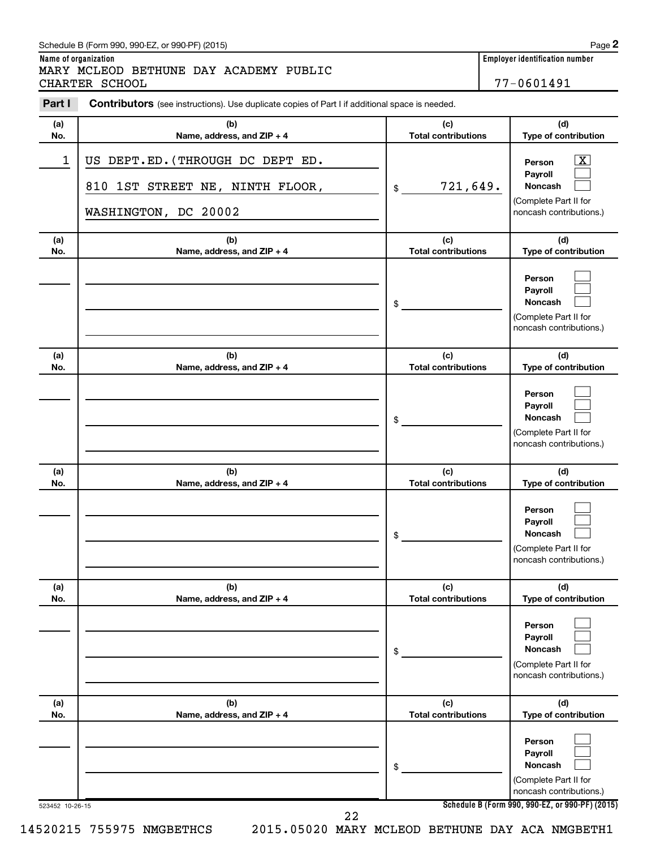#### Schedule B (Form 990, 990-EZ, or 990-PF) (2015)

**Name of organization Employer identification number** MARY MCLEOD BETHUNE DAY ACADEMY PUBLIC

CHARTER SCHOOL 277-0601491

| Part I     | <b>Contributors</b> (see instructions). Use duplicate copies of Part I if additional space is needed. |                                   |                                                                                                                    |
|------------|-------------------------------------------------------------------------------------------------------|-----------------------------------|--------------------------------------------------------------------------------------------------------------------|
| (a)<br>No. | (b)<br>Name, address, and ZIP + 4                                                                     | (c)<br><b>Total contributions</b> | (d)<br>Type of contribution                                                                                        |
| 1          | US DEPT.ED. (THROUGH DC DEPT ED.<br>810 1ST STREET NE, NINTH FLOOR,<br>WASHINGTON, DC 20002           | 721,649.<br>\$                    | $\overline{\mathbf{X}}$<br>Person<br>Payroll<br><b>Noncash</b><br>(Complete Part II for<br>noncash contributions.) |
| (a)<br>No. | (b)<br>Name, address, and ZIP + 4                                                                     | (c)<br><b>Total contributions</b> | (d)<br>Type of contribution                                                                                        |
|            |                                                                                                       | \$                                | Person<br>Payroll<br>Noncash<br>(Complete Part II for<br>noncash contributions.)                                   |
| (a)<br>No. | (b)<br>Name, address, and ZIP + 4                                                                     | (c)<br><b>Total contributions</b> | (d)<br>Type of contribution                                                                                        |
|            |                                                                                                       | \$                                | Person<br>Payroll<br>Noncash<br>(Complete Part II for<br>noncash contributions.)                                   |
| (a)<br>No. | (b)<br>Name, address, and ZIP + 4                                                                     | (c)<br><b>Total contributions</b> | (d)<br>Type of contribution                                                                                        |
|            |                                                                                                       | \$                                | Person<br>Payroll<br><b>Noncash</b><br>(Complete Part II for<br>noncash contributions.)                            |
| (a)<br>No. | (b)<br>Name, address, and ZIP + 4                                                                     | (c)<br><b>Total contributions</b> | (d)<br>Type of contribution                                                                                        |
|            |                                                                                                       | \$                                | Person<br>Payroll<br><b>Noncash</b><br>(Complete Part II for<br>noncash contributions.)                            |
| (a)<br>No. | (b)<br>Name, address, and ZIP + 4                                                                     | (c)<br><b>Total contributions</b> | (d)<br>Type of contribution                                                                                        |
|            |                                                                                                       | \$                                | Person<br>Payroll<br><b>Noncash</b><br>(Complete Part II for<br>noncash contributions.)                            |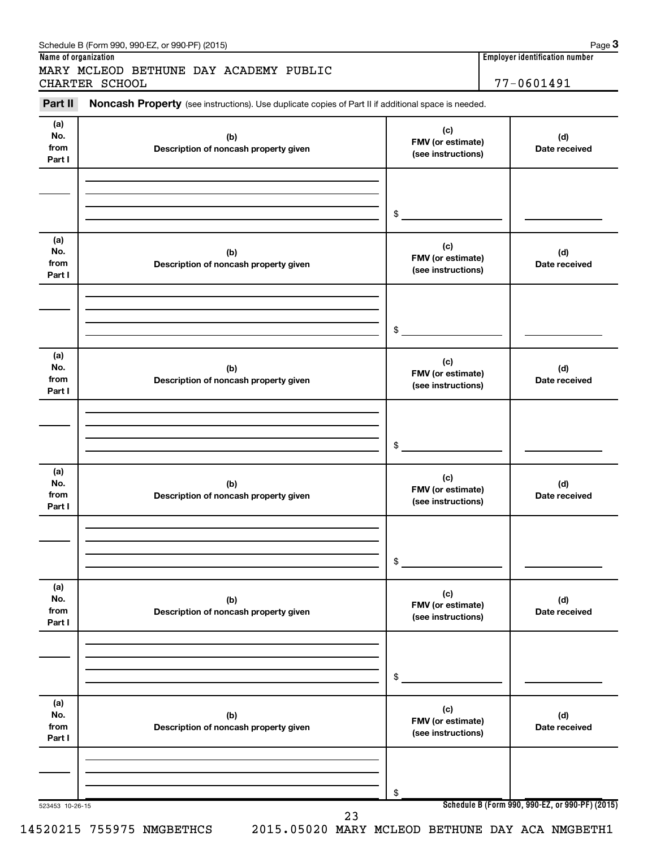| Part II                      | Noncash Property (see instructions). Use duplicate copies of Part II if additional space is needed. |                                                |                      |
|------------------------------|-----------------------------------------------------------------------------------------------------|------------------------------------------------|----------------------|
| (a)<br>No.<br>from<br>Part I | (b)<br>Description of noncash property given                                                        | (c)<br>FMV (or estimate)<br>(see instructions) | (d)<br>Date received |
|                              |                                                                                                     | \$                                             |                      |
| (a)<br>No.<br>from<br>Part I | (b)<br>Description of noncash property given                                                        | (c)<br>FMV (or estimate)<br>(see instructions) | (d)<br>Date received |
|                              |                                                                                                     | \$                                             |                      |
| (a)<br>No.<br>from<br>Part I | (b)<br>Description of noncash property given                                                        | (c)<br>FMV (or estimate)<br>(see instructions) | (d)<br>Date received |
|                              |                                                                                                     | \$                                             |                      |
| (a)<br>No.<br>from<br>Part I | (b)<br>Description of noncash property given                                                        | (c)<br>FMV (or estimate)<br>(see instructions) | (d)<br>Date received |
|                              |                                                                                                     | \$                                             |                      |
| (a)<br>No.<br>from<br>Part I | (b)<br>Description of noncash property given                                                        | (c)<br>FMV (or estimate)<br>(see instructions) | (d)<br>Date received |
|                              |                                                                                                     | \$                                             |                      |
| (a)<br>No.<br>from<br>Part I | (b)<br>Description of noncash property given                                                        | (c)<br>FMV (or estimate)<br>(see instructions) | (d)<br>Date received |
|                              |                                                                                                     | \$                                             |                      |

#### Schedule B (Form 990, 990-EZ, or 990-PF) (2015)

**Name of organization Employer identification number**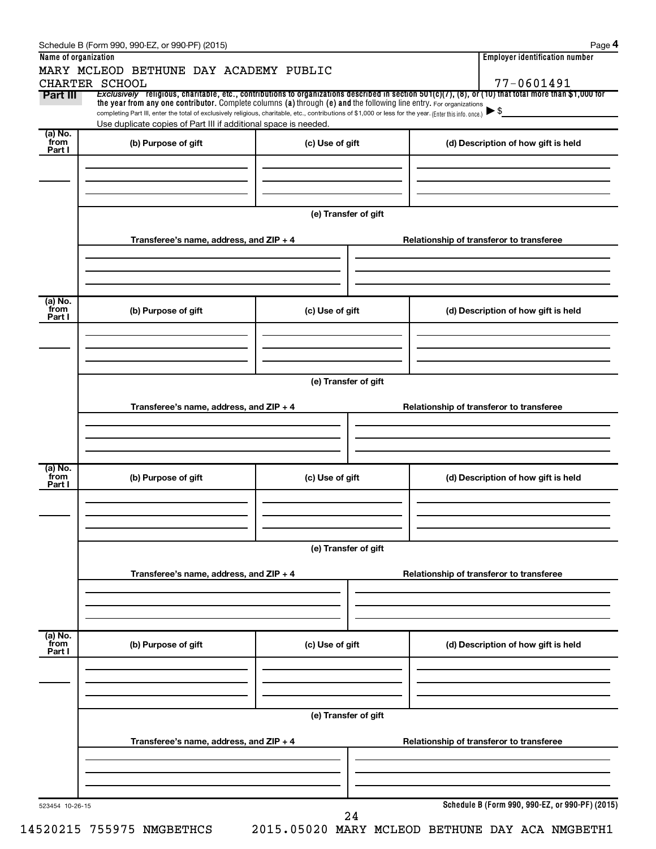|                           | Schedule B (Form 990, 990-EZ, or 990-PF) (2015)                                                                                                                                                                                                                                 |                      |  | Page 4                                          |  |  |  |  |
|---------------------------|---------------------------------------------------------------------------------------------------------------------------------------------------------------------------------------------------------------------------------------------------------------------------------|----------------------|--|-------------------------------------------------|--|--|--|--|
| Name of organization      | MARY MCLEOD BETHUNE DAY ACADEMY PUBLIC                                                                                                                                                                                                                                          |                      |  | <b>Employer identification number</b>           |  |  |  |  |
|                           | CHARTER SCHOOL                                                                                                                                                                                                                                                                  |                      |  | 77-0601491                                      |  |  |  |  |
| Part III                  | Exclusively religious, charitable, etc., contributions to organizations described in section 501(c)(7), (8), or (10) that total more than \$1,000 for                                                                                                                           |                      |  |                                                 |  |  |  |  |
|                           | the year from any one contributor. Complete columns (a) through (e) and the following line entry. For organizations<br>completing Part III, enter the total of exclusively religious, charitable, etc., contributions of \$1,000 or less for the year. (Enter this info. once.) |                      |  | $\blacktriangleright$ \$                        |  |  |  |  |
|                           | Use duplicate copies of Part III if additional space is needed.                                                                                                                                                                                                                 |                      |  |                                                 |  |  |  |  |
| (a) No.<br>from<br>Part I | (b) Purpose of gift                                                                                                                                                                                                                                                             | (c) Use of gift      |  | (d) Description of how gift is held             |  |  |  |  |
|                           |                                                                                                                                                                                                                                                                                 |                      |  |                                                 |  |  |  |  |
|                           |                                                                                                                                                                                                                                                                                 | (e) Transfer of gift |  |                                                 |  |  |  |  |
|                           | Transferee's name, address, and ZIP + 4                                                                                                                                                                                                                                         |                      |  | Relationship of transferor to transferee        |  |  |  |  |
|                           |                                                                                                                                                                                                                                                                                 |                      |  |                                                 |  |  |  |  |
| (a) No.<br>from           |                                                                                                                                                                                                                                                                                 |                      |  |                                                 |  |  |  |  |
| Part I                    | (b) Purpose of gift                                                                                                                                                                                                                                                             | (c) Use of gift      |  | (d) Description of how gift is held             |  |  |  |  |
|                           |                                                                                                                                                                                                                                                                                 |                      |  |                                                 |  |  |  |  |
|                           |                                                                                                                                                                                                                                                                                 | (e) Transfer of gift |  |                                                 |  |  |  |  |
|                           | Transferee's name, address, and ZIP + 4                                                                                                                                                                                                                                         |                      |  | Relationship of transferor to transferee        |  |  |  |  |
|                           |                                                                                                                                                                                                                                                                                 |                      |  |                                                 |  |  |  |  |
|                           |                                                                                                                                                                                                                                                                                 |                      |  |                                                 |  |  |  |  |
|                           |                                                                                                                                                                                                                                                                                 |                      |  |                                                 |  |  |  |  |
| (a) No.<br>from<br>Part I | (b) Purpose of gift                                                                                                                                                                                                                                                             | (c) Use of gift      |  | (d) Description of how gift is held             |  |  |  |  |
|                           |                                                                                                                                                                                                                                                                                 |                      |  |                                                 |  |  |  |  |
|                           |                                                                                                                                                                                                                                                                                 |                      |  |                                                 |  |  |  |  |
|                           | (e) Transfer of gift                                                                                                                                                                                                                                                            |                      |  |                                                 |  |  |  |  |
|                           |                                                                                                                                                                                                                                                                                 |                      |  |                                                 |  |  |  |  |
|                           | Transferee's name, address, and ZIP + 4                                                                                                                                                                                                                                         |                      |  | Relationship of transferor to transferee        |  |  |  |  |
|                           |                                                                                                                                                                                                                                                                                 |                      |  |                                                 |  |  |  |  |
|                           |                                                                                                                                                                                                                                                                                 |                      |  |                                                 |  |  |  |  |
| (a) No.<br>from           |                                                                                                                                                                                                                                                                                 |                      |  |                                                 |  |  |  |  |
| Part I                    | (b) Purpose of gift                                                                                                                                                                                                                                                             | (c) Use of gift      |  | (d) Description of how gift is held             |  |  |  |  |
|                           |                                                                                                                                                                                                                                                                                 |                      |  |                                                 |  |  |  |  |
|                           |                                                                                                                                                                                                                                                                                 |                      |  |                                                 |  |  |  |  |
|                           |                                                                                                                                                                                                                                                                                 |                      |  |                                                 |  |  |  |  |
|                           |                                                                                                                                                                                                                                                                                 | (e) Transfer of gift |  |                                                 |  |  |  |  |
|                           | Transferee's name, address, and ZIP + 4                                                                                                                                                                                                                                         |                      |  | Relationship of transferor to transferee        |  |  |  |  |
|                           |                                                                                                                                                                                                                                                                                 |                      |  |                                                 |  |  |  |  |
|                           |                                                                                                                                                                                                                                                                                 |                      |  |                                                 |  |  |  |  |
|                           |                                                                                                                                                                                                                                                                                 |                      |  |                                                 |  |  |  |  |
| 523454 10-26-15           |                                                                                                                                                                                                                                                                                 |                      |  | Schedule B (Form 990, 990-EZ, or 990-PF) (2015) |  |  |  |  |
|                           |                                                                                                                                                                                                                                                                                 | 24                   |  |                                                 |  |  |  |  |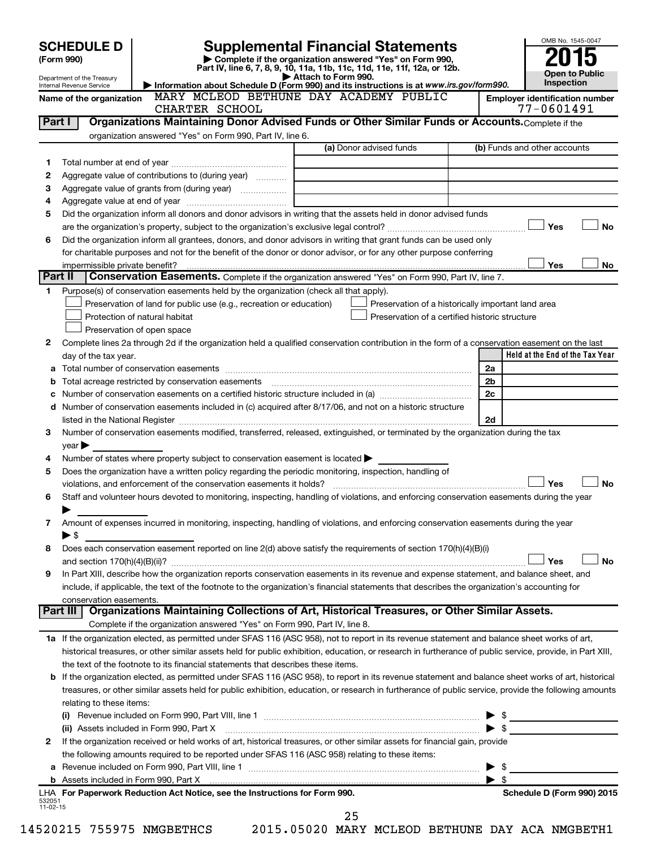|                          | <b>SCHEDULE D</b>              |                                                                                                        | <b>Supplemental Financial Statements</b>                                                                                                                   | OMB No. 1545-0047                                   |
|--------------------------|--------------------------------|--------------------------------------------------------------------------------------------------------|------------------------------------------------------------------------------------------------------------------------------------------------------------|-----------------------------------------------------|
|                          | (Form 990)                     |                                                                                                        | Complete if the organization answered "Yes" on Form 990,                                                                                                   |                                                     |
|                          | Department of the Treasury     |                                                                                                        | Part IV, line 6, 7, 8, 9, 10, 11a, 11b, 11c, 11d, 11e, 11f, 12a, or 12b.<br>Attach to Form 990.                                                            | <b>Open to Public</b>                               |
|                          | Internal Revenue Service       |                                                                                                        | Information about Schedule D (Form 990) and its instructions is at www.irs.gov/form990.                                                                    | Inspection                                          |
|                          | Name of the organization       |                                                                                                        | MARY MCLEOD BETHUNE DAY ACADEMY PUBLIC                                                                                                                     | <b>Employer identification number</b><br>77-0601491 |
| Part I                   |                                | CHARTER SCHOOL                                                                                         | Organizations Maintaining Donor Advised Funds or Other Similar Funds or Accounts. Complete if the                                                          |                                                     |
|                          |                                | organization answered "Yes" on Form 990, Part IV, line 6.                                              |                                                                                                                                                            |                                                     |
|                          |                                |                                                                                                        | (a) Donor advised funds                                                                                                                                    | (b) Funds and other accounts                        |
| 1                        |                                |                                                                                                        |                                                                                                                                                            |                                                     |
| 2                        |                                | Aggregate value of contributions to (during year)                                                      |                                                                                                                                                            |                                                     |
| З                        |                                |                                                                                                        |                                                                                                                                                            |                                                     |
| 4                        |                                |                                                                                                        |                                                                                                                                                            |                                                     |
| 5                        |                                |                                                                                                        | Did the organization inform all donors and donor advisors in writing that the assets held in donor advised funds                                           |                                                     |
|                          |                                |                                                                                                        |                                                                                                                                                            | Yes<br><b>No</b>                                    |
| 6                        |                                |                                                                                                        | Did the organization inform all grantees, donors, and donor advisors in writing that grant funds can be used only                                          |                                                     |
|                          |                                |                                                                                                        | for charitable purposes and not for the benefit of the donor or donor advisor, or for any other purpose conferring                                         |                                                     |
|                          | impermissible private benefit? |                                                                                                        |                                                                                                                                                            | Yes<br>No                                           |
|                          | Part II                        |                                                                                                        | Conservation Easements. Complete if the organization answered "Yes" on Form 990, Part IV, line 7.                                                          |                                                     |
| 1                        |                                | Purpose(s) of conservation easements held by the organization (check all that apply).                  |                                                                                                                                                            |                                                     |
|                          |                                | Preservation of land for public use (e.g., recreation or education)                                    |                                                                                                                                                            | Preservation of a historically important land area  |
|                          |                                | Protection of natural habitat                                                                          | Preservation of a certified historic structure                                                                                                             |                                                     |
|                          |                                | Preservation of open space                                                                             |                                                                                                                                                            |                                                     |
| 2                        |                                |                                                                                                        | Complete lines 2a through 2d if the organization held a qualified conservation contribution in the form of a conservation easement on the last             |                                                     |
|                          | day of the tax year.           |                                                                                                        |                                                                                                                                                            | Held at the End of the Tax Year                     |
|                          |                                |                                                                                                        |                                                                                                                                                            | 2a                                                  |
|                          |                                |                                                                                                        |                                                                                                                                                            | 2b                                                  |
|                          |                                |                                                                                                        |                                                                                                                                                            | 2c                                                  |
|                          |                                |                                                                                                        | d Number of conservation easements included in (c) acquired after 8/17/06, and not on a historic structure                                                 |                                                     |
|                          |                                |                                                                                                        |                                                                                                                                                            | 2d                                                  |
| З                        |                                |                                                                                                        | Number of conservation easements modified, transferred, released, extinguished, or terminated by the organization during the tax                           |                                                     |
|                          | $year \triangleright$          |                                                                                                        |                                                                                                                                                            |                                                     |
| 4                        |                                | Number of states where property subject to conservation easement is located                            |                                                                                                                                                            |                                                     |
| 5                        |                                | Does the organization have a written policy regarding the periodic monitoring, inspection, handling of |                                                                                                                                                            |                                                     |
|                          |                                |                                                                                                        |                                                                                                                                                            | Yes<br><b>No</b>                                    |
| 6                        |                                |                                                                                                        | Staff and volunteer hours devoted to monitoring, inspecting, handling of violations, and enforcing conservation easements during the year                  |                                                     |
|                          |                                |                                                                                                        |                                                                                                                                                            |                                                     |
| 7                        |                                |                                                                                                        | Amount of expenses incurred in monitoring, inspecting, handling of violations, and enforcing conservation easements during the year                        |                                                     |
|                          | ▶ \$                           |                                                                                                        |                                                                                                                                                            |                                                     |
| 8                        |                                |                                                                                                        | Does each conservation easement reported on line 2(d) above satisfy the requirements of section 170(h)(4)(B)(i)                                            |                                                     |
|                          |                                |                                                                                                        |                                                                                                                                                            | Yes<br>No                                           |
| 9                        |                                |                                                                                                        | In Part XIII, describe how the organization reports conservation easements in its revenue and expense statement, and balance sheet, and                    |                                                     |
|                          | conservation easements.        |                                                                                                        | include, if applicable, the text of the footnote to the organization's financial statements that describes the organization's accounting for               |                                                     |
|                          | Part III                       |                                                                                                        | Organizations Maintaining Collections of Art, Historical Treasures, or Other Similar Assets.                                                               |                                                     |
|                          |                                | Complete if the organization answered "Yes" on Form 990, Part IV, line 8.                              |                                                                                                                                                            |                                                     |
|                          |                                |                                                                                                        | 1a If the organization elected, as permitted under SFAS 116 (ASC 958), not to report in its revenue statement and balance sheet works of art,              |                                                     |
|                          |                                |                                                                                                        | historical treasures, or other similar assets held for public exhibition, education, or research in furtherance of public service, provide, in Part XIII,  |                                                     |
|                          |                                | the text of the footnote to its financial statements that describes these items.                       |                                                                                                                                                            |                                                     |
|                          |                                |                                                                                                        | <b>b</b> If the organization elected, as permitted under SFAS 116 (ASC 958), to report in its revenue statement and balance sheet works of art, historical |                                                     |
|                          |                                |                                                                                                        | treasures, or other similar assets held for public exhibition, education, or research in furtherance of public service, provide the following amounts      |                                                     |
|                          | relating to these items:       |                                                                                                        |                                                                                                                                                            |                                                     |
|                          |                                |                                                                                                        |                                                                                                                                                            | \$                                                  |
|                          |                                | (ii) Assets included in Form 990, Part X                                                               |                                                                                                                                                            | \$                                                  |
| 2                        |                                |                                                                                                        | If the organization received or held works of art, historical treasures, or other similar assets for financial gain, provide                               |                                                     |
|                          |                                | the following amounts required to be reported under SFAS 116 (ASC 958) relating to these items:        |                                                                                                                                                            |                                                     |
|                          |                                |                                                                                                        |                                                                                                                                                            | \$                                                  |
|                          |                                |                                                                                                        |                                                                                                                                                            | $\blacktriangleright$ s                             |
|                          |                                | LHA For Paperwork Reduction Act Notice, see the Instructions for Form 990.                             |                                                                                                                                                            | Schedule D (Form 990) 2015                          |
| 532051<br>$11 - 02 - 15$ |                                |                                                                                                        |                                                                                                                                                            |                                                     |
|                          |                                |                                                                                                        | 25                                                                                                                                                         |                                                     |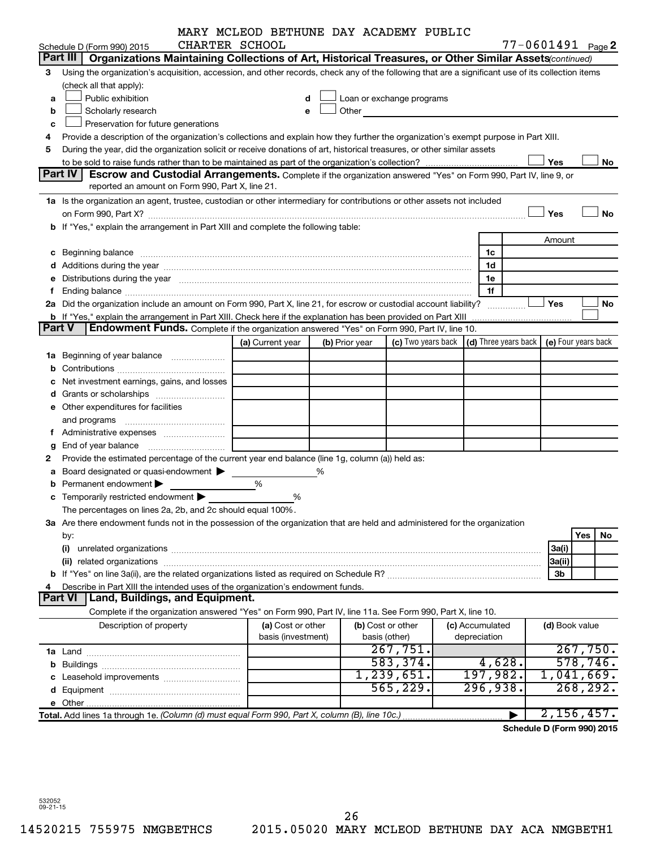|        |                                                                                                                                                                                                                                | MARY MCLEOD BETHUNE DAY ACADEMY PUBLIC |   |                |                                                                                                                                                                                                                               |                 |                |                            |
|--------|--------------------------------------------------------------------------------------------------------------------------------------------------------------------------------------------------------------------------------|----------------------------------------|---|----------------|-------------------------------------------------------------------------------------------------------------------------------------------------------------------------------------------------------------------------------|-----------------|----------------|----------------------------|
|        | Schedule D (Form 990) 2015                                                                                                                                                                                                     | CHARTER SCHOOL                         |   |                |                                                                                                                                                                                                                               |                 |                | $77 - 0601491$ Page 2      |
|        | Part III<br>Organizations Maintaining Collections of Art, Historical Treasures, or Other Similar Assets (continued)                                                                                                            |                                        |   |                |                                                                                                                                                                                                                               |                 |                |                            |
| з      | Using the organization's acquisition, accession, and other records, check any of the following that are a significant use of its collection items                                                                              |                                        |   |                |                                                                                                                                                                                                                               |                 |                |                            |
|        | (check all that apply):                                                                                                                                                                                                        |                                        |   |                |                                                                                                                                                                                                                               |                 |                |                            |
| a      | Public exhibition                                                                                                                                                                                                              |                                        |   |                | Loan or exchange programs                                                                                                                                                                                                     |                 |                |                            |
| b      | Scholarly research                                                                                                                                                                                                             |                                        |   |                | Other and the contract of the contract of the contract of the contract of the contract of the contract of the contract of the contract of the contract of the contract of the contract of the contract of the contract of the |                 |                |                            |
| c      | Preservation for future generations                                                                                                                                                                                            |                                        |   |                |                                                                                                                                                                                                                               |                 |                |                            |
| 4      | Provide a description of the organization's collections and explain how they further the organization's exempt purpose in Part XIII.                                                                                           |                                        |   |                |                                                                                                                                                                                                                               |                 |                |                            |
| 5      | During the year, did the organization solicit or receive donations of art, historical treasures, or other similar assets                                                                                                       |                                        |   |                |                                                                                                                                                                                                                               |                 |                |                            |
|        | <b>Part IV</b>                                                                                                                                                                                                                 |                                        |   |                |                                                                                                                                                                                                                               |                 | Yes            | No                         |
|        | Escrow and Custodial Arrangements. Complete if the organization answered "Yes" on Form 990, Part IV, line 9, or<br>reported an amount on Form 990, Part X, line 21.                                                            |                                        |   |                |                                                                                                                                                                                                                               |                 |                |                            |
|        | 1a Is the organization an agent, trustee, custodian or other intermediary for contributions or other assets not included                                                                                                       |                                        |   |                |                                                                                                                                                                                                                               |                 |                |                            |
|        |                                                                                                                                                                                                                                |                                        |   |                |                                                                                                                                                                                                                               |                 | Yes            | <b>No</b>                  |
|        | b If "Yes," explain the arrangement in Part XIII and complete the following table:                                                                                                                                             |                                        |   |                |                                                                                                                                                                                                                               |                 |                |                            |
|        |                                                                                                                                                                                                                                |                                        |   |                |                                                                                                                                                                                                                               |                 | Amount         |                            |
|        |                                                                                                                                                                                                                                |                                        |   |                |                                                                                                                                                                                                                               | 1c              |                |                            |
|        |                                                                                                                                                                                                                                |                                        |   |                |                                                                                                                                                                                                                               | 1d              |                |                            |
|        |                                                                                                                                                                                                                                |                                        |   |                |                                                                                                                                                                                                                               | 1e              |                |                            |
|        | e Distributions during the year manufactured and contain an account of the year manufactured and the year manufactured and the year manufactured and the year manufactured and the year manufactured and the year manufactured |                                        |   |                |                                                                                                                                                                                                                               | 1f              |                |                            |
|        | 2a Did the organization include an amount on Form 990, Part X, line 21, for escrow or custodial account liability?                                                                                                             |                                        |   |                |                                                                                                                                                                                                                               |                 | <b>Yes</b>     | No                         |
|        | <b>b</b> If "Yes," explain the arrangement in Part XIII. Check here if the explanation has been provided on Part XIII                                                                                                          |                                        |   |                |                                                                                                                                                                                                                               | .<br>. <u>.</u> |                |                            |
| Part V | Endowment Funds. Complete if the organization answered "Yes" on Form 990, Part IV, line 10.                                                                                                                                    |                                        |   |                |                                                                                                                                                                                                                               |                 |                |                            |
|        |                                                                                                                                                                                                                                | (a) Current year                       |   | (b) Prior year | (c) Two years back $\vert$ (d) Three years back $\vert$ (e) Four years back                                                                                                                                                   |                 |                |                            |
|        |                                                                                                                                                                                                                                |                                        |   |                |                                                                                                                                                                                                                               |                 |                |                            |
|        |                                                                                                                                                                                                                                |                                        |   |                |                                                                                                                                                                                                                               |                 |                |                            |
|        | Net investment earnings, gains, and losses                                                                                                                                                                                     |                                        |   |                |                                                                                                                                                                                                                               |                 |                |                            |
|        |                                                                                                                                                                                                                                |                                        |   |                |                                                                                                                                                                                                                               |                 |                |                            |
|        | e Other expenditures for facilities                                                                                                                                                                                            |                                        |   |                |                                                                                                                                                                                                                               |                 |                |                            |
|        |                                                                                                                                                                                                                                |                                        |   |                |                                                                                                                                                                                                                               |                 |                |                            |
|        |                                                                                                                                                                                                                                |                                        |   |                |                                                                                                                                                                                                                               |                 |                |                            |
| g      |                                                                                                                                                                                                                                |                                        |   |                |                                                                                                                                                                                                                               |                 |                |                            |
|        | Provide the estimated percentage of the current year end balance (line 1g, column (a)) held as:                                                                                                                                |                                        |   |                |                                                                                                                                                                                                                               |                 |                |                            |
| а      | Board designated or quasi-endowment                                                                                                                                                                                            |                                        | % |                |                                                                                                                                                                                                                               |                 |                |                            |
|        | Permanent endowment                                                                                                                                                                                                            | %                                      |   |                |                                                                                                                                                                                                                               |                 |                |                            |
|        | <b>c</b> Temporarily restricted endowment $\blacktriangleright$                                                                                                                                                                | %                                      |   |                |                                                                                                                                                                                                                               |                 |                |                            |
|        | The percentages on lines 2a, 2b, and 2c should equal 100%.                                                                                                                                                                     |                                        |   |                |                                                                                                                                                                                                                               |                 |                |                            |
|        | 3a Are there endowment funds not in the possession of the organization that are held and administered for the organization                                                                                                     |                                        |   |                |                                                                                                                                                                                                                               |                 |                |                            |
|        | by:                                                                                                                                                                                                                            |                                        |   |                |                                                                                                                                                                                                                               |                 |                | Yes<br>No                  |
|        | (i)                                                                                                                                                                                                                            |                                        |   |                |                                                                                                                                                                                                                               |                 | 3a(i)          |                            |
|        |                                                                                                                                                                                                                                |                                        |   |                |                                                                                                                                                                                                                               |                 | 3a(ii)         |                            |
|        |                                                                                                                                                                                                                                |                                        |   |                |                                                                                                                                                                                                                               |                 | 3b             |                            |
|        | Describe in Part XIII the intended uses of the organization's endowment funds.                                                                                                                                                 |                                        |   |                |                                                                                                                                                                                                                               |                 |                |                            |
|        | Land, Buildings, and Equipment.<br><b>Part VI</b>                                                                                                                                                                              |                                        |   |                |                                                                                                                                                                                                                               |                 |                |                            |
|        | Complete if the organization answered "Yes" on Form 990, Part IV, line 11a. See Form 990, Part X, line 10.                                                                                                                     |                                        |   |                |                                                                                                                                                                                                                               |                 |                |                            |
|        | Description of property                                                                                                                                                                                                        | (a) Cost or other                      |   |                | (b) Cost or other                                                                                                                                                                                                             | (c) Accumulated | (d) Book value |                            |
|        |                                                                                                                                                                                                                                | basis (investment)                     |   |                | basis (other)                                                                                                                                                                                                                 | depreciation    |                |                            |
|        |                                                                                                                                                                                                                                |                                        |   |                | 267,751.                                                                                                                                                                                                                      |                 |                | 267,750.                   |
|        |                                                                                                                                                                                                                                |                                        |   |                | 583, 374.                                                                                                                                                                                                                     | 4,628.          |                | 578, 746.                  |
|        |                                                                                                                                                                                                                                |                                        |   |                | 1,239,651.                                                                                                                                                                                                                    | 197,982.        |                | 1,041,669.                 |
|        |                                                                                                                                                                                                                                |                                        |   |                | 565,229.                                                                                                                                                                                                                      | 296,938.        |                | 268, 292.                  |
|        |                                                                                                                                                                                                                                |                                        |   |                |                                                                                                                                                                                                                               |                 |                |                            |
|        | Total. Add lines 1a through 1e. (Column (d) must equal Form 990, Part X, column (B), line 10c.)                                                                                                                                |                                        |   |                |                                                                                                                                                                                                                               |                 |                | 2,156,457.                 |
|        |                                                                                                                                                                                                                                |                                        |   |                |                                                                                                                                                                                                                               |                 |                | Schedule D (Form 990) 2015 |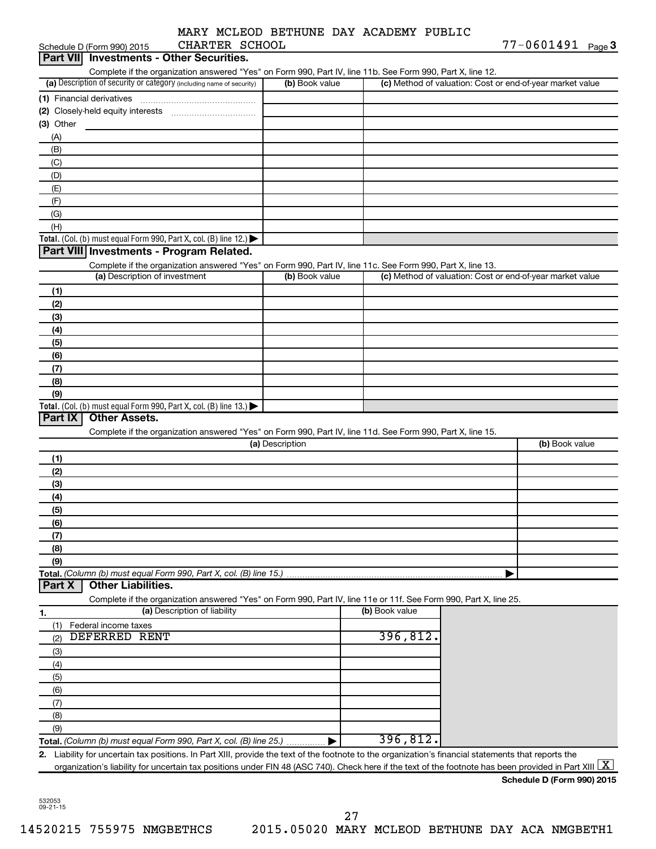|                                       |  | MARY MCLEOD BETHUNE DAY ACADEMY PUBLIC |  |
|---------------------------------------|--|----------------------------------------|--|
| $\alpha$ iia nooco a coii $\alpha$ at |  |                                        |  |

|             | Schedule D (Form 990) 2015    | CHARTER SCHOOL                                                                         |                 |                                                                                                                                                          | $77 - 0601491$ Page 3                                     |
|-------------|-------------------------------|----------------------------------------------------------------------------------------|-----------------|----------------------------------------------------------------------------------------------------------------------------------------------------------|-----------------------------------------------------------|
| Part VIII   |                               | <b>Investments - Other Securities.</b>                                                 |                 |                                                                                                                                                          |                                                           |
|             |                               |                                                                                        |                 | Complete if the organization answered "Yes" on Form 990, Part IV, line 11b. See Form 990, Part X, line 12.                                               |                                                           |
|             |                               | (a) Description of security or category (including name of security)                   | (b) Book value  |                                                                                                                                                          | (c) Method of valuation: Cost or end-of-year market value |
|             | (1) Financial derivatives     |                                                                                        |                 |                                                                                                                                                          |                                                           |
|             |                               |                                                                                        |                 |                                                                                                                                                          |                                                           |
| $(3)$ Other |                               |                                                                                        |                 |                                                                                                                                                          |                                                           |
| (A)         |                               |                                                                                        |                 |                                                                                                                                                          |                                                           |
| (B)         |                               |                                                                                        |                 |                                                                                                                                                          |                                                           |
| (C)         |                               |                                                                                        |                 |                                                                                                                                                          |                                                           |
| (D)         |                               |                                                                                        |                 |                                                                                                                                                          |                                                           |
| (E)         |                               |                                                                                        |                 |                                                                                                                                                          |                                                           |
| (F)         |                               |                                                                                        |                 |                                                                                                                                                          |                                                           |
| (G)         |                               |                                                                                        |                 |                                                                                                                                                          |                                                           |
| (H)         |                               |                                                                                        |                 |                                                                                                                                                          |                                                           |
|             |                               | Total. (Col. (b) must equal Form 990, Part X, col. (B) line 12.) $\blacktriangleright$ |                 |                                                                                                                                                          |                                                           |
|             |                               | Part VIII Investments - Program Related.                                               |                 |                                                                                                                                                          |                                                           |
|             |                               |                                                                                        |                 | Complete if the organization answered "Yes" on Form 990, Part IV, line 11c. See Form 990, Part X, line 13.                                               |                                                           |
|             | (a) Description of investment |                                                                                        | (b) Book value  |                                                                                                                                                          | (c) Method of valuation: Cost or end-of-year market value |
| (1)         |                               |                                                                                        |                 |                                                                                                                                                          |                                                           |
| (2)         |                               |                                                                                        |                 |                                                                                                                                                          |                                                           |
| (3)         |                               |                                                                                        |                 |                                                                                                                                                          |                                                           |
| (4)         |                               |                                                                                        |                 |                                                                                                                                                          |                                                           |
| (5)         |                               |                                                                                        |                 |                                                                                                                                                          |                                                           |
| (6)         |                               |                                                                                        |                 |                                                                                                                                                          |                                                           |
| (7)         |                               |                                                                                        |                 |                                                                                                                                                          |                                                           |
| (8)         |                               |                                                                                        |                 |                                                                                                                                                          |                                                           |
| (9)         |                               |                                                                                        |                 |                                                                                                                                                          |                                                           |
| Part IX     | <b>Other Assets.</b>          | Total. (Col. (b) must equal Form 990, Part X, col. (B) line 13.) $\blacktriangleright$ |                 |                                                                                                                                                          |                                                           |
|             |                               |                                                                                        |                 |                                                                                                                                                          |                                                           |
|             |                               |                                                                                        | (a) Description | Complete if the organization answered "Yes" on Form 990, Part IV, line 11d. See Form 990, Part X, line 15.                                               | (b) Book value                                            |
|             |                               |                                                                                        |                 |                                                                                                                                                          |                                                           |
| (1)<br>(2)  |                               |                                                                                        |                 |                                                                                                                                                          |                                                           |
| (3)         |                               |                                                                                        |                 |                                                                                                                                                          |                                                           |
| (4)         |                               |                                                                                        |                 |                                                                                                                                                          |                                                           |
| (5)         |                               |                                                                                        |                 |                                                                                                                                                          |                                                           |
| (6)         |                               |                                                                                        |                 |                                                                                                                                                          |                                                           |
| (7)         |                               |                                                                                        |                 |                                                                                                                                                          |                                                           |
| (8)         |                               |                                                                                        |                 |                                                                                                                                                          |                                                           |
| (9)         |                               |                                                                                        |                 |                                                                                                                                                          |                                                           |
|             |                               | Total. (Column (b) must equal Form 990, Part X, col. (B) line 15.)                     |                 |                                                                                                                                                          |                                                           |
| Part X      | <b>Other Liabilities.</b>     |                                                                                        |                 |                                                                                                                                                          |                                                           |
|             |                               |                                                                                        |                 | Complete if the organization answered "Yes" on Form 990, Part IV, line 11e or 11f. See Form 990, Part X, line 25.                                        |                                                           |
| 1.          |                               | (a) Description of liability                                                           |                 | (b) Book value                                                                                                                                           |                                                           |
| (1)         | Federal income taxes          |                                                                                        |                 |                                                                                                                                                          |                                                           |
| (2)         | <b>DEFERRED RENT</b>          |                                                                                        |                 | 396,812.                                                                                                                                                 |                                                           |
| (3)         |                               |                                                                                        |                 |                                                                                                                                                          |                                                           |
| (4)         |                               |                                                                                        |                 |                                                                                                                                                          |                                                           |
| (5)         |                               |                                                                                        |                 |                                                                                                                                                          |                                                           |
| (6)         |                               |                                                                                        |                 |                                                                                                                                                          |                                                           |
| (7)         |                               |                                                                                        |                 |                                                                                                                                                          |                                                           |
| (8)         |                               |                                                                                        |                 |                                                                                                                                                          |                                                           |
| (9)         |                               |                                                                                        |                 |                                                                                                                                                          |                                                           |
|             |                               | Total. (Column (b) must equal Form 990, Part X, col. (B) line 25.) $\ldots$            |                 | 396, 812.                                                                                                                                                |                                                           |
|             |                               |                                                                                        |                 | 2. Liability for uncertain tax positions. In Part XIII, provide the text of the footnote to the organization's financial statements that reports the     |                                                           |
|             |                               |                                                                                        |                 | organization's liability for uncertain tax positions under FIN 48 (ASC 740). Check here if the text of the footnote has been provided in Part XIII $ X $ |                                                           |
|             |                               |                                                                                        |                 |                                                                                                                                                          | Schedule D (Form 990) 2015                                |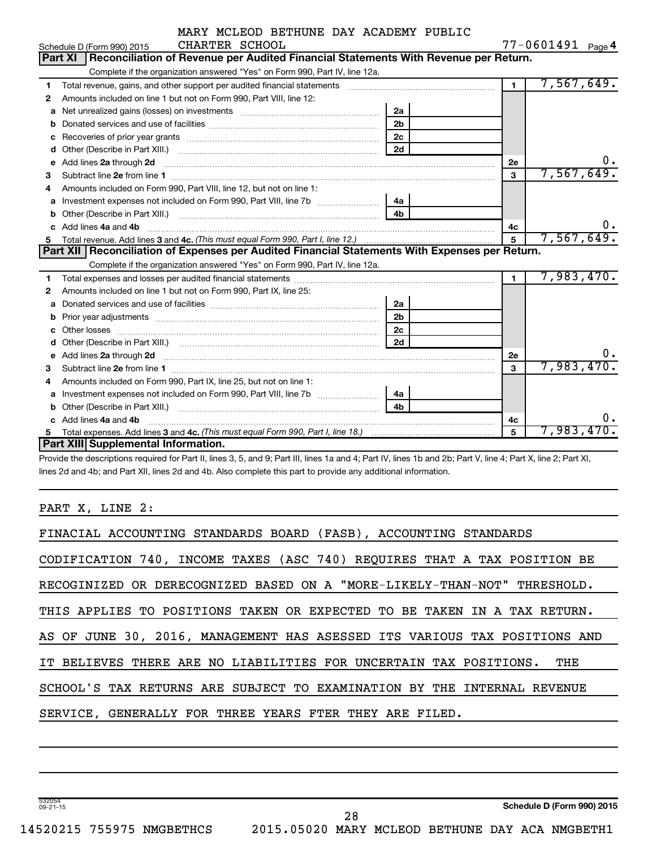|    | CHARTER SCHOOL<br>Schedule D (Form 990) 2015                                                                                                                                                                                         |                |                | $77 - 0601491$ Page 4 |
|----|--------------------------------------------------------------------------------------------------------------------------------------------------------------------------------------------------------------------------------------|----------------|----------------|-----------------------|
|    | Reconciliation of Revenue per Audited Financial Statements With Revenue per Return.<br><b>Part XI</b>                                                                                                                                |                |                |                       |
|    | Complete if the organization answered "Yes" on Form 990, Part IV, line 12a.                                                                                                                                                          |                |                |                       |
| 1  | Total revenue, gains, and other support per audited financial statements [111] [11] Total revenue, gains, and other support per audited financial statements                                                                         |                | $\mathbf 1$    | 7,567,649.            |
| 2  | Amounts included on line 1 but not on Form 990, Part VIII, line 12:                                                                                                                                                                  |                |                |                       |
| a  | Net unrealized gains (losses) on investments [111] [12] matter contracts and the unrealized gains (losses) on investments [11] matter contracts and the unrealized gains (losses) on investments [11] matter contracts and the       | 2a             |                |                       |
| b  |                                                                                                                                                                                                                                      | 2 <sub>b</sub> |                |                       |
| c  |                                                                                                                                                                                                                                      | 2 <sub>c</sub> |                |                       |
| d  |                                                                                                                                                                                                                                      | 2d             |                |                       |
| e  | Add lines 2a through 2d                                                                                                                                                                                                              |                | <b>2e</b>      | о.                    |
| 3  |                                                                                                                                                                                                                                      |                | 3              | 7,567,649.            |
|    | Amounts included on Form 990, Part VIII, line 12, but not on line 1:                                                                                                                                                                 |                |                |                       |
| a  |                                                                                                                                                                                                                                      | 4a             |                |                       |
| b  |                                                                                                                                                                                                                                      | 4 <sub>b</sub> |                |                       |
|    | Add lines 4a and 4b                                                                                                                                                                                                                  |                | 4c             | υ.                    |
| 5  |                                                                                                                                                                                                                                      |                | 5              | 7,567,649.            |
|    |                                                                                                                                                                                                                                      |                |                |                       |
|    | Part XII Reconciliation of Expenses per Audited Financial Statements With Expenses per Return.                                                                                                                                       |                |                |                       |
|    | Complete if the organization answered "Yes" on Form 990, Part IV, line 12a.                                                                                                                                                          |                |                |                       |
| 1. |                                                                                                                                                                                                                                      |                | $\blacksquare$ | 7,983,470.            |
| 2  | Amounts included on line 1 but not on Form 990, Part IX, line 25:                                                                                                                                                                    |                |                |                       |
| a  |                                                                                                                                                                                                                                      | 2a             |                |                       |
| b  | Prior year adjustments [111] matter contracts and provide the contract of the contract of the contract of the                                                                                                                        | 2 <sub>b</sub> |                |                       |
| c  |                                                                                                                                                                                                                                      | 2 <sub>c</sub> |                |                       |
|    | Other losses <b>with a contract the contract of the contract of the contract of the contract of the contract of the contract of the contract of the contract of the contract of the contract of the contract of the contract of </b> | 2d             |                |                       |
| е  |                                                                                                                                                                                                                                      |                | 2e             |                       |
| З  | Add lines 2a through 2d <b>[10]</b> University of the state of the state of the state of the state of the state of the state of the state of the state of the state of the state of the state of the state of the state of the stat  |                | $\mathbf{a}$   | 7,983,470.            |
| 4  | Amounts included on Form 990, Part IX, line 25, but not on line 1:                                                                                                                                                                   |                |                |                       |
| a  |                                                                                                                                                                                                                                      | 4a             |                |                       |
| b  |                                                                                                                                                                                                                                      | 4 <sub>b</sub> |                |                       |
|    | Add lines 4a and 4b                                                                                                                                                                                                                  |                | 4c             | 0.                    |
| 5. | <b>Part XIII Supplemental Information.</b>                                                                                                                                                                                           |                | 5              | $7,983,470$ .         |

Provide the descriptions required for Part II, lines 3, 5, and 9; Part III, lines 1a and 4; Part IV, lines 1b and 2b; Part V, line 4; Part X, line 2; Part XI, lines 2d and 4b; and Part XII, lines 2d and 4b. Also complete this part to provide any additional information.

PART X, LINE 2:

532054 09-21-15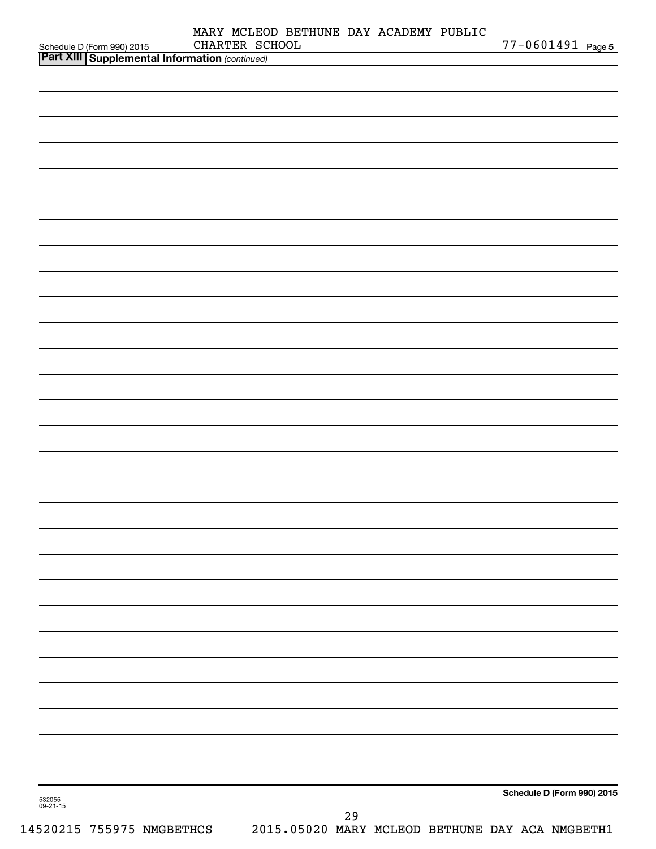| Schedule D (Form 990) 2015 CHARTER SC<br>Part XIII Supplemental Information (continued) | CHARTER SCHOOL |  |    | MARY MCLEOD BETHUNE DAY ACADEMY PUBLIC | 77-0601491 Page 5          |
|-----------------------------------------------------------------------------------------|----------------|--|----|----------------------------------------|----------------------------|
|                                                                                         |                |  |    |                                        |                            |
|                                                                                         |                |  |    |                                        |                            |
|                                                                                         |                |  |    |                                        |                            |
|                                                                                         |                |  |    |                                        |                            |
|                                                                                         |                |  |    |                                        |                            |
|                                                                                         |                |  |    |                                        |                            |
|                                                                                         |                |  |    |                                        |                            |
|                                                                                         |                |  |    |                                        |                            |
|                                                                                         |                |  |    |                                        |                            |
|                                                                                         |                |  |    |                                        |                            |
|                                                                                         |                |  |    |                                        |                            |
|                                                                                         |                |  |    |                                        |                            |
|                                                                                         |                |  |    |                                        |                            |
|                                                                                         |                |  |    |                                        |                            |
|                                                                                         |                |  |    |                                        |                            |
|                                                                                         |                |  |    |                                        |                            |
|                                                                                         |                |  |    |                                        |                            |
|                                                                                         |                |  |    |                                        |                            |
|                                                                                         |                |  |    |                                        |                            |
|                                                                                         |                |  |    |                                        |                            |
|                                                                                         |                |  |    |                                        |                            |
|                                                                                         |                |  |    |                                        |                            |
|                                                                                         |                |  |    |                                        |                            |
|                                                                                         |                |  |    |                                        |                            |
|                                                                                         |                |  |    |                                        |                            |
|                                                                                         |                |  |    |                                        |                            |
|                                                                                         |                |  |    |                                        |                            |
|                                                                                         |                |  |    |                                        |                            |
|                                                                                         |                |  |    |                                        |                            |
|                                                                                         |                |  |    |                                        |                            |
|                                                                                         |                |  |    |                                        |                            |
|                                                                                         |                |  |    |                                        |                            |
|                                                                                         |                |  |    |                                        |                            |
|                                                                                         |                |  |    |                                        |                            |
|                                                                                         |                |  |    |                                        |                            |
|                                                                                         |                |  |    |                                        |                            |
| 532055<br>09-21-15                                                                      |                |  |    |                                        | Schedule D (Form 990) 2015 |
|                                                                                         |                |  | 29 |                                        |                            |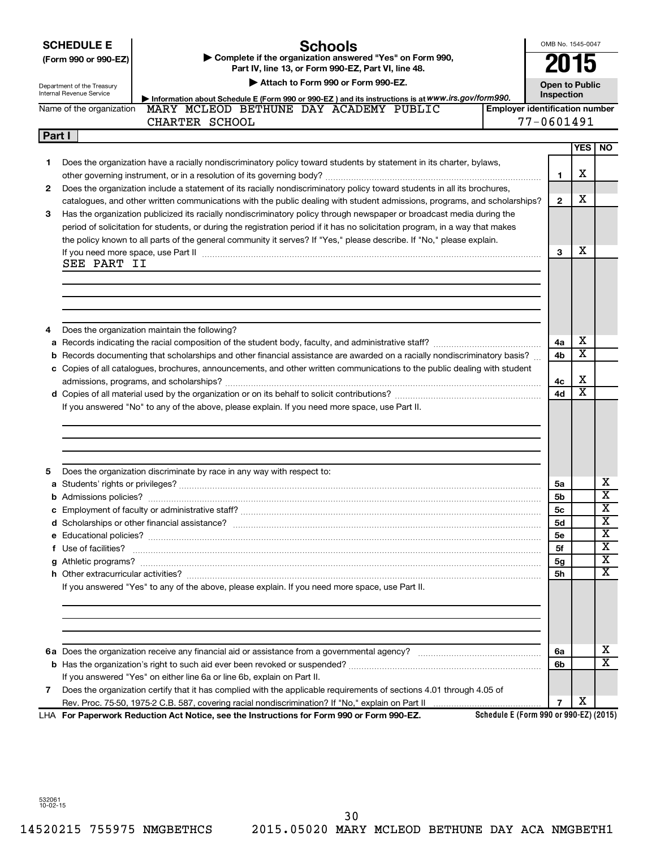| <b>SCHEDULE E</b> |  |
|-------------------|--|
|                   |  |

# **(Form 990 or 990-EZ) | Complete if the organization answered "Yes" on Form 990,**

## **Schools**

**Part IV, line 13, or Form 990-EZ, Part VI, line 48.**

OMB No. 1545-0047 **2015**

| Department of the Treasury |  |  |
|----------------------------|--|--|

|        | Department of the Treasury<br>Internal Revenue Service | Attach to Form 990 or Form 990-EZ.                                                                                                                                                                                            |                                        | <b>Open to Public</b> |                         |                         |
|--------|--------------------------------------------------------|-------------------------------------------------------------------------------------------------------------------------------------------------------------------------------------------------------------------------------|----------------------------------------|-----------------------|-------------------------|-------------------------|
|        |                                                        | Information about Schedule E (Form 990 or 990-EZ) and its instructions is at WWW.irs.gov/form990.                                                                                                                             |                                        | Inspection            |                         |                         |
|        | Name of the organization                               | MARY MCLEOD BETHUNE DAY ACADEMY PUBLIC                                                                                                                                                                                        | <b>Employer identification number</b>  |                       |                         |                         |
|        |                                                        | CHARTER SCHOOL                                                                                                                                                                                                                |                                        | 77-0601491            |                         |                         |
| Part I |                                                        |                                                                                                                                                                                                                               |                                        |                       |                         |                         |
|        |                                                        |                                                                                                                                                                                                                               |                                        |                       |                         | YES   NO                |
| 1.     |                                                        | Does the organization have a racially nondiscriminatory policy toward students by statement in its charter, bylaws,                                                                                                           |                                        |                       |                         |                         |
|        |                                                        |                                                                                                                                                                                                                               |                                        | 1                     | x                       |                         |
| 2      |                                                        | Does the organization include a statement of its racially nondiscriminatory policy toward students in all its brochures,                                                                                                      |                                        |                       |                         |                         |
|        |                                                        | catalogues, and other written communications with the public dealing with student admissions, programs, and scholarships?                                                                                                     |                                        | $\mathbf{2}$          | х                       |                         |
| 3      |                                                        | Has the organization publicized its racially nondiscriminatory policy through newspaper or broadcast media during the                                                                                                         |                                        |                       |                         |                         |
|        |                                                        | period of solicitation for students, or during the registration period if it has no solicitation program, in a way that makes                                                                                                 |                                        |                       |                         |                         |
|        |                                                        | the policy known to all parts of the general community it serves? If "Yes," please describe. If "No," please explain.                                                                                                         |                                        |                       |                         |                         |
|        |                                                        | If you need more space, use Part II manufactured and continuum contract to the Part II manufacture and the manufacture of the space with the manufacture of the space with the manufacture of the space of the manufacture of |                                        | 3                     | х                       |                         |
|        | SEE PART II                                            |                                                                                                                                                                                                                               |                                        |                       |                         |                         |
|        |                                                        |                                                                                                                                                                                                                               |                                        |                       |                         |                         |
|        |                                                        |                                                                                                                                                                                                                               |                                        |                       |                         |                         |
|        |                                                        |                                                                                                                                                                                                                               |                                        |                       |                         |                         |
|        |                                                        |                                                                                                                                                                                                                               |                                        |                       |                         |                         |
| 4      |                                                        | Does the organization maintain the following?                                                                                                                                                                                 |                                        |                       |                         |                         |
|        |                                                        |                                                                                                                                                                                                                               |                                        | 4a                    | х                       |                         |
|        |                                                        | <b>b</b> Records documenting that scholarships and other financial assistance are awarded on a racially nondiscriminatory basis?                                                                                              |                                        | 4b                    | х                       |                         |
|        |                                                        | c Copies of all catalogues, brochures, announcements, and other written communications to the public dealing with student                                                                                                     |                                        |                       |                         |                         |
|        |                                                        |                                                                                                                                                                                                                               |                                        | 4c                    | х                       |                         |
|        |                                                        |                                                                                                                                                                                                                               |                                        | 4d                    | $\overline{\textbf{x}}$ |                         |
|        |                                                        | If you answered "No" to any of the above, please explain. If you need more space, use Part II.                                                                                                                                |                                        |                       |                         |                         |
|        |                                                        |                                                                                                                                                                                                                               |                                        |                       |                         |                         |
|        |                                                        |                                                                                                                                                                                                                               |                                        |                       |                         |                         |
|        |                                                        |                                                                                                                                                                                                                               |                                        |                       |                         |                         |
|        |                                                        |                                                                                                                                                                                                                               |                                        |                       |                         |                         |
| 5      |                                                        | Does the organization discriminate by race in any way with respect to:                                                                                                                                                        |                                        |                       |                         |                         |
|        |                                                        |                                                                                                                                                                                                                               |                                        | 5a                    |                         | х                       |
|        |                                                        |                                                                                                                                                                                                                               |                                        | 5b                    |                         | $\overline{\mathbf{x}}$ |
|        |                                                        |                                                                                                                                                                                                                               |                                        | 5с                    |                         | $\overline{\mathbf{x}}$ |
|        |                                                        |                                                                                                                                                                                                                               |                                        | 5d                    |                         | $\overline{\textbf{x}}$ |
|        |                                                        |                                                                                                                                                                                                                               |                                        | 5е                    |                         | $\overline{\mathbf{x}}$ |
|        | f Use of facilities?                                   |                                                                                                                                                                                                                               |                                        | 5f                    |                         | $\overline{\text{x}}$   |
|        |                                                        |                                                                                                                                                                                                                               |                                        | 5g                    |                         | x                       |
|        |                                                        |                                                                                                                                                                                                                               |                                        | 5h                    |                         | $\overline{\textbf{X}}$ |
|        |                                                        | If you answered "Yes" to any of the above, please explain. If you need more space, use Part II.                                                                                                                               |                                        |                       |                         |                         |
|        |                                                        |                                                                                                                                                                                                                               |                                        |                       |                         |                         |
|        |                                                        |                                                                                                                                                                                                                               |                                        |                       |                         |                         |
|        |                                                        |                                                                                                                                                                                                                               |                                        |                       |                         |                         |
|        |                                                        |                                                                                                                                                                                                                               |                                        |                       |                         |                         |
|        |                                                        |                                                                                                                                                                                                                               |                                        | 6a                    |                         | х                       |
|        |                                                        |                                                                                                                                                                                                                               |                                        | 6b                    |                         | $\overline{\textbf{X}}$ |
|        |                                                        | If you answered "Yes" on either line 6a or line 6b, explain on Part II.                                                                                                                                                       |                                        |                       |                         |                         |
| 7      |                                                        | Does the organization certify that it has complied with the applicable requirements of sections 4.01 through 4.05 of                                                                                                          |                                        |                       |                         |                         |
|        |                                                        |                                                                                                                                                                                                                               |                                        | $\overline{7}$        | х                       |                         |
|        |                                                        | LHA For Paperwork Reduction Act Notice, see the Instructions for Form 990 or Form 990-EZ.                                                                                                                                     | Schedule E (Form 990 or 990-EZ) (2015) |                       |                         |                         |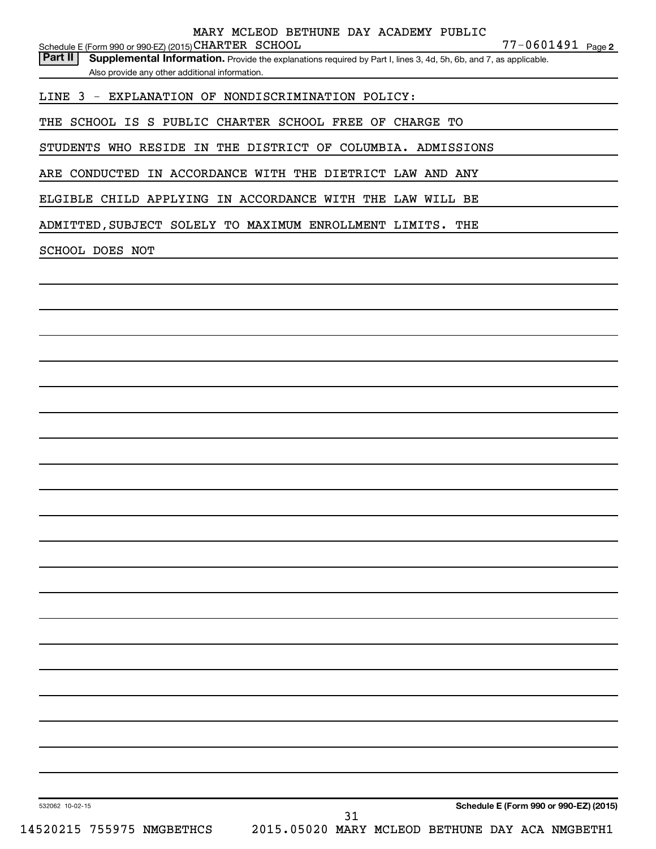| 532062 10-02-15                                                               | 31 | Schedule E (Form 990 or 990-EZ) (2015) |  |
|-------------------------------------------------------------------------------|----|----------------------------------------|--|
|                                                                               |    |                                        |  |
|                                                                               |    |                                        |  |
|                                                                               |    |                                        |  |
|                                                                               |    |                                        |  |
|                                                                               |    |                                        |  |
|                                                                               |    |                                        |  |
|                                                                               |    |                                        |  |
|                                                                               |    |                                        |  |
|                                                                               |    |                                        |  |
|                                                                               |    |                                        |  |
|                                                                               |    |                                        |  |
|                                                                               |    |                                        |  |
|                                                                               |    |                                        |  |
|                                                                               |    |                                        |  |
|                                                                               |    |                                        |  |
|                                                                               |    |                                        |  |
|                                                                               |    |                                        |  |
|                                                                               |    |                                        |  |
|                                                                               |    |                                        |  |
|                                                                               |    |                                        |  |
|                                                                               |    |                                        |  |
| ADMITTED, SUBJECT SOLELY TO MAXIMUM ENROLLMENT LIMITS. THE<br>SCHOOL DOES NOT |    |                                        |  |
| ELGIBLE CHILD APPLYING IN ACCORDANCE WITH THE LAW WILL BE                     |    |                                        |  |
| ARE CONDUCTED IN ACCORDANCE WITH THE DIETRICT LAW AND ANY                     |    |                                        |  |
| STUDENTS WHO RESIDE IN THE DISTRICT OF COLUMBIA. ADMISSIONS                   |    |                                        |  |
| THE SCHOOL IS S PUBLIC CHARTER SCHOOL FREE OF CHARGE TO                       |    |                                        |  |
| LINE 3 - EXPLANATION OF NONDISCRIMINATION POLICY:                             |    |                                        |  |

Schedule E (Form 990 or 990-EZ) (2015) CHARTER SCHOOL  $77-0601491$  Page

MARY MCLEOD BETHUNE DAY ACADEMY PUBLIC

Part II | Supplemental Information. Provide the explanations required by Part I, lines 3, 4d, 5h, 6b, and 7, as applicable.

77-0601491 Page 2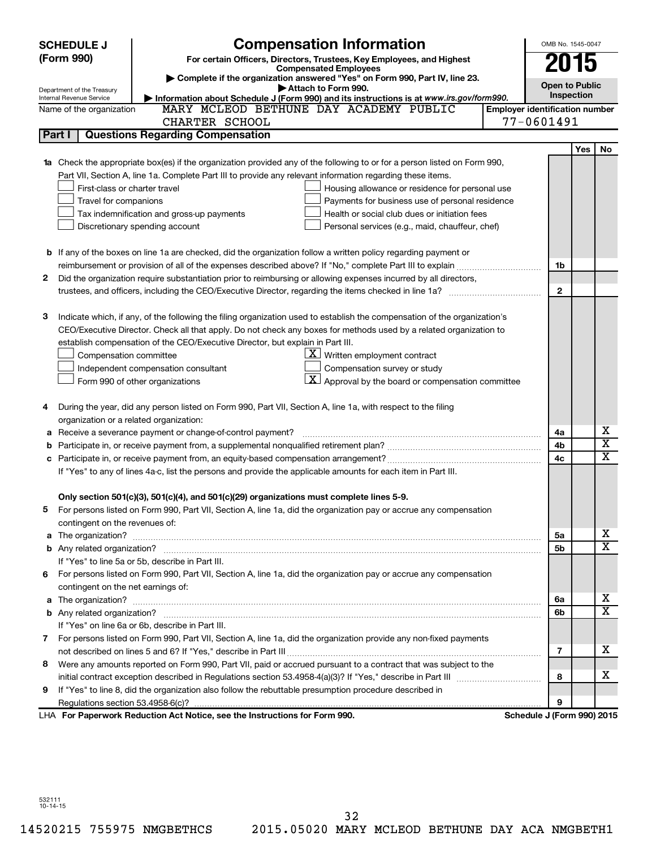|   | <b>SCHEDULE J</b>                                                                                          | <b>Compensation Information</b>                                                                                                   |                            | OMB No. 1545-0047     |     |                         |  |
|---|------------------------------------------------------------------------------------------------------------|-----------------------------------------------------------------------------------------------------------------------------------|----------------------------|-----------------------|-----|-------------------------|--|
|   | (Form 990)<br>For certain Officers, Directors, Trustees, Key Employees, and Highest                        |                                                                                                                                   |                            | 2015                  |     |                         |  |
|   | <b>Compensated Employees</b><br>Complete if the organization answered "Yes" on Form 990, Part IV, line 23. |                                                                                                                                   |                            |                       |     |                         |  |
|   | Department of the Treasury                                                                                 | Attach to Form 990.                                                                                                               |                            | <b>Open to Public</b> |     |                         |  |
|   | Internal Revenue Service                                                                                   | Information about Schedule J (Form 990) and its instructions is at www.irs.gov/form990.<br>MARY MCLEOD BETHUNE DAY ACADEMY PUBLIC |                            | Inspection            |     |                         |  |
|   | Name of the organization                                                                                   | <b>Employer identification number</b>                                                                                             |                            |                       |     |                         |  |
|   |                                                                                                            | CHARTER SCHOOL                                                                                                                    | 77-0601491                 |                       |     |                         |  |
|   | Part I                                                                                                     | <b>Questions Regarding Compensation</b>                                                                                           |                            |                       |     |                         |  |
|   |                                                                                                            |                                                                                                                                   |                            |                       | Yes | No                      |  |
|   |                                                                                                            | Check the appropriate box(es) if the organization provided any of the following to or for a person listed on Form 990,            |                            |                       |     |                         |  |
|   |                                                                                                            | Part VII, Section A, line 1a. Complete Part III to provide any relevant information regarding these items.                        |                            |                       |     |                         |  |
|   | First-class or charter travel                                                                              | Housing allowance or residence for personal use                                                                                   |                            |                       |     |                         |  |
|   | Travel for companions                                                                                      | Payments for business use of personal residence                                                                                   |                            |                       |     |                         |  |
|   |                                                                                                            | Health or social club dues or initiation fees<br>Tax indemnification and gross-up payments                                        |                            |                       |     |                         |  |
|   |                                                                                                            | Discretionary spending account<br>Personal services (e.g., maid, chauffeur, chef)                                                 |                            |                       |     |                         |  |
|   |                                                                                                            |                                                                                                                                   |                            |                       |     |                         |  |
|   |                                                                                                            | <b>b</b> If any of the boxes on line 1a are checked, did the organization follow a written policy regarding payment or            |                            |                       |     |                         |  |
|   |                                                                                                            |                                                                                                                                   |                            | 1b                    |     |                         |  |
| 2 |                                                                                                            | Did the organization require substantiation prior to reimbursing or allowing expenses incurred by all directors,                  |                            |                       |     |                         |  |
|   |                                                                                                            |                                                                                                                                   |                            | $\mathbf{2}$          |     |                         |  |
|   |                                                                                                            |                                                                                                                                   |                            |                       |     |                         |  |
| з |                                                                                                            | Indicate which, if any, of the following the filing organization used to establish the compensation of the organization's         |                            |                       |     |                         |  |
|   |                                                                                                            | CEO/Executive Director. Check all that apply. Do not check any boxes for methods used by a related organization to                |                            |                       |     |                         |  |
|   |                                                                                                            | establish compensation of the CEO/Executive Director, but explain in Part III.                                                    |                            |                       |     |                         |  |
|   | Compensation committee                                                                                     | $\underline{\mathbf{X}}$ Written employment contract                                                                              |                            |                       |     |                         |  |
|   |                                                                                                            | Compensation survey or study<br>Independent compensation consultant                                                               |                            |                       |     |                         |  |
|   |                                                                                                            | $\lfloor x \rfloor$ Approval by the board or compensation committee<br>Form 990 of other organizations                            |                            |                       |     |                         |  |
|   |                                                                                                            |                                                                                                                                   |                            |                       |     |                         |  |
| 4 |                                                                                                            | During the year, did any person listed on Form 990, Part VII, Section A, line 1a, with respect to the filing                      |                            |                       |     |                         |  |
|   | organization or a related organization:                                                                    |                                                                                                                                   |                            |                       |     | х                       |  |
| а |                                                                                                            | Receive a severance payment or change-of-control payment?                                                                         |                            | 4a                    |     | $\overline{\mathbf{X}}$ |  |
| b |                                                                                                            |                                                                                                                                   |                            | 4b<br>4c              |     | $\mathbf x$             |  |
|   |                                                                                                            | If "Yes" to any of lines 4a-c, list the persons and provide the applicable amounts for each item in Part III.                     |                            |                       |     |                         |  |
|   |                                                                                                            |                                                                                                                                   |                            |                       |     |                         |  |
|   |                                                                                                            | Only section 501(c)(3), 501(c)(4), and 501(c)(29) organizations must complete lines 5-9.                                          |                            |                       |     |                         |  |
|   |                                                                                                            | For persons listed on Form 990, Part VII, Section A, line 1a, did the organization pay or accrue any compensation                 |                            |                       |     |                         |  |
|   | contingent on the revenues of:                                                                             |                                                                                                                                   |                            |                       |     |                         |  |
| a |                                                                                                            |                                                                                                                                   |                            | 5a                    |     | x                       |  |
|   |                                                                                                            |                                                                                                                                   |                            | 5b                    |     | X                       |  |
|   |                                                                                                            | If "Yes" to line 5a or 5b, describe in Part III.                                                                                  |                            |                       |     |                         |  |
|   |                                                                                                            | 6 For persons listed on Form 990, Part VII, Section A, line 1a, did the organization pay or accrue any compensation               |                            |                       |     |                         |  |
|   | contingent on the net earnings of:                                                                         |                                                                                                                                   |                            |                       |     |                         |  |
| a |                                                                                                            |                                                                                                                                   |                            | 6a                    |     | x                       |  |
|   |                                                                                                            |                                                                                                                                   |                            | 6b                    |     | $\overline{\mathbf{X}}$ |  |
|   |                                                                                                            | If "Yes" on line 6a or 6b, describe in Part III.                                                                                  |                            |                       |     |                         |  |
|   |                                                                                                            | 7 For persons listed on Form 990, Part VII, Section A, line 1a, did the organization provide any non-fixed payments               |                            |                       |     |                         |  |
|   |                                                                                                            |                                                                                                                                   |                            | 7                     |     | x                       |  |
| 8 |                                                                                                            | Were any amounts reported on Form 990, Part VII, paid or accrued pursuant to a contract that was subject to the                   |                            |                       |     |                         |  |
|   |                                                                                                            |                                                                                                                                   |                            | 8                     |     | x                       |  |
| 9 |                                                                                                            | If "Yes" to line 8, did the organization also follow the rebuttable presumption procedure described in                            |                            |                       |     |                         |  |
|   |                                                                                                            |                                                                                                                                   |                            | 9                     |     |                         |  |
|   |                                                                                                            | LHA For Paperwork Reduction Act Notice, see the Instructions for Form 990.                                                        | Schedule J (Form 990) 2015 |                       |     |                         |  |

532111 10-14-15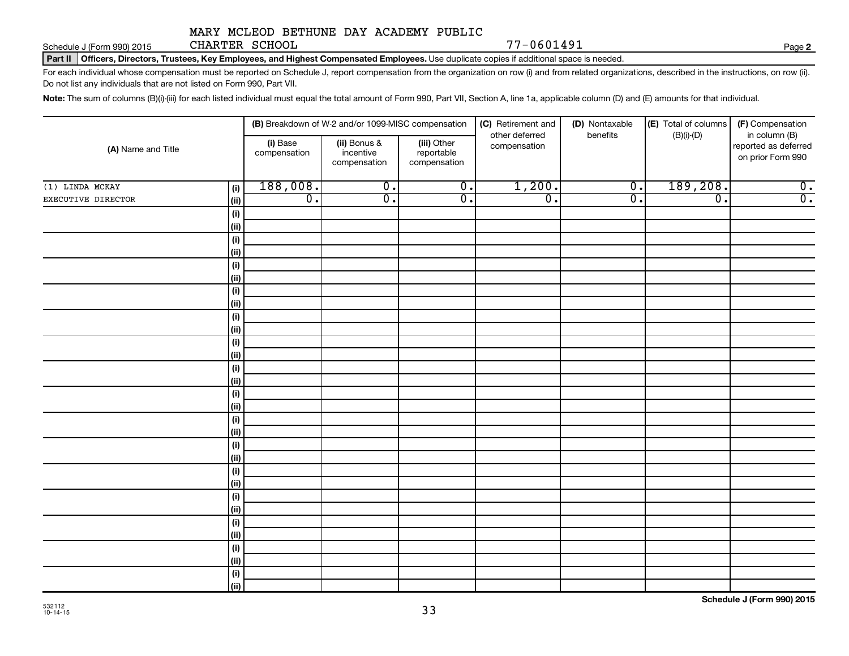Schedule J (Form 990) 2015 CHARTER SCHOOL  $77-0601491$ CHARTER SCHOOL

**2**

Part II | Officers, Directors, Trustees, Key Employees, and Highest Compensated Employees. Use duplicate copies if additional space is needed.

For each individual whose compensation must be reported on Schedule J, report compensation from the organization on row (i) and from related organizations, described in the instructions, on row (ii). Do not list any individuals that are not listed on Form 990, Part VII.

Note: The sum of columns (B)(i)-(iii) for each listed individual must equal the total amount of Form 990, Part VII, Section A, line 1a, applicable column (D) and (E) amounts for that individual.

| (A) Name and Title |                        |                          | (B) Breakdown of W-2 and/or 1099-MISC compensation |                                           | (C) Retirement and             | (D) Nontaxable<br>benefits | (E) Total of columns | (F) Compensation                                           |
|--------------------|------------------------|--------------------------|----------------------------------------------------|-------------------------------------------|--------------------------------|----------------------------|----------------------|------------------------------------------------------------|
|                    |                        | (i) Base<br>compensation | (ii) Bonus &<br>incentive<br>compensation          | (iii) Other<br>reportable<br>compensation | other deferred<br>compensation |                            | $(B)(i)-(D)$         | in column (B)<br>reported as deferred<br>on prior Form 990 |
| $(1)$ LINDA MCKAY  | (i)                    | 188,008.                 | $\overline{0}$ .                                   | $\overline{0}$ .                          | 1,200.                         | $\overline{0}$ .           | 189,208.             | $\overline{0}$ .                                           |
| EXECUTIVE DIRECTOR | (ii)                   | $\overline{0}$ .         | σ.                                                 | $\overline{0}$ .                          | $\overline{\mathfrak{o}}$ .    | $\overline{0}$ .           | $\overline{0}$ .     | $\overline{0}$ .                                           |
|                    | (i)                    |                          |                                                    |                                           |                                |                            |                      |                                                            |
|                    | (i)                    |                          |                                                    |                                           |                                |                            |                      |                                                            |
|                    | (i)                    |                          |                                                    |                                           |                                |                            |                      |                                                            |
|                    | (i)                    |                          |                                                    |                                           |                                |                            |                      |                                                            |
|                    | (i)                    |                          |                                                    |                                           |                                |                            |                      |                                                            |
|                    | (i)                    |                          |                                                    |                                           |                                |                            |                      |                                                            |
|                    | (i)                    |                          |                                                    |                                           |                                |                            |                      |                                                            |
|                    | (ii)                   |                          |                                                    |                                           |                                |                            |                      |                                                            |
|                    | $(\mathsf{i})$         |                          |                                                    |                                           |                                |                            |                      |                                                            |
|                    | (i)                    |                          |                                                    |                                           |                                |                            |                      |                                                            |
|                    | $(\mathsf{i})$         |                          |                                                    |                                           |                                |                            |                      |                                                            |
|                    | (i)                    |                          |                                                    |                                           |                                |                            |                      |                                                            |
|                    | (i)                    |                          |                                                    |                                           |                                |                            |                      |                                                            |
|                    | (i)                    |                          |                                                    |                                           |                                |                            |                      |                                                            |
|                    | (i)                    |                          |                                                    |                                           |                                |                            |                      |                                                            |
|                    | (ii)                   |                          |                                                    |                                           |                                |                            |                      |                                                            |
|                    | $(\mathsf{i})$         |                          |                                                    |                                           |                                |                            |                      |                                                            |
|                    | (ii)                   |                          |                                                    |                                           |                                |                            |                      |                                                            |
|                    | $(\mathsf{i})$         |                          |                                                    |                                           |                                |                            |                      |                                                            |
|                    | (ii)<br>$(\mathsf{i})$ |                          |                                                    |                                           |                                |                            |                      |                                                            |
|                    | (ii)                   |                          |                                                    |                                           |                                |                            |                      |                                                            |
|                    | (i)                    |                          |                                                    |                                           |                                |                            |                      |                                                            |
|                    | (ii)                   |                          |                                                    |                                           |                                |                            |                      |                                                            |
|                    | (i)                    |                          |                                                    |                                           |                                |                            |                      |                                                            |
|                    | (ii)                   |                          |                                                    |                                           |                                |                            |                      |                                                            |
|                    | (i)                    |                          |                                                    |                                           |                                |                            |                      |                                                            |
|                    | (ii)                   |                          |                                                    |                                           |                                |                            |                      |                                                            |
|                    | $(\mathsf{i})$         |                          |                                                    |                                           |                                |                            |                      |                                                            |
|                    | (iii)                  |                          |                                                    |                                           |                                |                            |                      |                                                            |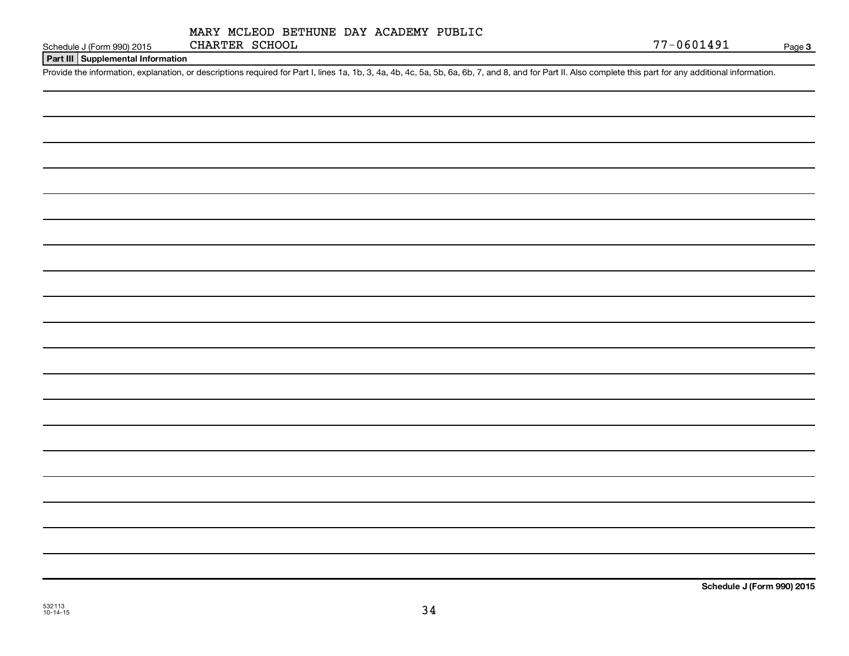#### **Part III Supplemental Information**

Provide the information, explanation, or descriptions required for Part I, lines 1a, 1b, 3, 4a, 4b, 4c, 5a, 5b, 6a, 6b, 7, and 8, and for Part II. Also complete this part for any additional information.

**Schedule J (Form 990) 2015**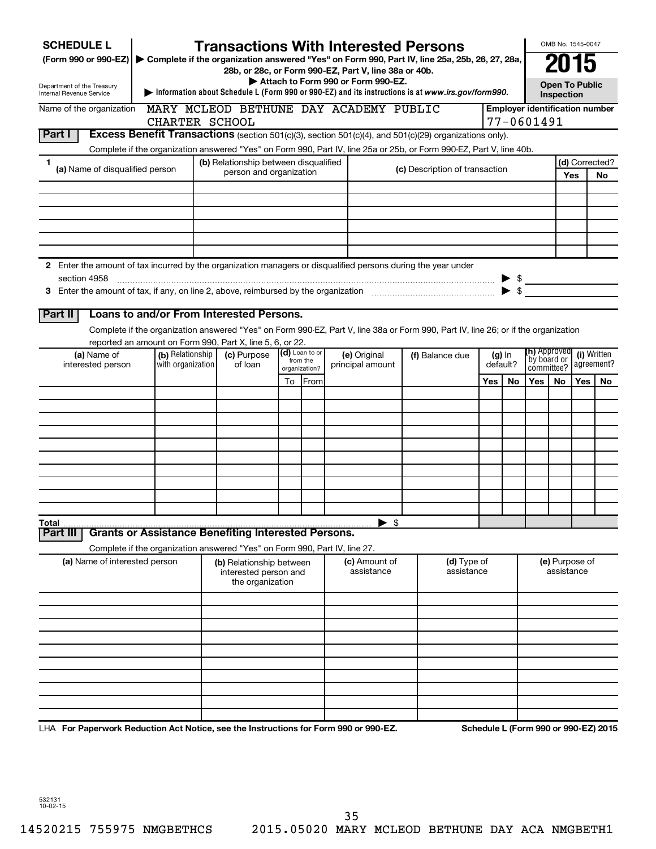| <b>SCHEDULE L</b>                                                                                             |                   |                                                                            |                           |                | <b>Transactions With Interested Persons</b>                                                                                        |                                |                  |           |                                                 | OMB No. 1545-0047                   |                           |                |            |  |
|---------------------------------------------------------------------------------------------------------------|-------------------|----------------------------------------------------------------------------|---------------------------|----------------|------------------------------------------------------------------------------------------------------------------------------------|--------------------------------|------------------|-----------|-------------------------------------------------|-------------------------------------|---------------------------|----------------|------------|--|
| (Form 990 or 990-EZ)                                                                                          |                   |                                                                            |                           |                | Complete if the organization answered "Yes" on Form 990, Part IV, line 25a, 25b, 26, 27, 28a,                                      |                                |                  |           |                                                 | 2015                                |                           |                |            |  |
|                                                                                                               |                   |                                                                            |                           |                | 28b, or 28c, or Form 990-EZ, Part V, line 38a or 40b.<br>Attach to Form 990 or Form 990-EZ.                                        |                                |                  |           |                                                 |                                     |                           |                |            |  |
| Department of the Treasury<br>Internal Revenue Service                                                        |                   |                                                                            |                           |                | Information about Schedule L (Form 990 or 990-EZ) and its instructions is at www.irs.gov/form990.                                  |                                |                  |           |                                                 | <b>Open To Public</b><br>Inspection |                           |                |            |  |
| Name of the organization                                                                                      |                   |                                                                            |                           |                | MARY MCLEOD BETHUNE DAY ACADEMY PUBLIC                                                                                             |                                |                  |           | <b>Employer identification number</b>           |                                     |                           |                |            |  |
|                                                                                                               | CHARTER SCHOOL    |                                                                            |                           |                |                                                                                                                                    |                                |                  |           | 77-0601491                                      |                                     |                           |                |            |  |
| Part I                                                                                                        |                   |                                                                            |                           |                | Excess Benefit Transactions (section 501(c)(3), section 501(c)(4), and 501(c)(29) organizations only).                             |                                |                  |           |                                                 |                                     |                           |                |            |  |
| 1                                                                                                             |                   | (b) Relationship between disqualified                                      |                           |                | Complete if the organization answered "Yes" on Form 990, Part IV, line 25a or 25b, or Form 990-EZ, Part V, line 40b.               |                                |                  |           |                                                 |                                     |                           | (d) Corrected? |            |  |
| (a) Name of disqualified person                                                                               |                   | person and organization                                                    |                           |                |                                                                                                                                    | (c) Description of transaction |                  |           |                                                 |                                     | Yes                       | No             |            |  |
|                                                                                                               |                   |                                                                            |                           |                |                                                                                                                                    |                                |                  |           |                                                 |                                     |                           |                |            |  |
|                                                                                                               |                   |                                                                            |                           |                |                                                                                                                                    |                                |                  |           |                                                 |                                     |                           |                |            |  |
|                                                                                                               |                   |                                                                            |                           |                |                                                                                                                                    |                                |                  |           |                                                 |                                     |                           |                |            |  |
|                                                                                                               |                   |                                                                            |                           |                |                                                                                                                                    |                                |                  |           |                                                 |                                     |                           |                |            |  |
|                                                                                                               |                   |                                                                            |                           |                |                                                                                                                                    |                                |                  |           |                                                 |                                     |                           |                |            |  |
| 2 Enter the amount of tax incurred by the organization managers or disqualified persons during the year under |                   |                                                                            |                           |                |                                                                                                                                    |                                |                  |           |                                                 |                                     |                           |                |            |  |
| section 4958                                                                                                  |                   |                                                                            |                           |                |                                                                                                                                    |                                |                  |           | $\triangleright$ \$<br>$\blacktriangleright$ \$ |                                     |                           |                |            |  |
|                                                                                                               |                   |                                                                            |                           |                |                                                                                                                                    |                                |                  |           |                                                 |                                     |                           |                |            |  |
| Part II                                                                                                       |                   | Loans to and/or From Interested Persons.                                   |                           |                |                                                                                                                                    |                                |                  |           |                                                 |                                     |                           |                |            |  |
|                                                                                                               |                   |                                                                            |                           |                | Complete if the organization answered "Yes" on Form 990-EZ, Part V, line 38a or Form 990, Part IV, line 26; or if the organization |                                |                  |           |                                                 |                                     |                           |                |            |  |
| (a) Name of                                                                                                   | (b) Relationship  | reported an amount on Form 990, Part X, line 5, 6, or 22.<br>(c) Purpose   |                           | (d) Loan to or | (e) Original                                                                                                                       | (f) Balance due                |                  |           | <b>(h)</b> Approved                             |                                     |                           | (i) Written    |            |  |
| interested person                                                                                             | with organization | of loan                                                                    | from the<br>organization? |                |                                                                                                                                    |                                | principal amount |           |                                                 | (g) In<br>default?                  | by board or<br>committee? |                | agreement? |  |
|                                                                                                               |                   |                                                                            | To                        | <b>IFrom</b>   |                                                                                                                                    |                                | Yes              | <b>No</b> | Yes                                             | No.                                 | Yes                       | No.            |            |  |
|                                                                                                               |                   |                                                                            |                           |                |                                                                                                                                    |                                |                  |           |                                                 |                                     |                           |                |            |  |
|                                                                                                               |                   |                                                                            |                           |                |                                                                                                                                    |                                |                  |           |                                                 |                                     |                           |                |            |  |
|                                                                                                               |                   |                                                                            |                           |                |                                                                                                                                    |                                |                  |           |                                                 |                                     |                           |                |            |  |
|                                                                                                               |                   |                                                                            |                           |                |                                                                                                                                    |                                |                  |           |                                                 |                                     |                           |                |            |  |
|                                                                                                               |                   |                                                                            |                           |                |                                                                                                                                    |                                |                  |           |                                                 |                                     |                           |                |            |  |
|                                                                                                               |                   |                                                                            |                           |                |                                                                                                                                    |                                |                  |           |                                                 |                                     |                           |                |            |  |
|                                                                                                               |                   |                                                                            |                           |                |                                                                                                                                    |                                |                  |           |                                                 |                                     |                           |                |            |  |
|                                                                                                               |                   |                                                                            |                           |                |                                                                                                                                    |                                |                  |           |                                                 |                                     |                           |                |            |  |
| Total                                                                                                         |                   |                                                                            |                           |                | $\blacktriangleright$ \$                                                                                                           |                                |                  |           |                                                 |                                     |                           |                |            |  |
| Part III                                                                                                      |                   | <b>Grants or Assistance Benefiting Interested Persons.</b>                 |                           |                |                                                                                                                                    |                                |                  |           |                                                 |                                     |                           |                |            |  |
|                                                                                                               |                   | Complete if the organization answered "Yes" on Form 990, Part IV, line 27. |                           |                |                                                                                                                                    |                                |                  |           |                                                 |                                     |                           |                |            |  |
| (a) Name of interested person                                                                                 |                   | (b) Relationship between<br>interested person and<br>the organization      |                           |                | (c) Amount of<br>assistance                                                                                                        | (d) Type of<br>assistance      |                  |           |                                                 | (e) Purpose of<br>assistance        |                           |                |            |  |
|                                                                                                               |                   |                                                                            |                           |                |                                                                                                                                    |                                |                  |           |                                                 |                                     |                           |                |            |  |
|                                                                                                               |                   |                                                                            |                           |                |                                                                                                                                    |                                |                  |           |                                                 |                                     |                           |                |            |  |
|                                                                                                               |                   |                                                                            |                           |                |                                                                                                                                    |                                |                  |           |                                                 |                                     |                           |                |            |  |
|                                                                                                               |                   |                                                                            |                           |                |                                                                                                                                    |                                |                  |           |                                                 |                                     |                           |                |            |  |
|                                                                                                               |                   |                                                                            |                           |                |                                                                                                                                    |                                |                  |           |                                                 |                                     |                           |                |            |  |
|                                                                                                               |                   |                                                                            |                           |                |                                                                                                                                    |                                |                  |           |                                                 |                                     |                           |                |            |  |
|                                                                                                               |                   |                                                                            |                           |                |                                                                                                                                    |                                |                  |           |                                                 |                                     |                           |                |            |  |
|                                                                                                               |                   |                                                                            |                           |                |                                                                                                                                    |                                |                  |           |                                                 |                                     |                           |                |            |  |
|                                                                                                               |                   |                                                                            |                           |                |                                                                                                                                    |                                |                  |           |                                                 |                                     |                           |                |            |  |

LHA For Paperwork Reduction Act Notice, see the Instructions for Form 990 or 990-EZ. Schedule L (Form 990 or 990-EZ) 2015

532131 10-02-15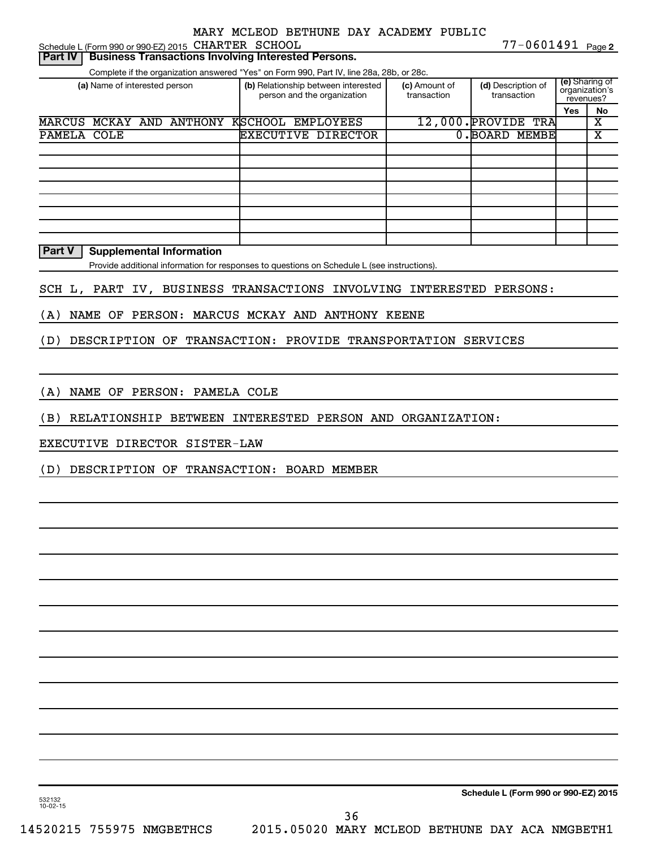77-0601491 Page 2 Schedule L (Form 990 or 990-EZ) 2015 CHARTER SCHOOL  $77-0601491$  Page

| <b>Business Transactions Involving Interested Persons.</b><br><b>Part IV</b>                |                   |  |                                                                    |                              |                                   |                             |                         |
|---------------------------------------------------------------------------------------------|-------------------|--|--------------------------------------------------------------------|------------------------------|-----------------------------------|-----------------------------|-------------------------|
| Complete if the organization answered "Yes" on Form 990, Part IV, line 28a, 28b, or 28c.    |                   |  |                                                                    |                              |                                   |                             |                         |
| (a) Name of interested person                                                               |                   |  | (b) Relationship between interested<br>person and the organization | (c) Amount of<br>transaction | (d) Description of<br>transaction | organization's<br>revenues? | (e) Sharing of          |
|                                                                                             |                   |  |                                                                    |                              |                                   | <b>Yes</b>                  | No                      |
| <b>MARCUS</b><br>MCKAY AND ANTHONY                                                          | KSCHOOL EMPLOYEES |  |                                                                    |                              | $12,000$ . PROVIDE<br>TRA         |                             | $\overline{\textbf{x}}$ |
| PAMELA COLE                                                                                 |                   |  | <b>EXECUTIVE DIRECTOR</b>                                          |                              | $0.$ BOARD<br><b>MEMBE</b>        |                             | X                       |
|                                                                                             |                   |  |                                                                    |                              |                                   |                             |                         |
|                                                                                             |                   |  |                                                                    |                              |                                   |                             |                         |
|                                                                                             |                   |  |                                                                    |                              |                                   |                             |                         |
|                                                                                             |                   |  |                                                                    |                              |                                   |                             |                         |
|                                                                                             |                   |  |                                                                    |                              |                                   |                             |                         |
|                                                                                             |                   |  |                                                                    |                              |                                   |                             |                         |
|                                                                                             |                   |  |                                                                    |                              |                                   |                             |                         |
|                                                                                             |                   |  |                                                                    |                              |                                   |                             |                         |
| <b>Part V</b><br><b>Supplemental Information</b>                                            |                   |  |                                                                    |                              |                                   |                             |                         |
| Provide additional information for responses to questions on Schedule L (see instructions). |                   |  |                                                                    |                              |                                   |                             |                         |
| SCH L, PART IV, BUSINESS TRANSACTIONS INVOLVING INTERESTED PERSONS:                         |                   |  |                                                                    |                              |                                   |                             |                         |
| <b>NAME</b><br>OF<br>PERSON:<br>(A)                                                         |                   |  | MARCUS MCKAY AND ANTHONY KEENE                                     |                              |                                   |                             |                         |
| DESCRIPTION OF TRANSACTION:<br>PROVIDE TRANSPORTATION SERVICES<br>(D)                       |                   |  |                                                                    |                              |                                   |                             |                         |
|                                                                                             |                   |  |                                                                    |                              |                                   |                             |                         |

(A) NAME OF PERSON: PAMELA COLE

(B) RELATIONSHIP BETWEEN INTERESTED PERSON AND ORGANIZATION:

EXECUTIVE DIRECTOR SISTER-LAW

(D) DESCRIPTION OF TRANSACTION: BOARD MEMBER

**Schedule L (Form 990 or 990-EZ) 2015**

532132 10-02-15